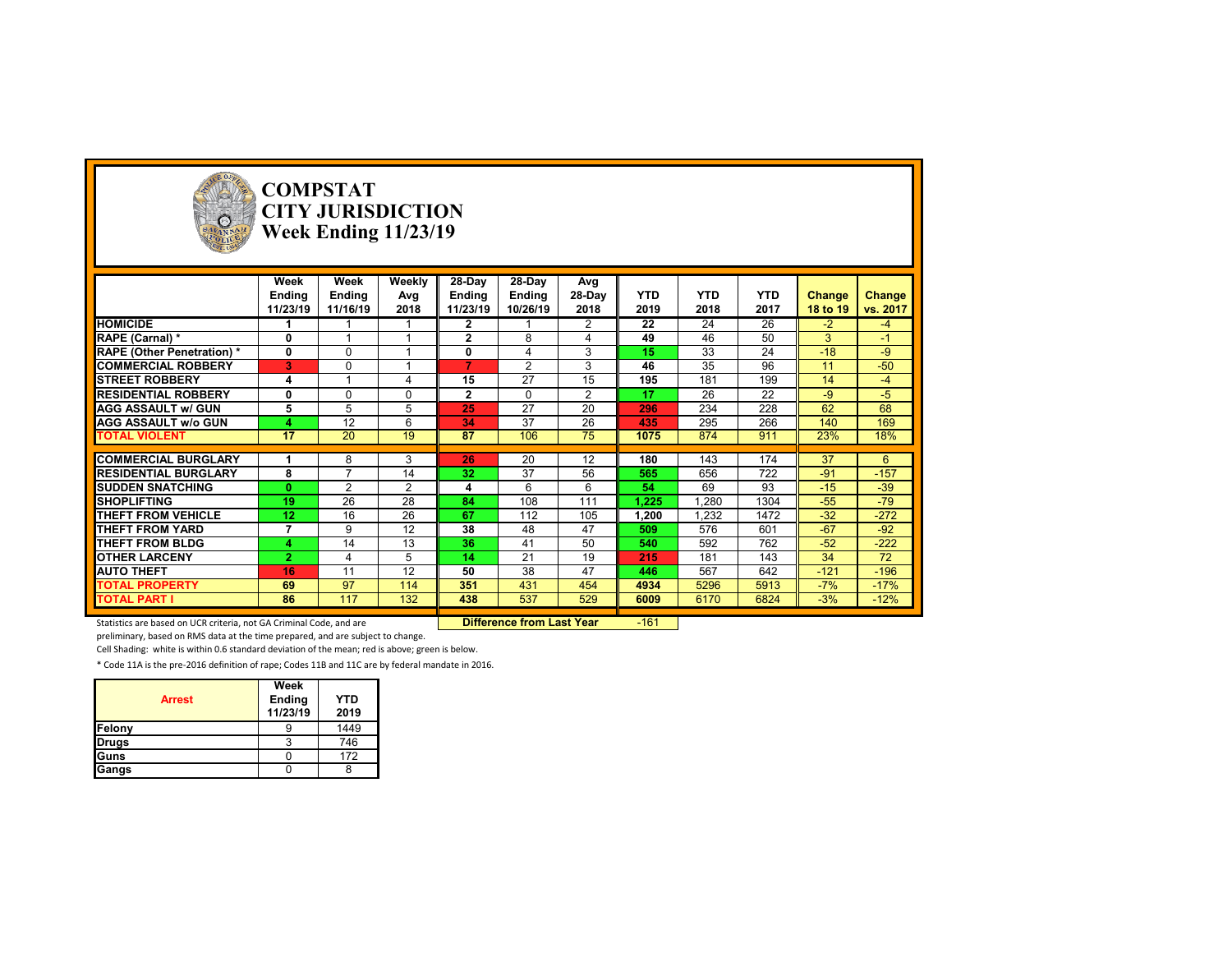

# **COMPSTAT CITY JURISDICTION Week Ending 11/23/19**

|                                  | Week           | Week           | Weekly         | 28-Day         | 28-Day         | Avg            |            |            |            |               |          |
|----------------------------------|----------------|----------------|----------------|----------------|----------------|----------------|------------|------------|------------|---------------|----------|
|                                  | Ending         | <b>Ending</b>  | Avg            | Ending         | Ending         | 28-Day         | <b>YTD</b> | <b>YTD</b> | <b>YTD</b> | <b>Change</b> | Change   |
|                                  | 11/23/19       | 11/16/19       | 2018           | 11/23/19       | 10/26/19       | 2018           | 2019       | 2018       | 2017       | 18 to 19      | vs. 2017 |
| <b>HOMICIDE</b>                  |                |                |                | $\mathbf{2}$   |                | 2              | 22         | 24         | 26         | $-2$          | $-4$     |
| RAPE (Carnal) *                  | $\mathbf{0}$   |                |                | $\mathbf{2}$   | 8              |                | 49         | 46         | 50         | 3             | $-1$     |
| <b>RAPE (Other Penetration)*</b> | 0              | $\Omega$       |                | 0              | 4              | 3              | 15         | 33         | 24         | $-18$         | $-9$     |
| <b>COMMERCIAL ROBBERY</b>        | 3              | $\Omega$       |                | $\overline{7}$ | $\overline{2}$ | 3              | 46         | 35         | 96         | 11            | $-50$    |
| <b>ISTREET ROBBERY</b>           | 4              |                |                | 15             | 27             | 15             | 195        | 181        | 199        | 14            | $-4$     |
| <b>RESIDENTIAL ROBBERY</b>       | $\mathbf{0}$   | $\Omega$       | $\Omega$       | $\mathbf{2}$   | $\Omega$       | $\overline{2}$ | 17         | 26         | 22         | $-9$          | $-5$     |
| <b>AGG ASSAULT w/ GUN</b>        | 5              | 5              | 5              | 25             | 27             | 20             | 296        | 234        | 228        | 62            | 68       |
| <b>AGG ASSAULT w/o GUN</b>       | 4              | 12             | 6              | 34             | 37             | 26             | 435        | 295        | 266        | 140           | 169      |
| <b>TOTAL VIOLENT</b>             | 17             | 20             | 19             | 87             | 106            | 75             | 1075       | 874        | 911        | 23%           | 18%      |
|                                  |                |                |                |                |                |                |            |            |            |               |          |
| <b>COMMERCIAL BURGLARY</b>       |                | 8              | 3              | 26             | 20             | 12             | 180        | 143        | 174        | 37            | 6        |
| <b>RESIDENTIAL BURGLARY</b>      | 8              | $\overline{ }$ | 14             | 32             | 37             | 56             | 565        | 656        | 722        | $-91$         | $-157$   |
| <b>ISUDDEN SNATCHING</b>         | $\mathbf{0}$   | 2              | $\overline{2}$ | 4              | 6              | 6              | 54         | 69         | 93         | $-15$         | $-39$    |
| <b>SHOPLIFTING</b>               | 19             | 26             | 28             | 84             | 108            | 111            | 1,225      | .280       | 1304       | $-55$         | $-79$    |
| <b>THEFT FROM VEHICLE</b>        | 12             | 16             | 26             | 67             | 112            | 105            | 1,200      | .232       | 1472       | $-32$         | $-272$   |
| THEFT FROM YARD                  | $\overline{7}$ | 9              | 12             | 38             | 48             | 47             | 509        | 576        | 601        | $-67$         | $-92$    |
| <b>THEFT FROM BLDG</b>           | 4              | 14             | 13             | 36             | 41             | 50             | 540        | 592        | 762        | $-52$         | $-222$   |
| <b>OTHER LARCENY</b>             | $\overline{2}$ | $\overline{4}$ | 5              | 14             | 21             | 19             | 215        | 181        | 143        | 34            | 72       |
| <b>AUTO THEFT</b>                | 16             | 11             | 12             | 50             | 38             | 47             | 446        | 567        | 642        | $-121$        | $-196$   |
| <b>TOTAL PROPERTY</b>            | 69             | 97             | 114            | 351            | 431            | 454            | 4934       | 5296       | 5913       | $-7%$         | $-17%$   |
| <b>TOTAL PART I</b>              | 86             | 117            | 132            | 438            | 537            | 529            | 6009       | 6170       | 6824       | $-3%$         | $-12%$   |

Statistics are based on UCR criteria, not GA Criminal Code, and are **Difference from Last Year** -161

preliminary, based on RMS data at the time prepared, and are subject to change.

Cell Shading: white is within 0.6 standard deviation of the mean; red is above; green is below.

| <b>Arrest</b> | Week<br><b>Ending</b><br>11/23/19 | <b>YTD</b><br>2019 |
|---------------|-----------------------------------|--------------------|
| Felony        |                                   | 1449               |
| <b>Drugs</b>  |                                   | 746                |
| <b>Guns</b>   |                                   | 172                |
| Gangs         |                                   |                    |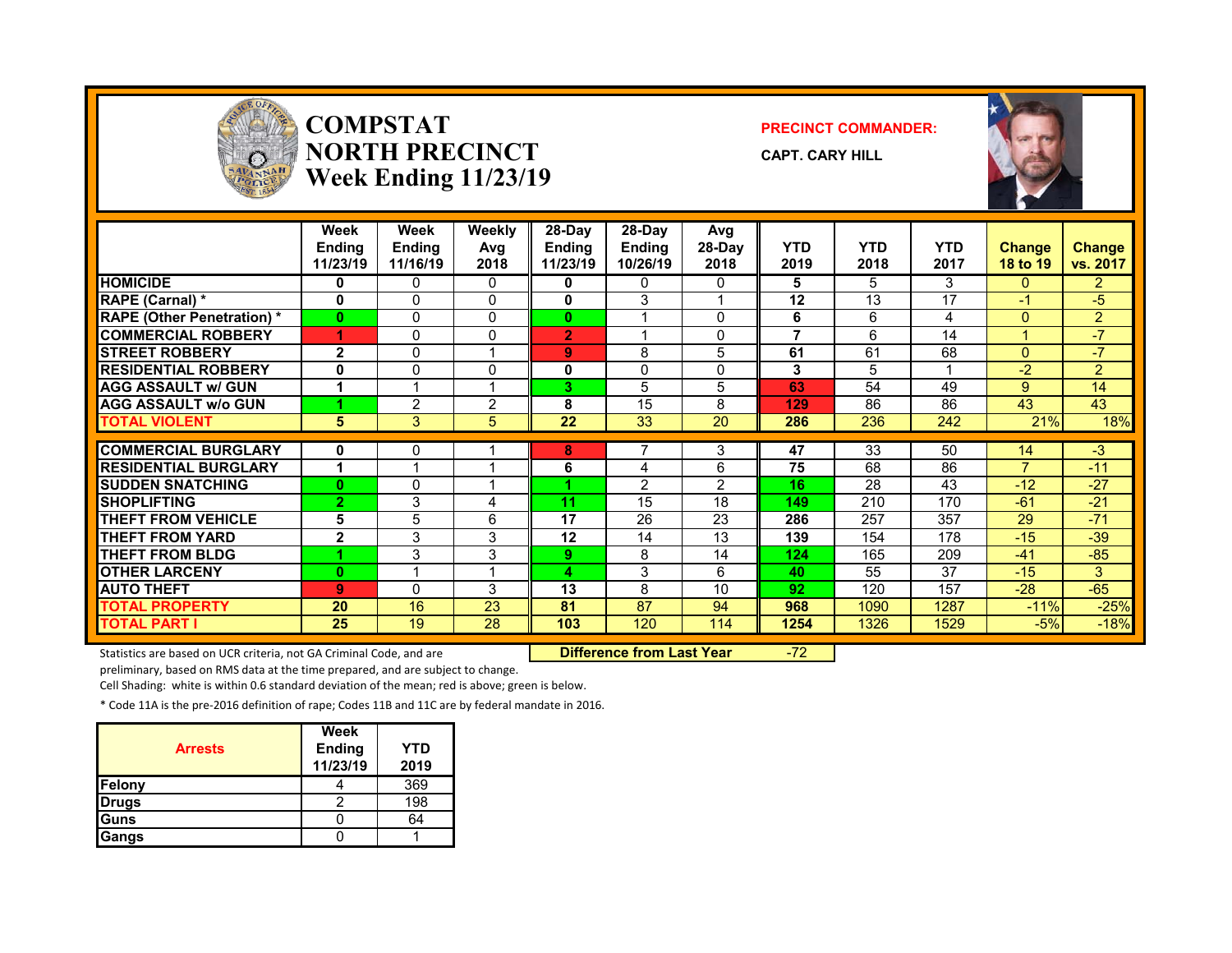

#### **COMPSTATNORTH PRECINCTWeek Ending 11/23/19**

#### **PRECINCT COMMANDER:**

**CAPT. CARY HILL**



|                                   | Week<br><b>Endina</b><br>11/23/19 | Week<br><b>Endina</b><br>11/16/19 | Weekly<br>Avg<br>2018 | 28-Day<br><b>Ending</b><br>11/23/19 | $28-Dav$<br><b>Ending</b><br>10/26/19 | Avg<br>28-Day<br>2018 | <b>YTD</b><br>2019 | <b>YTD</b><br>2018 | <b>YTD</b><br>2017 | <b>Change</b><br>18 to 19 | Change<br>vs. 2017 |
|-----------------------------------|-----------------------------------|-----------------------------------|-----------------------|-------------------------------------|---------------------------------------|-----------------------|--------------------|--------------------|--------------------|---------------------------|--------------------|
| <b>HOMICIDE</b>                   | 0                                 | 0                                 | 0                     | 0                                   | 0                                     | 0                     | 5                  | 5.                 | 3                  | $\Omega$                  | $\overline{2}$     |
| RAPE (Carnal) *                   | O                                 | 0                                 | 0                     | 0                                   | 3                                     |                       | 12                 | 13                 | 17                 | $-1$                      | $-5$               |
| <b>RAPE (Other Penetration) *</b> | $\bf{0}$                          | 0                                 | $\mathbf{0}$          | $\bf{0}$                            |                                       | <sup>0</sup>          | 6                  | 6                  | 4                  | $\Omega$                  | $\overline{2}$     |
| <b>COMMERCIAL ROBBERY</b>         | 4                                 | 0                                 | $\Omega$              | $\overline{2}$                      |                                       | <sup>0</sup>          | 7                  | 6                  | 14                 |                           | -7                 |
| <b>STREET ROBBERY</b>             | $\overline{2}$                    | 0                                 | 1                     | 9                                   | 8                                     | 5                     | 61                 | 61                 | 68                 | $\mathbf{0}$              | $-7$               |
| <b>RESIDENTIAL ROBBERY</b>        | 0                                 | 0                                 | $\mathbf{0}$          | 0                                   | $\Omega$                              | 0                     | 3                  | 5                  |                    | -2                        | $\overline{2}$     |
| <b>AGG ASSAULT w/ GUN</b>         | 1                                 |                                   | и                     | 3                                   | 5                                     | 5                     | 63                 | 54                 | 49                 | 9                         | 14                 |
| <b>AGG ASSAULT w/o GUN</b>        |                                   | $\overline{2}$                    | $\overline{2}$        | 8                                   | 15                                    | 8                     | 129                | 86                 | 86                 | 43                        | 43                 |
| <b>TOTAL VIOLENT</b>              | 5                                 | 3                                 | 5                     | 22                                  | 33                                    | 20                    | 286                | 236                | 242                | 21%                       | 18%                |
|                                   |                                   |                                   |                       |                                     |                                       |                       |                    |                    |                    |                           |                    |
| <b>COMMERCIAL BURGLARY</b>        | 0                                 | 0                                 |                       | 8                                   |                                       | 3                     | 47                 | 33                 | 50                 | 14                        | $-3$               |
| <b>RESIDENTIAL BURGLARY</b>       | 1                                 |                                   |                       | 6                                   | 4                                     | 6                     | 75                 | 68                 | 86                 | $\overline{7}$            | $-11$              |
| <b>ISUDDEN SNATCHING</b>          | $\bf{0}$                          | 0                                 |                       |                                     | 2                                     | 2                     | 16                 | 28                 | 43                 | $-12$                     | $-27$              |
| <b>SHOPLIFTING</b>                | $\overline{2}$                    | 3                                 | 4                     | 11                                  | 15                                    | 18                    | 149                | 210                | 170                | $-61$                     | $-21$              |
| <b>THEFT FROM VEHICLE</b>         | 5                                 | 5                                 | 6                     | 17                                  | 26                                    | 23                    | 286                | 257                | 357                | 29                        | $-71$              |
| <b>THEFT FROM YARD</b>            | $\mathbf{2}$                      | 3                                 | 3                     | 12                                  | 14                                    | 13                    | 139                | 154                | 178                | $-15$                     | $-39$              |
| <b>THEFT FROM BLDG</b>            |                                   | 3                                 | 3                     | 9                                   | 8                                     | 14                    | 124                | 165                | 209                | -41                       | $-85$              |
| <b>OTHER LARCENY</b>              | O                                 |                                   | 4                     | 4                                   | 3                                     | 6                     | 40                 | 55                 | 37                 | $-15$                     | 3                  |
| <b>AUTO THEFT</b>                 | 9                                 | 0                                 | 3                     | 13                                  | 8                                     | 10                    | 92                 | 120                | 157                | $-28$                     | $-65$              |
| <b>TOTAL PROPERTY</b>             | 20                                | 16                                | 23                    | 81                                  | 87                                    | 94                    | 968                | 1090               | 1287               | $-11%$                    | $-25%$             |
| <b>TOTAL PART I</b>               | 25                                | 19                                | 28                    | 103                                 | 120                                   | 114                   | 1254               | 1326               | 1529               | $-5%$                     | $-18%$             |

Statistics are based on UCR criteria, not GA Criminal Code, and are **Difference from Last Year** -72

preliminary, based on RMS data at the time prepared, and are subject to change.

Cell Shading: white is within 0.6 standard deviation of the mean; red is above; green is below.

| <b>Arrests</b> | Week<br><b>Ending</b><br>11/23/19 | YTD<br>2019 |
|----------------|-----------------------------------|-------------|
| Felony         |                                   | 369         |
| <b>Drugs</b>   |                                   | 198         |
| Guns           |                                   | 64          |
| Gangs          |                                   |             |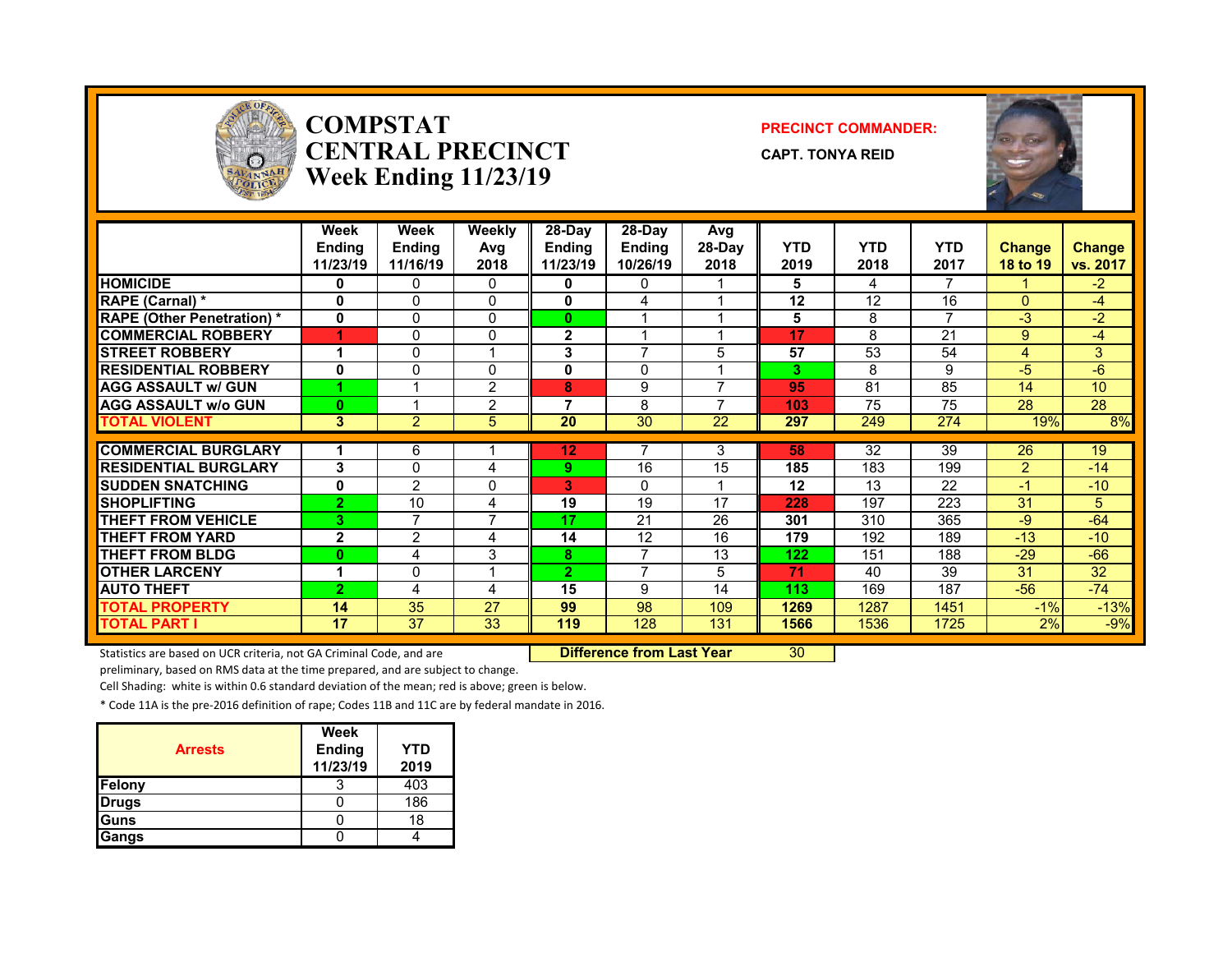

#### **COMPSTATCENTRAL PRECINCTWeek Ending 11/23/19**

#### **PRECINCT COMMANDER:**

**CAPT. TONYA REID**



|                                   | Week<br><b>Ending</b><br>11/23/19 | Week<br><b>Endina</b><br>11/16/19 | <b>Weekly</b><br>Avg<br>2018 | 28-Day<br><b>Ending</b><br>11/23/19 | 28-Dav<br><b>Ending</b><br>10/26/19 | Avg<br>28-Day<br>2018 | <b>YTD</b><br>2019 | <b>YTD</b><br>2018 | <b>YTD</b><br>2017 | <b>Change</b><br>18 to 19 | <b>Change</b><br>vs. 2017 |
|-----------------------------------|-----------------------------------|-----------------------------------|------------------------------|-------------------------------------|-------------------------------------|-----------------------|--------------------|--------------------|--------------------|---------------------------|---------------------------|
| <b>HOMICIDE</b>                   | 0                                 | 0                                 | 0                            | 0                                   | 0                                   |                       | 5                  | 4                  | 7                  |                           | $-2$                      |
| <b>RAPE (Carnal) *</b>            | $\mathbf{0}$                      | $\Omega$                          | $\Omega$                     | $\mathbf{0}$                        | 4                                   |                       | 12                 | 12                 | 16                 | $\Omega$                  | -4                        |
| <b>RAPE (Other Penetration)</b> * | $\mathbf 0$                       | 0                                 | $\Omega$                     | $\bf{0}$                            |                                     |                       | 5                  | 8                  | $\overline{ }$     | -3                        | $-2$                      |
| <b>COMMERCIAL ROBBERY</b>         | 4                                 | 0                                 | 0                            | 2                                   |                                     |                       | 17                 | 8                  | 21                 | 9                         | $-4$                      |
| <b>STREET ROBBERY</b>             |                                   | 0                                 | 1                            | 3                                   | $\overline{ }$                      | 5                     | 57                 | 53                 | 54                 | 4                         | 3 <sup>1</sup>            |
| <b>RESIDENTIAL ROBBERY</b>        | 0                                 | 0                                 | 0                            | $\mathbf{0}$                        | $\Omega$                            |                       | 3                  | 8                  | 9                  | -5                        | $-6$                      |
| <b>AGG ASSAULT w/ GUN</b>         |                                   |                                   | 2                            | 8                                   | 9                                   | ⇁                     | 95                 | 81                 | 85                 | 14                        | 10                        |
| <b>AGG ASSAULT w/o GUN</b>        | $\bf{0}$                          |                                   | $\overline{2}$               | 7                                   | 8                                   |                       | 103                | 75                 | 75                 | 28                        | 28                        |
| <b>TOTAL VIOLENT</b>              | 3                                 | $\overline{2}$                    | 5                            | 20                                  | 30                                  | 22                    | 297                | 249                | 274                | 19%                       | 8%                        |
|                                   |                                   |                                   |                              |                                     |                                     |                       |                    |                    |                    |                           |                           |
| <b>COMMERCIAL BURGLARY</b>        |                                   | 6                                 |                              | 12                                  |                                     | 3                     | 58                 | 32                 | 39                 | 26                        | 19                        |
| <b>RESIDENTIAL BURGLARY</b>       | 3                                 | 0                                 | 4                            | 9.                                  | 16                                  | 15                    | 185                | 183                | 199                | $\mathcal{P}$             | $-14$                     |
| <b>ISUDDEN SNATCHING</b>          | 0                                 | $\mathfrak{p}$                    | 0                            | 3.                                  | 0                                   |                       | 12                 | 13                 | 22                 | $-1$                      | $-10$                     |
| <b>SHOPLIFTING</b>                | $\overline{2}$                    | 10                                | 4                            | 19                                  | 19                                  | 17                    | 228                | 197                | 223                | 31                        | 5.                        |
| <b>THEFT FROM VEHICLE</b>         | 3                                 | 7                                 | $\overline{ }$               | 17                                  | 21                                  | 26                    | 301                | 310                | 365                | $-9$                      | $-64$                     |
| <b>THEFT FROM YARD</b>            | $\mathbf{2}$                      | $\overline{2}$                    | 4                            | 14                                  | 12                                  | 16                    | 179                | 192                | 189                | $-13$                     | $-10$                     |
| <b>THEFT FROM BLDG</b>            | 0                                 | 4                                 | 3                            | 8                                   | $\overline{ }$                      | 13                    | 122                | 151                | 188                | $-29$                     | $-66$                     |
| <b>OTHER LARCENY</b>              | 4                                 | 0                                 | 1                            | $\mathbf{2}$                        | $\overline{7}$                      | 5                     | 71                 | 40                 | 39                 | 31                        | 32                        |
| <b>AUTO THEFT</b>                 | $\overline{2}$                    | 4                                 | 4                            | 15                                  | 9                                   | 14                    | 113                | 169                | 187                | $-56$                     | $-74$                     |
| <b>TOTAL PROPERTY</b>             | 14                                | 35                                | 27                           | 99                                  | 98                                  | 109                   | 1269               | 1287               | 1451               | $-1%$                     | $-13%$                    |
| <b>TOTAL PART I</b>               | 17                                | 37                                | 33                           | 119                                 | 128                                 | 131                   | 1566               | 1536               | 1725               | 2%                        | $-9%$                     |

Statistics are based on UCR criteria, not GA Criminal Code, and are **Difference from Last Year** 30

preliminary, based on RMS data at the time prepared, and are subject to change.

Cell Shading: white is within 0.6 standard deviation of the mean; red is above; green is below.

| <b>Arrests</b> | Week<br><b>Ending</b><br>11/23/19 | YTD<br>2019 |
|----------------|-----------------------------------|-------------|
| Felony         |                                   | 403         |
| <b>Drugs</b>   |                                   | 186         |
| <b>IGuns</b>   |                                   | 18          |
| Gangs          |                                   |             |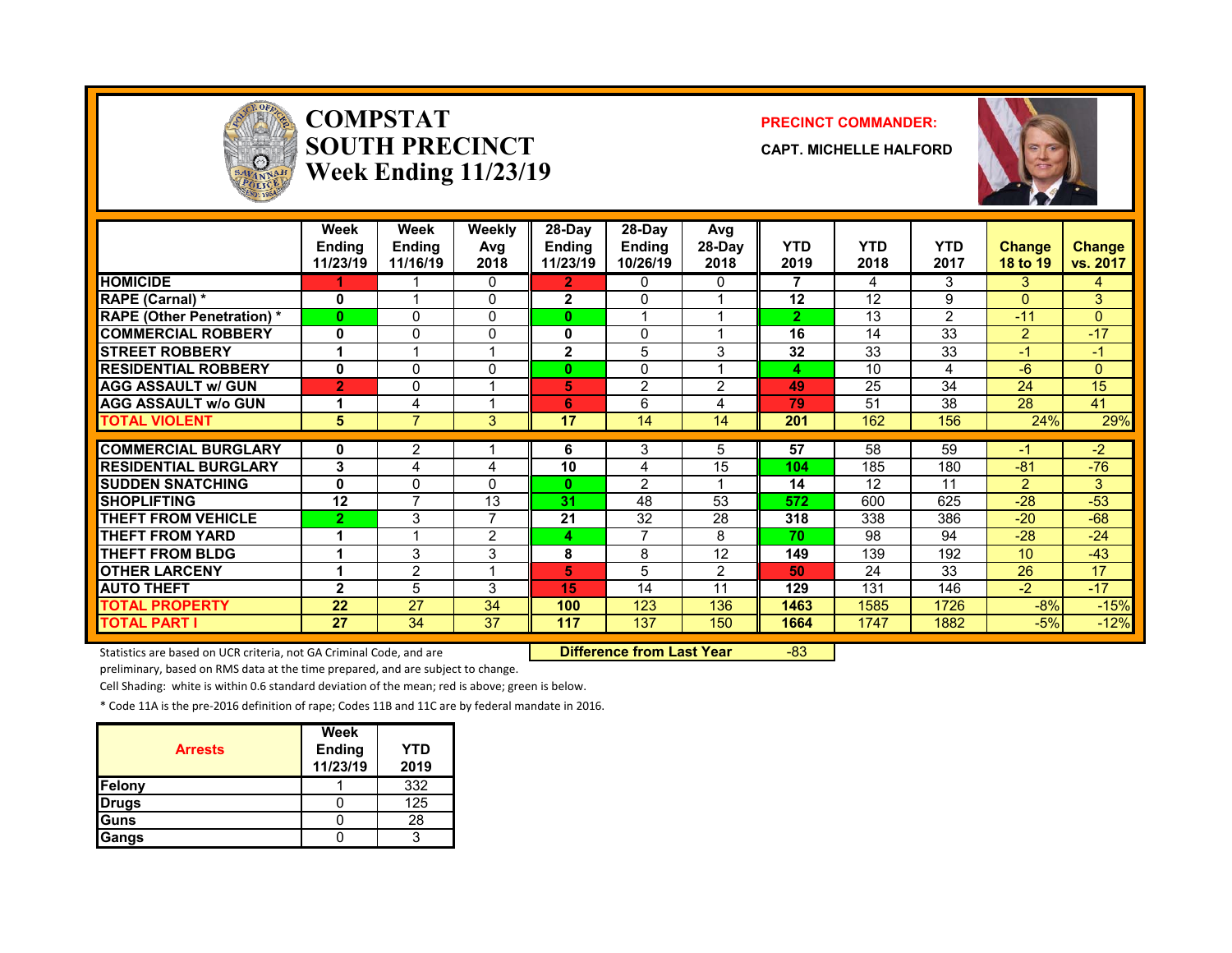

#### **COMPSTATSOUTH PRECINCTWeek Ending 11/23/19**

#### **PRECINCT COMMANDER:**

**CAPT. MICHELLE HALFORD**



|                                  | Week<br><b>Ending</b><br>11/23/19 | Week<br><b>Ending</b><br>11/16/19 | Weekly<br>Avg<br>2018 | 28-Day<br><b>Ending</b><br>11/23/19 | $28-Dav$<br><b>Ending</b><br>10/26/19 | Avg<br>28-Day<br>2018 | <b>YTD</b><br>2019 | <b>YTD</b><br>2018 | <b>YTD</b><br>2017 | <b>Change</b><br>18 to 19 | <b>Change</b><br>vs. 2017 |
|----------------------------------|-----------------------------------|-----------------------------------|-----------------------|-------------------------------------|---------------------------------------|-----------------------|--------------------|--------------------|--------------------|---------------------------|---------------------------|
| <b>HOMICIDE</b>                  |                                   |                                   | $\mathbf{0}$          | $\mathbf{2}$                        | 0                                     | 0                     | 7                  | 4                  | 3                  | 3                         | 4                         |
| <b>RAPE (Carnal) *</b>           | $\mathbf{0}$                      |                                   | $\Omega$              | $\mathbf{2}$                        | $\Omega$                              |                       | 12                 | 12                 | 9                  | $\Omega$                  | 3                         |
| <b>RAPE (Other Penetration)*</b> | $\bf{0}$                          | 0                                 | $\mathbf{0}$          | $\bf{0}$                            | 4                                     |                       | $\overline{2}$     | 13                 | $\overline{2}$     | $-11$                     | $\Omega$                  |
| <b>COMMERCIAL ROBBERY</b>        | 0                                 | 0                                 | 0                     | 0                                   | $\Omega$                              |                       | 16                 | 14                 | 33                 | $\overline{2}$            | $-17$                     |
| <b>STREET ROBBERY</b>            |                                   |                                   |                       | $\mathbf{2}$                        | 5                                     | 3                     | 32                 | 33                 | 33                 | $-1$                      | $-1$                      |
| <b>RESIDENTIAL ROBBERY</b>       | 0                                 | 0                                 | $\Omega$              | $\bf{0}$                            | 0                                     |                       | 4                  | 10                 | 4                  | $-6$                      | $\Omega$                  |
| <b>AGG ASSAULT w/ GUN</b>        | $\overline{2}$                    | 0                                 |                       | 5                                   | $\overline{2}$                        | $\overline{2}$        | 49                 | 25                 | 34                 | 24                        | 15                        |
| <b>AGG ASSAULT w/o GUN</b>       |                                   | 4                                 |                       | 6                                   | 6                                     | 4                     | 79                 | 51                 | 38                 | 28                        | 41                        |
| <b>TOTAL VIOLENT</b>             | 5                                 | 7                                 | 3                     | 17                                  | 14                                    | 14                    | 201                | 162                | 156                | 24%                       | 29%                       |
|                                  |                                   |                                   |                       |                                     |                                       |                       |                    |                    |                    |                           |                           |
| <b>COMMERCIAL BURGLARY</b>       | 0                                 | 2                                 |                       | 6                                   | 3                                     | 5                     | 57                 | 58                 | 59                 | -1                        | $-2$                      |
| <b>RESIDENTIAL BURGLARY</b>      | 3                                 | 4                                 | 4                     | 10                                  | 4                                     | 15                    | 104                | 185                | 180                | $-81$                     | $-76$                     |
| <b>ISUDDEN SNATCHING</b>         | $\mathbf{0}$                      | 0                                 | $\Omega$              | $\mathbf{0}$                        | $\overline{2}$                        |                       | 14                 | 12                 | 11                 | $\overline{2}$            | 3                         |
| <b>SHOPLIFTING</b>               | 12                                | $\overline{7}$                    | 13                    | 31                                  | 48                                    | 53                    | 572                | 600                | 625                | $-28$                     | $-53$                     |
| <b>THEFT FROM VEHICLE</b>        | $\overline{2}$                    | 3                                 | 7                     | 21                                  | 32                                    | 28                    | 318                | 338                | 386                | $-20$                     | $-68$                     |
| <b>THEFT FROM YARD</b>           |                                   |                                   | $\overline{2}$        | 4                                   | 7                                     | 8                     | 70                 | 98                 | 94                 | $-28$                     | $-24$                     |
| <b>THEFT FROM BLDG</b>           |                                   | 3                                 | 3                     | 8                                   | 8                                     | 12                    | 149                | 139                | 192                | 10                        | $-43$                     |
| <b>OTHER LARCENY</b>             |                                   | $\overline{2}$                    | $\overline{A}$        | 5                                   | 5                                     | 2                     | 50                 | 24                 | 33                 | 26                        | 17                        |
| <b>AUTO THEFT</b>                | $\mathbf{2}$                      | 5                                 | 3                     | 15                                  | 14                                    | 11                    | 129                | 131                | 146                | $-2$                      | $-17$                     |
| <b>TOTAL PROPERTY</b>            | 22                                | 27                                | 34                    | 100                                 | 123                                   | 136                   | 1463               | 1585               | 1726               | $-8%$                     | $-15%$                    |
| <b>TOTAL PART I</b>              | 27                                | 34                                | 37                    | 117                                 | 137                                   | 150                   | 1664               | 1747               | 1882               | $-5%$                     | $-12%$                    |

Statistics are based on UCR criteria, not GA Criminal Code, and are **Difference from Last Year** -83

preliminary, based on RMS data at the time prepared, and are subject to change.

Cell Shading: white is within 0.6 standard deviation of the mean; red is above; green is below.

| <b>Arrests</b> | Week<br><b>Ending</b><br>11/23/19 | YTD<br>2019 |
|----------------|-----------------------------------|-------------|
| Felony         |                                   | 332         |
| <b>Drugs</b>   |                                   | 125         |
| <b>IGuns</b>   |                                   | 28          |
| Gangs          |                                   |             |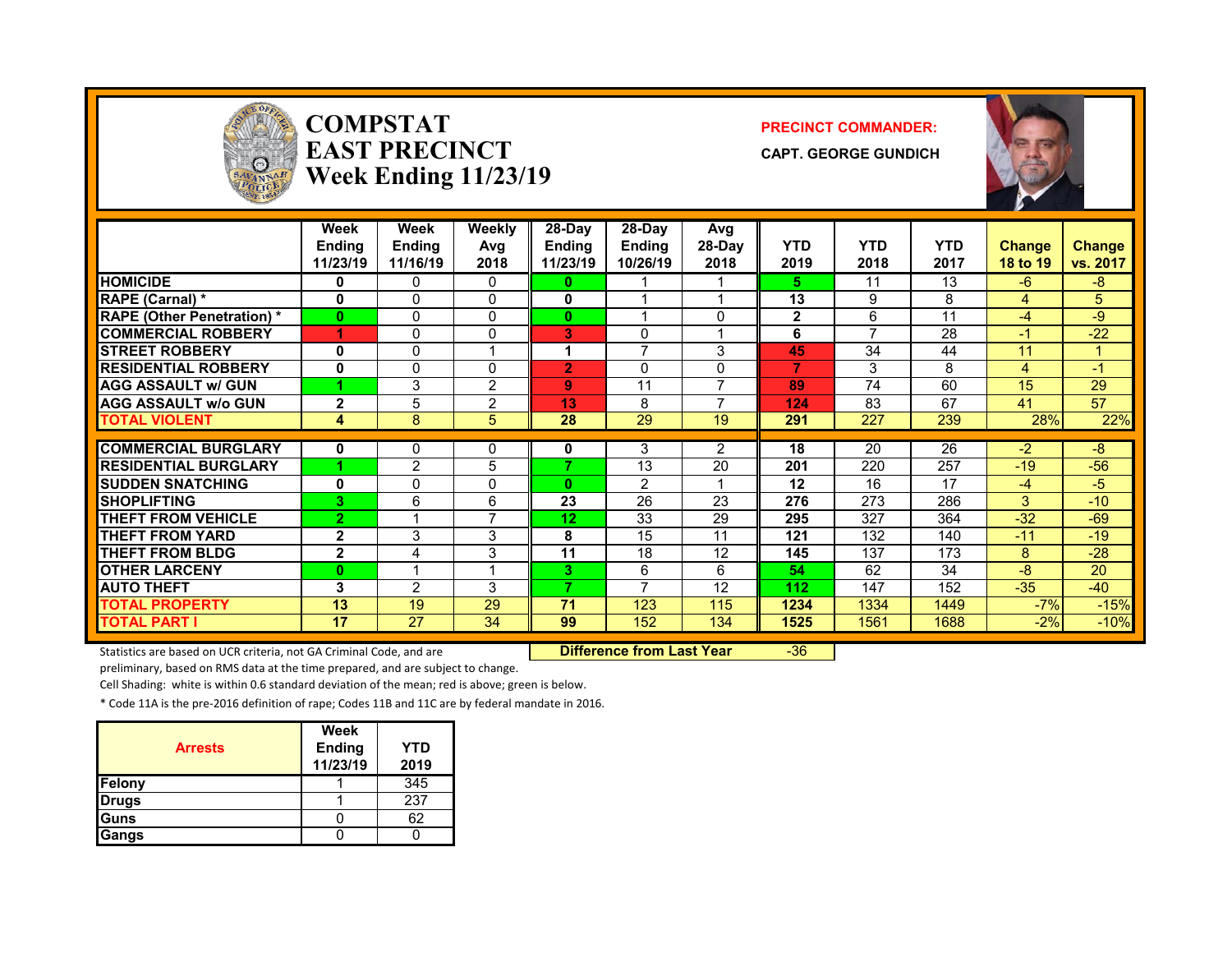

#### **COMPSTATEAST PRECINCTWeek Ending 11/23/19**

#### **PRECINCT COMMANDER:**

**CAPT. GEORGE GUNDICH**



|                                   | Week<br><b>Endina</b><br>11/23/19 | Week<br><b>Endina</b><br>11/16/19 | Weekly<br>Avg<br>2018 | 28-Day<br><b>Ending</b><br>11/23/19 | $28-Dav$<br><b>Ending</b><br>10/26/19 | Avg<br>28-Day<br>2018    | <b>YTD</b><br>2019 | <b>YTD</b><br>2018       | <b>YTD</b><br>2017 | <b>Change</b><br>18 to 19 | <b>Change</b><br>vs. 2017 |
|-----------------------------------|-----------------------------------|-----------------------------------|-----------------------|-------------------------------------|---------------------------------------|--------------------------|--------------------|--------------------------|--------------------|---------------------------|---------------------------|
| <b>HOMICIDE</b>                   | 0                                 | 0                                 | 0                     | 0                                   |                                       |                          | 5.                 | 11                       | 13                 | $-6$                      | $-8$                      |
| RAPE (Carnal) *                   | 0                                 | 0                                 | $\Omega$              | 0                                   |                                       |                          | 13                 | 9                        | 8                  | 4                         | 5                         |
| <b>RAPE (Other Penetration)</b> * | $\bf{0}$                          | 0                                 | $\Omega$              | 0                                   |                                       | 0                        | $\mathbf{2}$       | 6                        | 11                 | $-4$                      | -9                        |
| <b>COMMERCIAL ROBBERY</b>         | 4                                 | 0                                 | 0                     | 3                                   | $\Omega$                              |                          | 6                  | $\overline{\phantom{a}}$ | 28                 | -1                        | $-22$                     |
| <b>STREET ROBBERY</b>             | 0                                 | 0                                 | 1                     |                                     | $\overline{7}$                        | 3                        | 45                 | 34                       | 44                 | 11                        |                           |
| <b>RESIDENTIAL ROBBERY</b>        | 0                                 | 0                                 | $\Omega$              | 2                                   | $\Omega$                              | 0                        | 7                  | 3                        | 8                  | 4                         | $-1$                      |
| <b>AGG ASSAULT w/ GUN</b>         |                                   | 3                                 | $\overline{2}$        | 9                                   | 11                                    | $\overline{\phantom{a}}$ | 89                 | 74                       | 60                 | 15                        | 29                        |
| <b>AGG ASSAULT W/o GUN</b>        | $\mathbf{2}$                      | 5                                 | 2                     | 13                                  | 8                                     | $\overline{\phantom{a}}$ | 124                | 83                       | 67                 | 41                        | 57                        |
| <b>TOTAL VIOLENT</b>              | 4                                 | 8                                 | 5                     | 28                                  | 29                                    | 19                       | 291                | 227                      | 239                | 28%                       | 22%                       |
|                                   |                                   |                                   |                       |                                     |                                       |                          |                    |                          |                    |                           |                           |
| <b>COMMERCIAL BURGLARY</b>        | 0                                 | 0                                 | 0                     | 0                                   | 3                                     | 2                        | 18                 | 20                       | 26                 | $-2$                      | $-8$                      |
| <b>RESIDENTIAL BURGLARY</b>       |                                   | 2                                 | 5                     | 7                                   | 13                                    | 20                       | 201                | 220                      | 257                | $-19$                     | $-56$                     |
| <b>SUDDEN SNATCHING</b>           | 0                                 | 0                                 | 0                     | 0                                   | $\overline{2}$                        |                          | 12                 | 16                       | 17                 | $-4$                      | $-5$                      |
| <b>SHOPLIFTING</b>                | 3                                 | 6                                 | 6                     | 23                                  | 26                                    | 23                       | 276                | 273                      | 286                | 3                         | $-10$                     |
| <b>THEFT FROM VEHICLE</b>         | $\overline{2}$                    |                                   | $\overline{7}$        | 12                                  | 33                                    | 29                       | 295                | 327                      | 364                | $-32$                     | $-69$                     |
| <b>THEFT FROM YARD</b>            | $\overline{2}$                    | 3                                 | 3                     | 8                                   | 15                                    | 11                       | 121                | 132                      | 140                | $-11$                     | $-19$                     |
| <b>THEFT FROM BLDG</b>            | $\mathbf{2}$                      | 4                                 | 3                     | 11                                  | 18                                    | 12                       | 145                | 137                      | 173                | 8                         | $-28$                     |
| <b>OTHER LARCENY</b>              | $\bf{0}$                          |                                   | 4                     | 3.                                  | 6                                     | 6                        | 54                 | 62                       | 34                 | $-8$                      | 20                        |
| <b>AUTO THEFT</b>                 | 3                                 | 2                                 | 3                     | 7                                   | 7                                     | 12                       | 112                | 147                      | 152                | $-35$                     | $-40$                     |
| <b>TOTAL PROPERTY</b>             | 13                                | 19                                | 29                    | 71                                  | 123                                   | 115                      | 1234               | 1334                     | 1449               | $-7%$                     | $-15%$                    |
| TOTAL PART I                      | 17                                | 27                                | 34                    | 99                                  | 152                                   | 134                      | 1525               | 1561                     | 1688               | $-2%$                     | $-10%$                    |

Statistics are based on UCR criteria, not GA Criminal Code, and are **Difference from Last Year** -36

preliminary, based on RMS data at the time prepared, and are subject to change.

Cell Shading: white is within 0.6 standard deviation of the mean; red is above; green is below.

| <b>Arrests</b> | <b>Week</b><br><b>Ending</b><br>11/23/19 | YTD<br>2019 |
|----------------|------------------------------------------|-------------|
| <b>Felony</b>  |                                          | 345         |
| <b>Drugs</b>   |                                          | 237         |
| <b>Guns</b>    |                                          | 62          |
| Gangs          |                                          |             |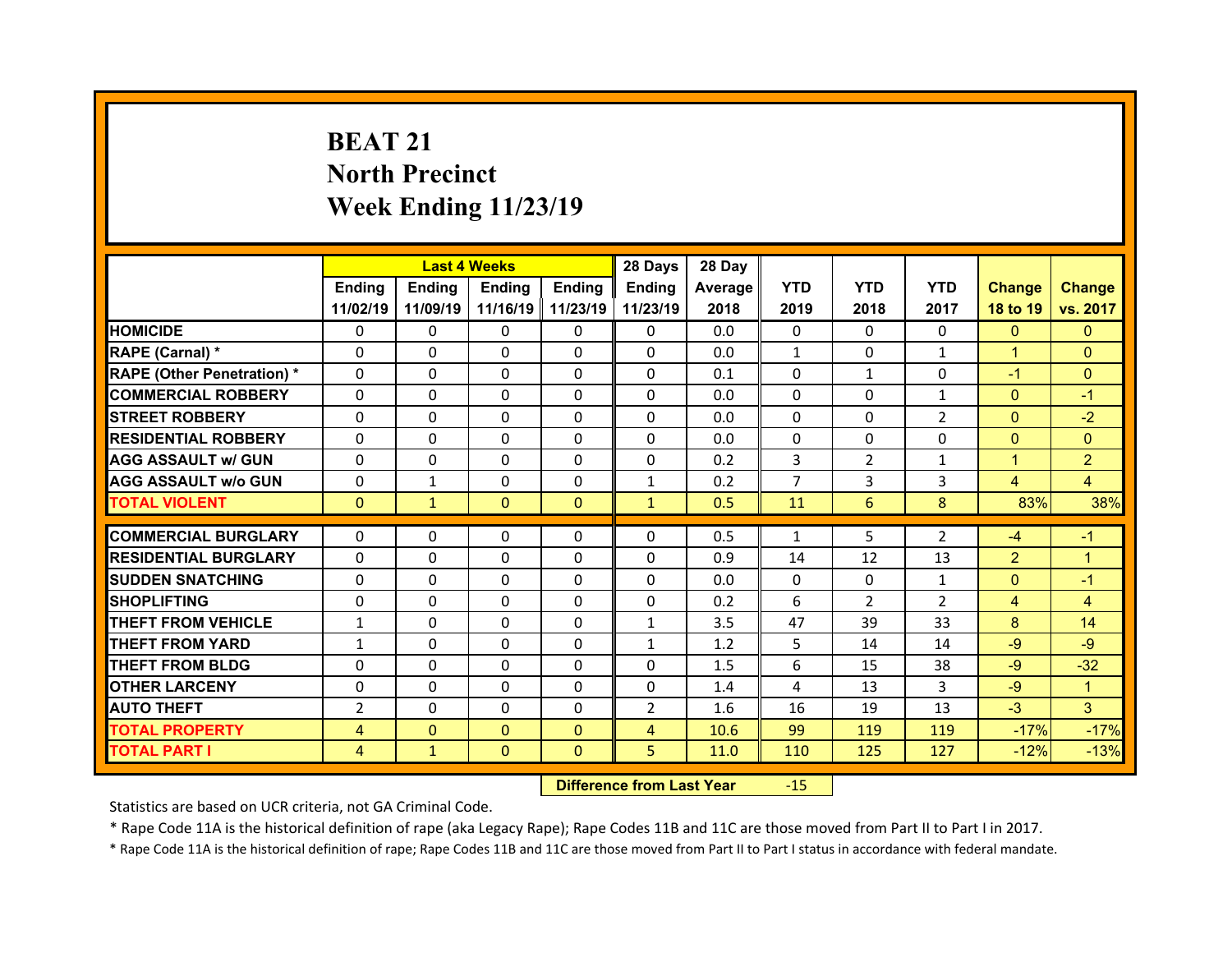# **BEAT 21North Precinct Week Ending 11/23/19**

|                                  |                | <b>Last 4 Weeks</b> |               |               | 28 Days                                 | 28 Day  |                |                |                |                |                |
|----------------------------------|----------------|---------------------|---------------|---------------|-----------------------------------------|---------|----------------|----------------|----------------|----------------|----------------|
|                                  | Ending         | <b>Ending</b>       | <b>Ending</b> | <b>Ending</b> | <b>Ending</b>                           | Average | <b>YTD</b>     | <b>YTD</b>     | <b>YTD</b>     | <b>Change</b>  | <b>Change</b>  |
|                                  | 11/02/19       | 11/09/19            | 11/16/19      | 11/23/19      | 11/23/19                                | 2018    | 2019           | 2018           | 2017           | 18 to 19       | vs. 2017       |
| <b>HOMICIDE</b>                  | 0              | 0                   | $\Omega$      | $\Omega$      | $\Omega$                                | 0.0     | $\Omega$       | $\Omega$       | 0              | $\mathbf{0}$   | $\mathbf{0}$   |
| RAPE (Carnal) *                  | 0              | 0                   | $\Omega$      | $\Omega$      | $\Omega$                                | 0.0     | $\mathbf{1}$   | $\Omega$       | $\mathbf{1}$   | $\mathbf{1}$   | $\Omega$       |
| <b>RAPE (Other Penetration)*</b> | 0              | $\Omega$            | $\Omega$      | $\Omega$      | $\mathbf{0}$                            | 0.1     | $\mathbf{0}$   | $\mathbf{1}$   | 0              | $-1$           | $\Omega$       |
| <b>COMMERCIAL ROBBERY</b>        | $\Omega$       | 0                   | $\Omega$      | $\Omega$      | $\Omega$                                | 0.0     | $\Omega$       | $\Omega$       | $\mathbf{1}$   | $\Omega$       | $-1$           |
| <b>STREET ROBBERY</b>            | $\Omega$       | $\Omega$            | $\Omega$      | $\Omega$      | $\Omega$                                | 0.0     | $\Omega$       | 0              | $\overline{2}$ | $\overline{0}$ | $-2$           |
| <b>RESIDENTIAL ROBBERY</b>       | $\Omega$       | $\Omega$            | $\Omega$      | 0             | $\Omega$                                | 0.0     | 0              | 0              | $\Omega$       | $\overline{0}$ | $\overline{0}$ |
| <b>AGG ASSAULT w/ GUN</b>        | 0              | $\Omega$            | $\Omega$      | $\Omega$      | 0                                       | 0.2     | 3              | $\overline{2}$ | $\mathbf{1}$   | $\mathbf{1}$   | $\overline{2}$ |
| <b>AGG ASSAULT w/o GUN</b>       | 0              | $\mathbf{1}$        | 0             | 0             | $\mathbf{1}$                            | 0.2     | $\overline{7}$ | 3              | 3              | 4              | $\overline{4}$ |
| <b>TOTAL VIOLENT</b>             | $\Omega$       | $\mathbf{1}$        | $\Omega$      | $\mathbf{0}$  | $\mathbf{1}$                            | 0.5     | 11             | 6              | 8              | 83%            | 38%            |
| <b>COMMERCIAL BURGLARY</b>       |                |                     |               |               |                                         |         |                |                |                |                |                |
|                                  | 0              | 0                   | 0             | 0             | $\mathbf{0}$                            | 0.5     | $\mathbf{1}$   | 5              | $\overline{2}$ | $-4$           | $-1$           |
| <b>RESIDENTIAL BURGLARY</b>      | 0              | 0                   | $\mathbf 0$   | 0             | $\Omega$                                | 0.9     | 14             | 12             | 13             | $\overline{2}$ | $\mathbf{1}$   |
| <b>SUDDEN SNATCHING</b>          | 0              | 0                   | 0             | $\Omega$      | $\Omega$                                | 0.0     | $\mathbf{0}$   | 0              | 1              | $\mathbf{0}$   | $-1$           |
| <b>SHOPLIFTING</b>               | 0              | 0                   | $\Omega$      | $\Omega$      | $\mathbf{0}$                            | 0.2     | 6              | $\overline{2}$ | $\overline{2}$ | 4              | $\overline{4}$ |
| <b>THEFT FROM VEHICLE</b>        | $\mathbf{1}$   | 0                   | $\Omega$      | $\Omega$      | $\mathbf{1}$                            | 3.5     | 47             | 39             | 33             | 8              | 14             |
| <b>THEFT FROM YARD</b>           | $\mathbf{1}$   | $\Omega$            | $\Omega$      | $\Omega$      | $\mathbf{1}$                            | 1.2     | 5              | 14             | 14             | $-9$           | $-9$           |
| <b>THEFT FROM BLDG</b>           | 0              | 0                   | $\Omega$      | $\Omega$      | $\mathbf{0}$                            | 1.5     | 6              | 15             | 38             | $-9$           | $-32$          |
| <b>OTHER LARCENY</b>             | 0              | $\Omega$            | $\Omega$      | $\Omega$      | $\Omega$                                | 1.4     | 4              | 13             | 3              | $-9$           | $\mathbf{1}$   |
| <b>AUTO THEFT</b>                | $\overline{2}$ | $\Omega$            | $\Omega$      | $\Omega$      | $\overline{2}$                          | 1.6     | 16             | 19             | 13             | $-3$           | 3              |
| <b>TOTAL PROPERTY</b>            | 4              | $\mathbf{0}$        | $\Omega$      | $\mathbf{0}$  | $\overline{4}$                          | 10.6    | 99             | 119            | 119            | $-17%$         | $-17%$         |
| <b>TOTAL PART I</b>              | 4              | $\mathbf{1}$        | $\mathbf{0}$  | $\Omega$      | 5                                       | 11.0    | 110            | 125            | 127            | $-12%$         | $-13%$         |
|                                  |                |                     |               |               | <b>INTERNATIONAL ENGINE IN STANDARD</b> |         | $\sim$         |                |                |                |                |

 **Difference from Last Year**r -15

Statistics are based on UCR criteria, not GA Criminal Code.

\* Rape Code 11A is the historical definition of rape (aka Legacy Rape); Rape Codes 11B and 11C are those moved from Part II to Part I in 2017.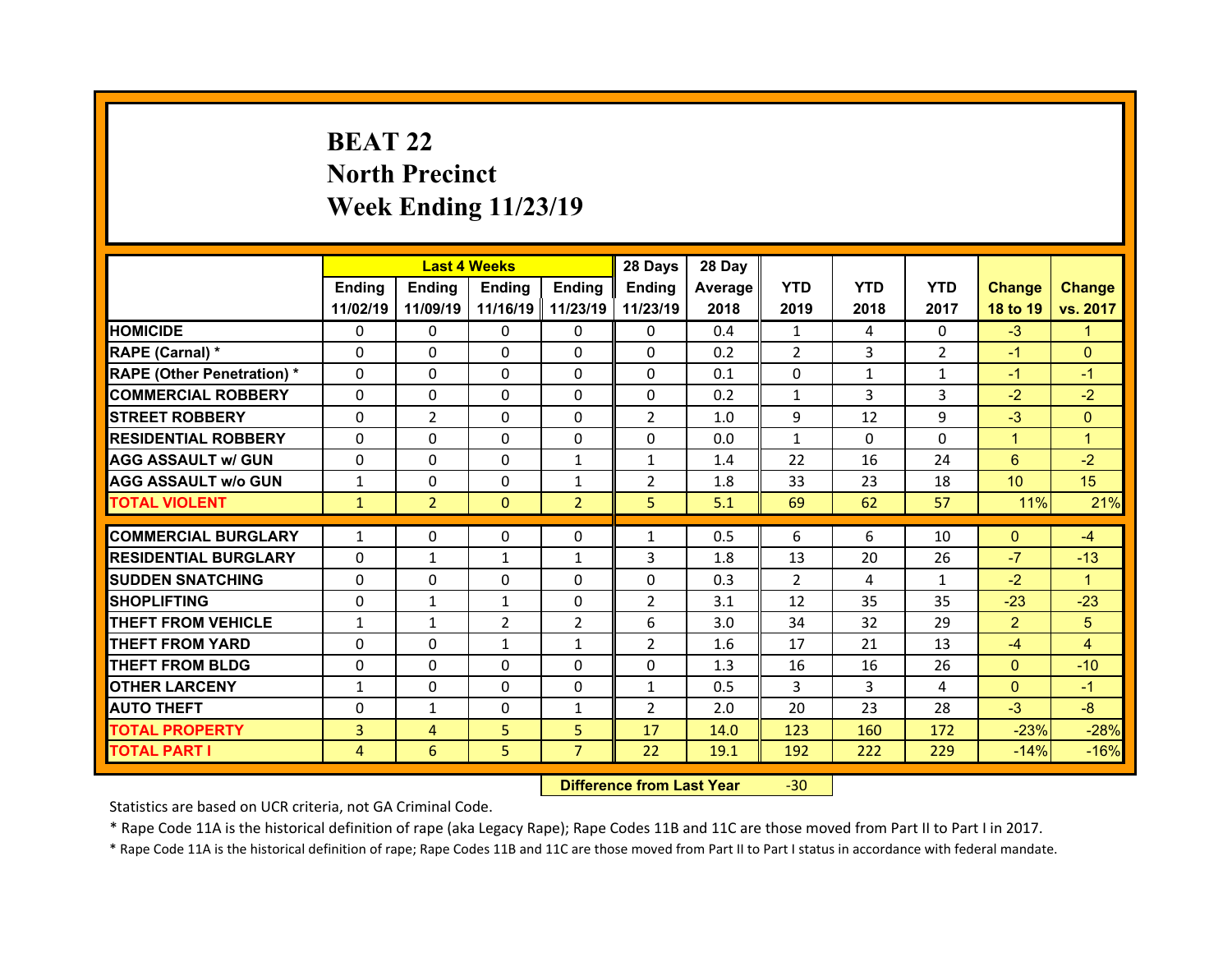## **BEAT 22North Precinct Week Ending 11/23/19**

|                                  |              |                | <b>Last 4 Weeks</b> |                   | 28 Days        | 28 Day  |                |              |                |                 |               |
|----------------------------------|--------------|----------------|---------------------|-------------------|----------------|---------|----------------|--------------|----------------|-----------------|---------------|
|                                  | Ending       | Ending         | Ending              | <b>Ending</b>     | Ending         | Average | <b>YTD</b>     | <b>YTD</b>   | <b>YTD</b>     | <b>Change</b>   | <b>Change</b> |
|                                  | 11/02/19     | 11/09/19       |                     | 11/16/19 11/23/19 | 11/23/19       | 2018    | 2019           | 2018         | 2017           | 18 to 19        | vs. 2017      |
| <b>HOMICIDE</b>                  | $\Omega$     | 0              | $\Omega$            | $\Omega$          | 0              | 0.4     | 1              | 4            | $\Omega$       | $-3$            | 1.            |
| RAPE (Carnal) *                  | 0            | $\Omega$       | $\mathbf{0}$        | $\Omega$          | 0              | 0.2     | 2              | 3            | $\overline{2}$ | $-1$            | $\Omega$      |
| <b>RAPE (Other Penetration)*</b> | 0            | $\Omega$       | $\Omega$            | $\Omega$          | 0              | 0.1     | 0              | $\mathbf{1}$ | $\mathbf{1}$   | $-1$            | $-1$          |
| <b>COMMERCIAL ROBBERY</b>        | $\Omega$     | 0              | $\Omega$            | $\Omega$          | 0              | 0.2     | $\mathbf{1}$   | 3            | 3              | $-2$            | $-2$          |
| <b>STREET ROBBERY</b>            | $\Omega$     | $\overline{2}$ | $\mathbf{0}$        | $\Omega$          | $\overline{2}$ | 1.0     | 9              | 12           | 9              | $-3$            | $\Omega$      |
| <b>RESIDENTIAL ROBBERY</b>       | $\Omega$     | $\Omega$       | $\Omega$            | $\Omega$          | $\Omega$       | 0.0     | $\mathbf{1}$   | $\Omega$     | $\Omega$       | $\mathbf{1}$    | 1             |
| <b>AGG ASSAULT w/ GUN</b>        | $\Omega$     | 0              | $\Omega$            | $\mathbf{1}$      | $\mathbf{1}$   | 1.4     | 22             | 16           | 24             | 6               | $-2$          |
| <b>AGG ASSAULT w/o GUN</b>       | $\mathbf{1}$ | 0              | $\mathbf{0}$        | $\mathbf{1}$      | $\overline{2}$ | 1.8     | 33             | 23           | 18             | 10 <sup>°</sup> | 15            |
| <b>TOTAL VIOLENT</b>             | $\mathbf{1}$ | $\overline{2}$ | $\mathbf{0}$        | $\overline{2}$    | 5              | 5.1     | 69             | 62           | 57             | 11%             | 21%           |
| <b>COMMERCIAL BURGLARY</b>       |              |                |                     |                   |                |         |                | 6            |                |                 |               |
|                                  | $\mathbf{1}$ | 0              | 0                   | 0                 | $\mathbf{1}$   | 0.5     | 6              |              | 10             | $\mathbf{0}$    | $-4$          |
| <b>RESIDENTIAL BURGLARY</b>      | $\Omega$     | $\mathbf{1}$   | $\mathbf{1}$        | 1                 | 3              | 1.8     | 13             | 20           | 26             | $-7$            | $-13$         |
| <b>SUDDEN SNATCHING</b>          | 0            | $\Omega$       | $\Omega$            | $\Omega$          | 0              | 0.3     | $\overline{2}$ | 4            | $\mathbf{1}$   | $-2$            | $\mathbf{1}$  |
| <b>SHOPLIFTING</b>               | 0            | $\mathbf{1}$   | $\mathbf{1}$        | $\Omega$          | $\overline{2}$ | 3.1     | 12             | 35           | 35             | $-23$           | $-23$         |
| <b>THEFT FROM VEHICLE</b>        | $\mathbf{1}$ | $\mathbf{1}$   | $\overline{2}$      | $\overline{2}$    | 6              | 3.0     | 34             | 32           | 29             | $\overline{2}$  | 5             |
| <b>THEFT FROM YARD</b>           |              |                | $\mathbf{1}$        | 1                 | $\overline{2}$ | 1.6     | 17             | 21           | 13             | $-4$            | 4             |
|                                  | 0            | 0              |                     |                   |                |         |                |              |                |                 |               |
| <b>THEFT FROM BLDG</b>           | $\Omega$     | 0              | $\mathbf{0}$        | $\Omega$          | 0              | 1.3     | 16             | 16           | 26             | $\mathbf{0}$    | $-10$         |
| <b>OTHER LARCENY</b>             | $\mathbf{1}$ | 0              | $\Omega$            | $\Omega$          | $\mathbf{1}$   | 0.5     | 3              | 3            | 4              | $\overline{0}$  | $-1$          |
| <b>AUTO THEFT</b>                | 0            | $\mathbf{1}$   | $\mathbf{0}$        | 1                 | $\overline{2}$ | 2.0     | 20             | 23           | 28             | $-3$            | $-8$          |
| <b>TOTAL PROPERTY</b>            | 3            | $\overline{4}$ | 5                   | 5                 | 17             | 14.0    | 123            | 160          | 172            | $-23%$          | $-28%$        |
| <b>TOTAL PART I</b>              | 4            | 6              | 5                   | $\overline{7}$    | 22             | 19.1    | 192            | 222          | 229            | $-14%$          | $-16%$        |

 **Difference from Last Year**‐30

Statistics are based on UCR criteria, not GA Criminal Code.

\* Rape Code 11A is the historical definition of rape (aka Legacy Rape); Rape Codes 11B and 11C are those moved from Part II to Part I in 2017.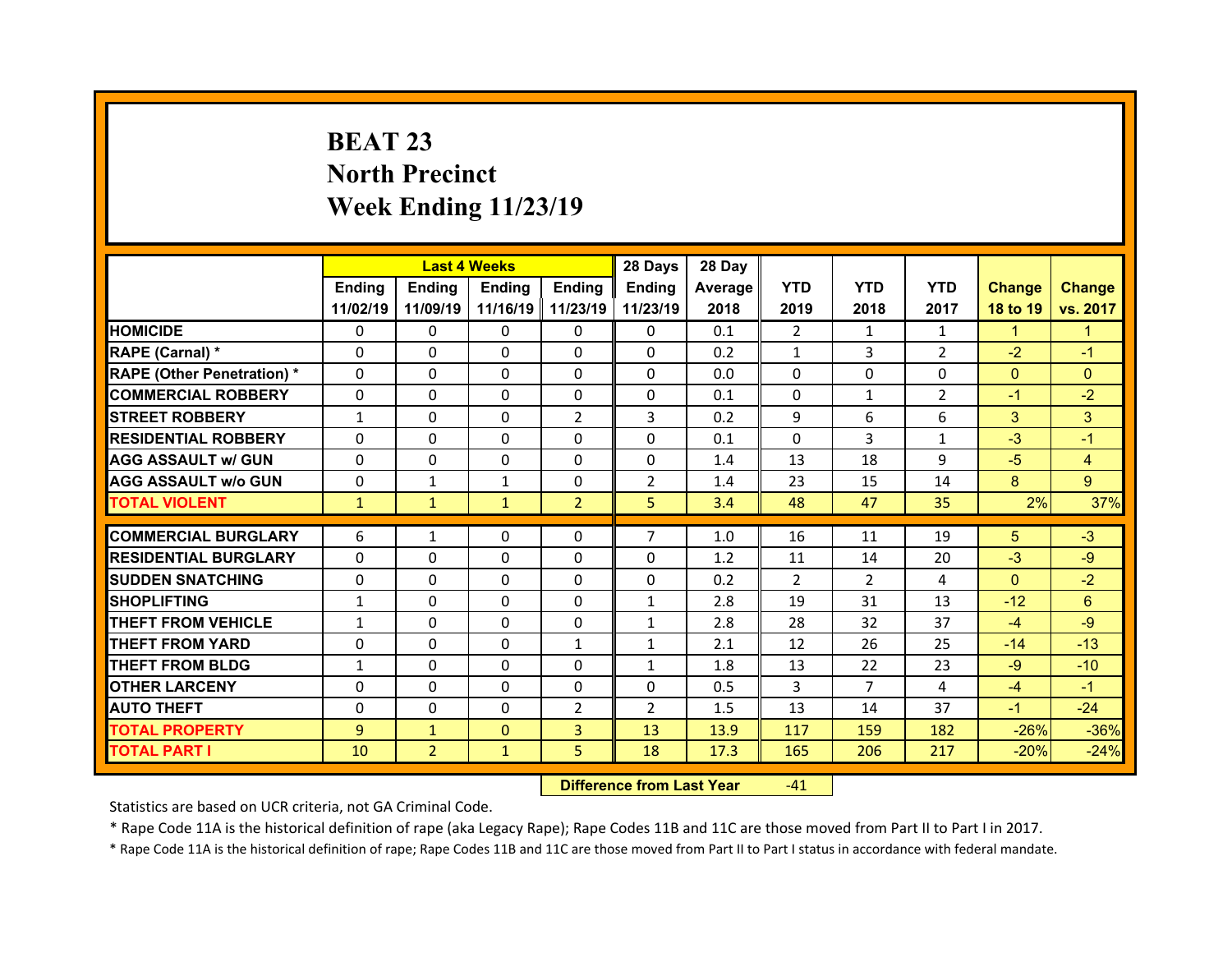# **BEAT 23 North Precinct Week Ending 11/23/19**

|                                   |              | <b>Last 4 Weeks</b> |               |                | 28 Days        | 28 Day  |                |                |                |                |                |
|-----------------------------------|--------------|---------------------|---------------|----------------|----------------|---------|----------------|----------------|----------------|----------------|----------------|
|                                   | Ending       | <b>Ending</b>       | <b>Ending</b> | Ending         | Ending         | Average | <b>YTD</b>     | <b>YTD</b>     | <b>YTD</b>     | <b>Change</b>  | <b>Change</b>  |
|                                   | 11/02/19     | 11/09/19            | 11/16/19      | 11/23/19       | 11/23/19       | 2018    | 2019           | 2018           | 2017           | 18 to 19       | vs. 2017       |
| <b>HOMICIDE</b>                   | $\Omega$     | 0                   | 0             | $\Omega$       | $\Omega$       | 0.1     | $\overline{2}$ | $\mathbf{1}$   | $\mathbf{1}$   | $\mathbf{1}$   | 1              |
| RAPE (Carnal) *                   | $\mathbf{0}$ | 0                   | $\mathbf{0}$  | $\mathbf{0}$   | $\Omega$       | 0.2     | $\mathbf{1}$   | 3              | $\overline{2}$ | $-2$           | $-1$           |
| <b>RAPE (Other Penetration) *</b> | $\Omega$     | $\Omega$            | $\Omega$      | $\Omega$       | $\Omega$       | 0.0     | $\Omega$       | $\Omega$       | $\Omega$       | $\overline{0}$ | $\Omega$       |
| <b>COMMERCIAL ROBBERY</b>         | 0            | $\Omega$            | $\mathbf{0}$  | $\Omega$       | $\Omega$       | 0.1     | $\Omega$       | $\mathbf{1}$   | $\overline{2}$ | $-1$           | $-2$           |
| <b>STREET ROBBERY</b>             | $\mathbf{1}$ | 0                   | $\Omega$      | $\overline{2}$ | 3              | 0.2     | 9              | 6              | 6              | 3              | 3              |
| <b>RESIDENTIAL ROBBERY</b>        | $\Omega$     | 0                   | $\mathbf{0}$  | $\Omega$       | $\Omega$       | 0.1     | $\Omega$       | 3              | $\mathbf{1}$   | $-3$           | $-1$           |
| <b>AGG ASSAULT w/ GUN</b>         | $\Omega$     | $\Omega$            | $\Omega$      | $\Omega$       | $\Omega$       | 1.4     | 13             | 18             | 9              | $-5$           | $\overline{4}$ |
| <b>AGG ASSAULT w/o GUN</b>        | 0            | $\mathbf{1}$        | $\mathbf{1}$  | 0              | $\overline{2}$ | 1.4     | 23             | 15             | 14             | 8              | $\overline{9}$ |
| <b>TOTAL VIOLENT</b>              | $\mathbf{1}$ | $\mathbf{1}$        | $\mathbf{1}$  | $\overline{2}$ | 5              | 3.4     | 48             | 47             | 35             | 2%             | 37%            |
| <b>COMMERCIAL BURGLARY</b>        | 6            | $\mathbf{1}$        | 0             | $\mathbf{0}$   | $\overline{7}$ | 1.0     | 16             | 11             | 19             | 5              | $-3$           |
|                                   |              |                     |               |                |                |         |                |                |                |                |                |
| <b>RESIDENTIAL BURGLARY</b>       | 0            | 0                   | 0             | $\Omega$       | 0              | 1.2     | 11             | 14             | 20             | $-3$           | $-9$           |
| <b>SUDDEN SNATCHING</b>           | $\Omega$     | $\Omega$            | $\mathbf{0}$  | $\Omega$       | $\Omega$       | 0.2     | 2              | $\overline{2}$ | 4              | $\Omega$       | $-2$           |
|                                   |              |                     |               |                |                |         |                |                |                |                |                |
| <b>SHOPLIFTING</b>                | $\mathbf{1}$ | $\Omega$            | $\Omega$      | $\Omega$       | $\mathbf{1}$   | 2.8     | 19             | 31             | 13             | $-12$          | $6\phantom{1}$ |
| <b>THEFT FROM VEHICLE</b>         | $\mathbf{1}$ | $\Omega$            | $\mathbf{0}$  | $\Omega$       | $\mathbf{1}$   | 2.8     | 28             | 32             | 37             | $-4$           | $-9$           |
| <b>THEFT FROM YARD</b>            | $\mathbf{0}$ | 0                   | $\Omega$      | 1              | $\mathbf{1}$   | 2.1     | 12             | 26             | 25             | $-14$          | $-13$          |
| <b>THEFT FROM BLDG</b>            | $\mathbf{1}$ | $\Omega$            | $\mathbf{0}$  | $\Omega$       | $\mathbf{1}$   | 1.8     | 13             | 22             | 23             | $-9$           | $-10$          |
| <b>OTHER LARCENY</b>              | $\Omega$     | $\Omega$            | $\Omega$      | $\Omega$       | $\Omega$       | 0.5     | 3              | $\overline{7}$ | 4              | $-4$           | $-1$           |
| <b>AUTO THEFT</b>                 | $\mathbf{0}$ | 0                   | $\mathbf{0}$  | $\overline{2}$ | $\overline{2}$ | 1.5     | 13             | 14             | 37             | $-1$           | $-24$          |
| <b>TOTAL PROPERTY</b>             | 9            | $\mathbf{1}$        | $\Omega$      | $\overline{3}$ | 13             | 13.9    | 117            | 159            | 182            | $-26%$         | $-36%$         |
| <b>TOTAL PART I</b>               | 10           | $\overline{2}$      | $\mathbf{1}$  | 5              | 18             | 17.3    | 165            | 206            | 217            | $-20%$         | $-24%$         |

 **Difference from Last Year**r -41

Statistics are based on UCR criteria, not GA Criminal Code.

\* Rape Code 11A is the historical definition of rape (aka Legacy Rape); Rape Codes 11B and 11C are those moved from Part II to Part I in 2017.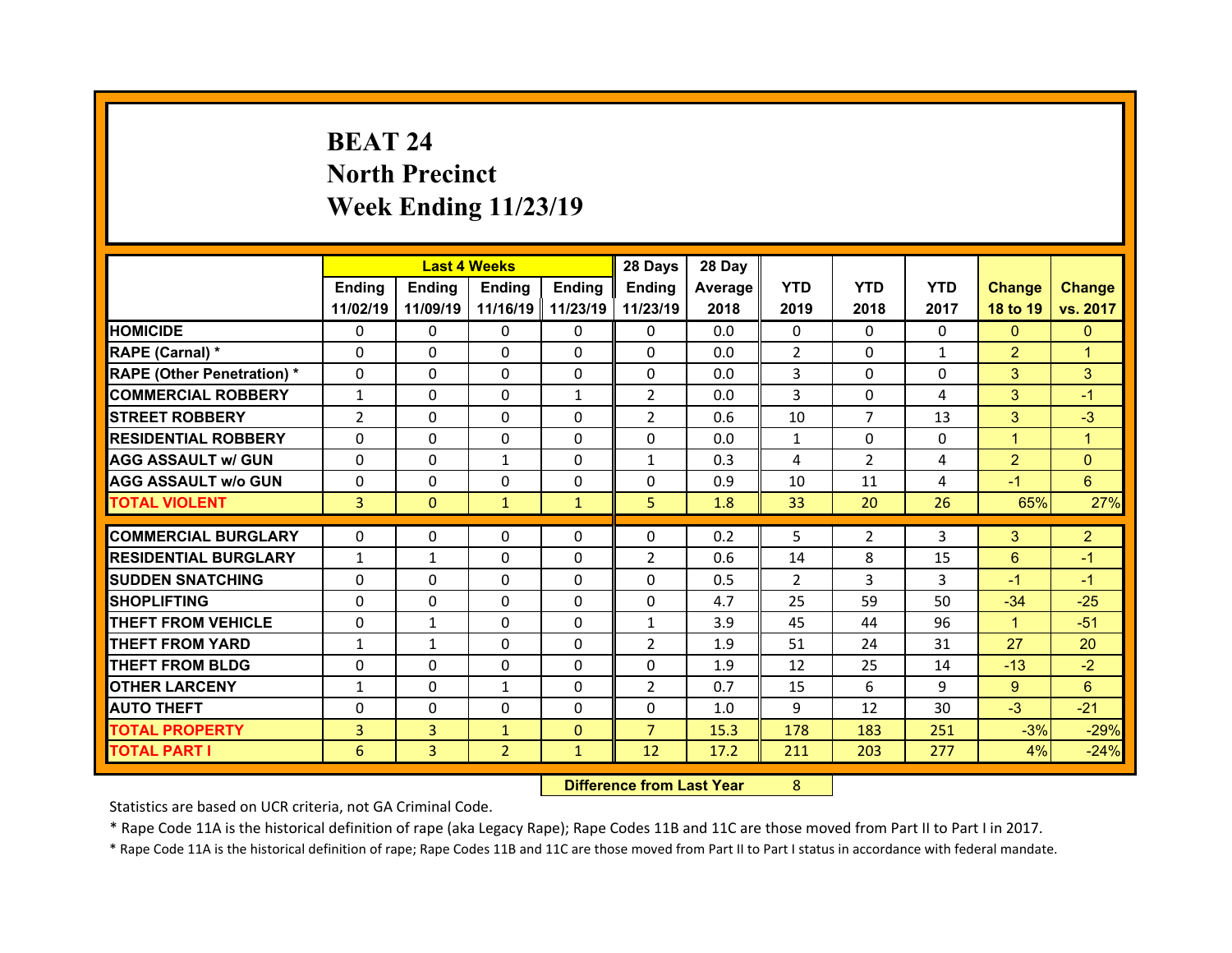# **BEAT 24North Precinct Week Ending 11/23/19**

|                                   |                | <b>Last 4 Weeks</b> |                |              | 28 Days        | 28 Day  |                |                |              |                |                |
|-----------------------------------|----------------|---------------------|----------------|--------------|----------------|---------|----------------|----------------|--------------|----------------|----------------|
|                                   | Ending         | <b>Ending</b>       | <b>Ending</b>  | Ending       | Ending         | Average | <b>YTD</b>     | <b>YTD</b>     | <b>YTD</b>   | <b>Change</b>  | <b>Change</b>  |
|                                   | 11/02/19       | 11/09/19            | 11/16/19       | 11/23/19     | 11/23/19       | 2018    | 2019           | 2018           | 2017         | 18 to 19       | vs. 2017       |
| <b>HOMICIDE</b>                   | $\Omega$       | 0                   | 0              | $\Omega$     | $\Omega$       | 0.0     | $\Omega$       | $\Omega$       | $\Omega$     | $\Omega$       | $\mathbf{0}$   |
| RAPE (Carnal) *                   | $\mathbf{0}$   | 0                   | $\mathbf{0}$   | $\mathbf{0}$ | $\Omega$       | 0.0     | $\overline{2}$ | $\Omega$       | $\mathbf{1}$ | $\overline{2}$ | 1              |
| <b>RAPE (Other Penetration) *</b> | $\Omega$       | $\Omega$            | $\Omega$       | $\Omega$     | $\Omega$       | 0.0     | 3              | $\Omega$       | $\Omega$     | 3              | 3              |
| <b>COMMERCIAL ROBBERY</b>         | $\mathbf{1}$   | $\Omega$            | $\mathbf{0}$   | $\mathbf{1}$ | $\overline{2}$ | 0.0     | $\overline{3}$ | $\Omega$       | 4            | 3              | $-1$           |
| <b>STREET ROBBERY</b>             | $\overline{2}$ | 0                   | $\Omega$       | $\Omega$     | $\overline{2}$ | 0.6     | 10             | $\overline{7}$ | 13           | 3              | $-3$           |
| <b>RESIDENTIAL ROBBERY</b>        | $\Omega$       | 0                   | 0              | $\Omega$     | $\Omega$       | 0.0     | $\mathbf{1}$   | $\Omega$       | $\Omega$     | $\mathbf{1}$   | $\mathbf{1}$   |
| <b>AGG ASSAULT w/ GUN</b>         | $\Omega$       | $\Omega$            | $\mathbf{1}$   | $\Omega$     | $\mathbf{1}$   | 0.3     | $\overline{4}$ | $\overline{2}$ | 4            | $\overline{2}$ | $\Omega$       |
| <b>AGG ASSAULT w/o GUN</b>        | 0              | 0                   | $\mathbf 0$    | $\Omega$     | $\Omega$       | 0.9     | 10             | 11             | 4            | $-1$           | $6^{\circ}$    |
| <b>TOTAL VIOLENT</b>              | 3              | $\mathbf{0}$        | $\mathbf{1}$   | $\mathbf{1}$ | 5              | 1.8     | 33             | 20             | 26           | 65%            | 27%            |
|                                   |                |                     |                |              |                |         |                |                |              |                |                |
|                                   |                |                     |                |              |                |         |                |                |              |                |                |
| <b>COMMERCIAL BURGLARY</b>        | 0              | 0                   | 0              | $\mathbf{0}$ | 0              | 0.2     | 5              | $\overline{2}$ | 3            | 3              | $\overline{2}$ |
| <b>RESIDENTIAL BURGLARY</b>       | $\mathbf{1}$   | $\mathbf{1}$        | 0              | $\Omega$     | $\overline{2}$ | 0.6     | 14             | 8              | 15           | $6\phantom{1}$ | $-1$           |
| <b>SUDDEN SNATCHING</b>           | $\mathbf{0}$   | $\Omega$            | $\mathbf{0}$   | $\Omega$     | $\Omega$       | 0.5     | 2              | 3              | 3            | $-1$           | $-1$           |
| <b>SHOPLIFTING</b>                | 0              | $\Omega$            | $\Omega$       | $\Omega$     | 0              | 4.7     | 25             | 59             | 50           | $-34$          | $-25$          |
| <b>THEFT FROM VEHICLE</b>         | 0              | $\mathbf{1}$        | $\mathbf{0}$   | $\Omega$     | $\mathbf{1}$   | 3.9     | 45             | 44             | 96           | $\mathbf{1}$   | $-51$          |
| <b>THEFT FROM YARD</b>            | $\mathbf{1}$   | $\mathbf{1}$        | $\Omega$       | $\Omega$     | $\overline{2}$ | 1.9     | 51             | 24             | 31           | 27             | 20             |
| <b>THEFT FROM BLDG</b>            | $\Omega$       | $\Omega$            | $\mathbf{0}$   | $\Omega$     | $\Omega$       | 1.9     | 12             | 25             | 14           | $-13$          | $-2$           |
| <b>OTHER LARCENY</b>              | $\mathbf{1}$   | $\Omega$            | $\mathbf{1}$   | $\Omega$     | $\overline{2}$ | 0.7     | 15             | 6              | 9            | 9 <sup>°</sup> | 6              |
| <b>AUTO THEFT</b>                 | $\mathbf{0}$   | 0                   | $\mathbf{0}$   | $\mathbf{0}$ | 0              | 1.0     | 9              | 12             | 30           | $-3$           | $-21$          |
| <b>TOTAL PROPERTY</b>             | 3              | 3                   | $\mathbf{1}$   | $\Omega$     | $\overline{7}$ | 15.3    | 178            | 183            | 251          | $-3%$          | $-29%$         |
| <b>TOTAL PART I</b>               | 6              | 3                   | $\overline{2}$ | $\mathbf{1}$ | 12             | 17.2    | 211            | 203            | 277          | 4%             | $-24%$         |

 **Difference from Last Year**r 8

Statistics are based on UCR criteria, not GA Criminal Code.

\* Rape Code 11A is the historical definition of rape (aka Legacy Rape); Rape Codes 11B and 11C are those moved from Part II to Part I in 2017.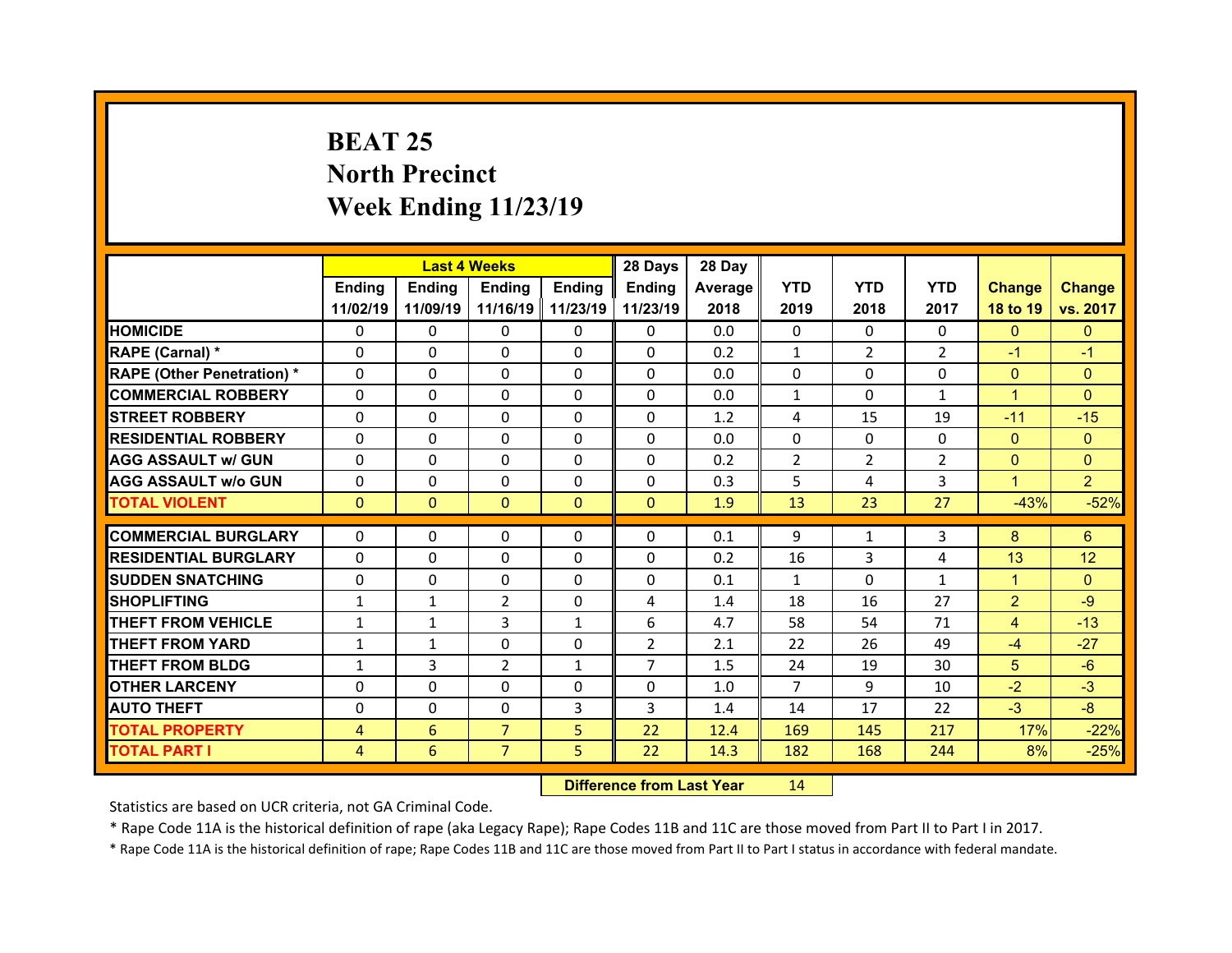# **BEAT 25 North Precinct Week Ending 11/23/19**

|                                  |                | <b>Last 4 Weeks</b> |                |               | 28 Days        | 28 Day  |                |                |                |                |                |
|----------------------------------|----------------|---------------------|----------------|---------------|----------------|---------|----------------|----------------|----------------|----------------|----------------|
|                                  | Ending         | <b>Ending</b>       | <b>Ending</b>  | <b>Endina</b> | <b>Ending</b>  | Average | <b>YTD</b>     | <b>YTD</b>     | <b>YTD</b>     | <b>Change</b>  | <b>Change</b>  |
|                                  | 11/02/19       | 11/09/19            | 11/16/19       | 11/23/19      | 11/23/19       | 2018    | 2019           | 2018           | 2017           | 18 to 19       | vs. 2017       |
| <b>HOMICIDE</b>                  | $\Omega$       | 0                   | $\Omega$       | $\Omega$      | $\Omega$       | 0.0     | $\Omega$       | $\Omega$       | 0              | $\Omega$       | $\Omega$       |
| RAPE (Carnal) *                  | $\Omega$       | 0                   | 0              | $\Omega$      | $\Omega$       | 0.2     | $\mathbf{1}$   | $\overline{2}$ | $\overline{2}$ | $-1$           | $-1$           |
| <b>RAPE (Other Penetration)*</b> | $\Omega$       | 0                   | $\Omega$       | $\Omega$      | $\Omega$       | 0.0     | $\Omega$       | $\Omega$       | $\Omega$       | $\mathbf{0}$   | $\Omega$       |
| <b>COMMERCIAL ROBBERY</b>        | 0              | 0                   | $\Omega$       | $\Omega$      | $\Omega$       | 0.0     | $\mathbf{1}$   | $\Omega$       | $\mathbf{1}$   | $\mathbf{1}$   | $\Omega$       |
| <b>STREET ROBBERY</b>            | $\Omega$       | $\Omega$            | $\Omega$       | $\Omega$      | $\Omega$       | 1.2     | 4              | 15             | 19             | $-11$          | $-15$          |
| <b>RESIDENTIAL ROBBERY</b>       | $\Omega$       | 0                   | $\Omega$       | $\Omega$      | $\Omega$       | 0.0     | $\Omega$       | $\Omega$       | $\Omega$       | $\mathbf{0}$   | $\Omega$       |
| <b>AGG ASSAULT w/ GUN</b>        | $\Omega$       | 0                   | $\Omega$       | $\Omega$      | $\Omega$       | 0.2     | $\overline{2}$ | $\overline{2}$ | $\overline{2}$ | $\overline{0}$ | $\Omega$       |
| <b>AGG ASSAULT w/o GUN</b>       | 0              | 0                   | $\Omega$       | $\mathbf{0}$  | $\Omega$       | 0.3     | 5              | 4              | 3              | $\mathbf{1}$   | $\overline{2}$ |
| <b>TOTAL VIOLENT</b>             | $\Omega$       | $\mathbf{0}$        | $\Omega$       | $\Omega$      | $\Omega$       | 1.9     | 13             | 23             | 27             | $-43%$         | $-52%$         |
|                                  |                |                     |                |               |                |         |                |                |                |                |                |
|                                  |                |                     |                |               |                |         |                |                |                |                |                |
| <b>COMMERCIAL BURGLARY</b>       | 0              | 0                   | 0              | $\mathbf{0}$  | $\Omega$       | 0.1     | 9              | $\mathbf{1}$   | 3              | 8              | 6              |
| <b>RESIDENTIAL BURGLARY</b>      | $\Omega$       | 0                   | 0              | $\Omega$      | $\Omega$       | 0.2     | 16             | 3              | 4              | 13             | 12             |
| <b>SUDDEN SNATCHING</b>          | $\Omega$       | 0                   | 0              | $\Omega$      | $\Omega$       | 0.1     | $\mathbf{1}$   | $\Omega$       | $\mathbf{1}$   | $\mathbf{1}$   | $\Omega$       |
| <b>SHOPLIFTING</b>               | $\mathbf{1}$   | $\mathbf{1}$        | 2              | $\Omega$      | 4              | 1.4     | 18             | 16             | 27             | $\overline{2}$ | $-9$           |
| <b>THEFT FROM VEHICLE</b>        | $\mathbf{1}$   | $\mathbf{1}$        | 3              | $\mathbf{1}$  | 6              | 4.7     | 58             | 54             | 71             | $\overline{4}$ | $-13$          |
| <b>THEFT FROM YARD</b>           | 1              | $\mathbf{1}$        | $\Omega$       | $\Omega$      | $\overline{2}$ | 2.1     | 22             | 26             | 49             | $-4$           | $-27$          |
| <b>THEFT FROM BLDG</b>           | $\mathbf{1}$   | 3                   | 2              | $\mathbf{1}$  | $\overline{7}$ | 1.5     | 24             | 19             | 30             | 5              | $-6$           |
| <b>OTHER LARCENY</b>             | $\Omega$       | 0                   | $\Omega$       | $\Omega$      | $\Omega$       | 1.0     | $\overline{7}$ | 9              | 10             | $-2$           | $-3$           |
| <b>AUTO THEFT</b>                | $\Omega$       | 0                   | 0              | 3             | 3              | 1.4     | 14             | 17             | 22             | $-3$           | $-8$           |
| <b>TOTAL PROPERTY</b>            | $\overline{4}$ | 6                   | $\overline{7}$ | 5             | 22             | 12.4    | 169            | 145            | 217            | 17%            | $-22%$         |
| <b>TOTAL PART I</b>              | 4              | 6                   | $\overline{7}$ | 5             | 22             | 14.3    | 182            | 168            | 244            | 8%             | $-25%$         |

 **Difference from Last Year**r 14

Statistics are based on UCR criteria, not GA Criminal Code.

\* Rape Code 11A is the historical definition of rape (aka Legacy Rape); Rape Codes 11B and 11C are those moved from Part II to Part I in 2017.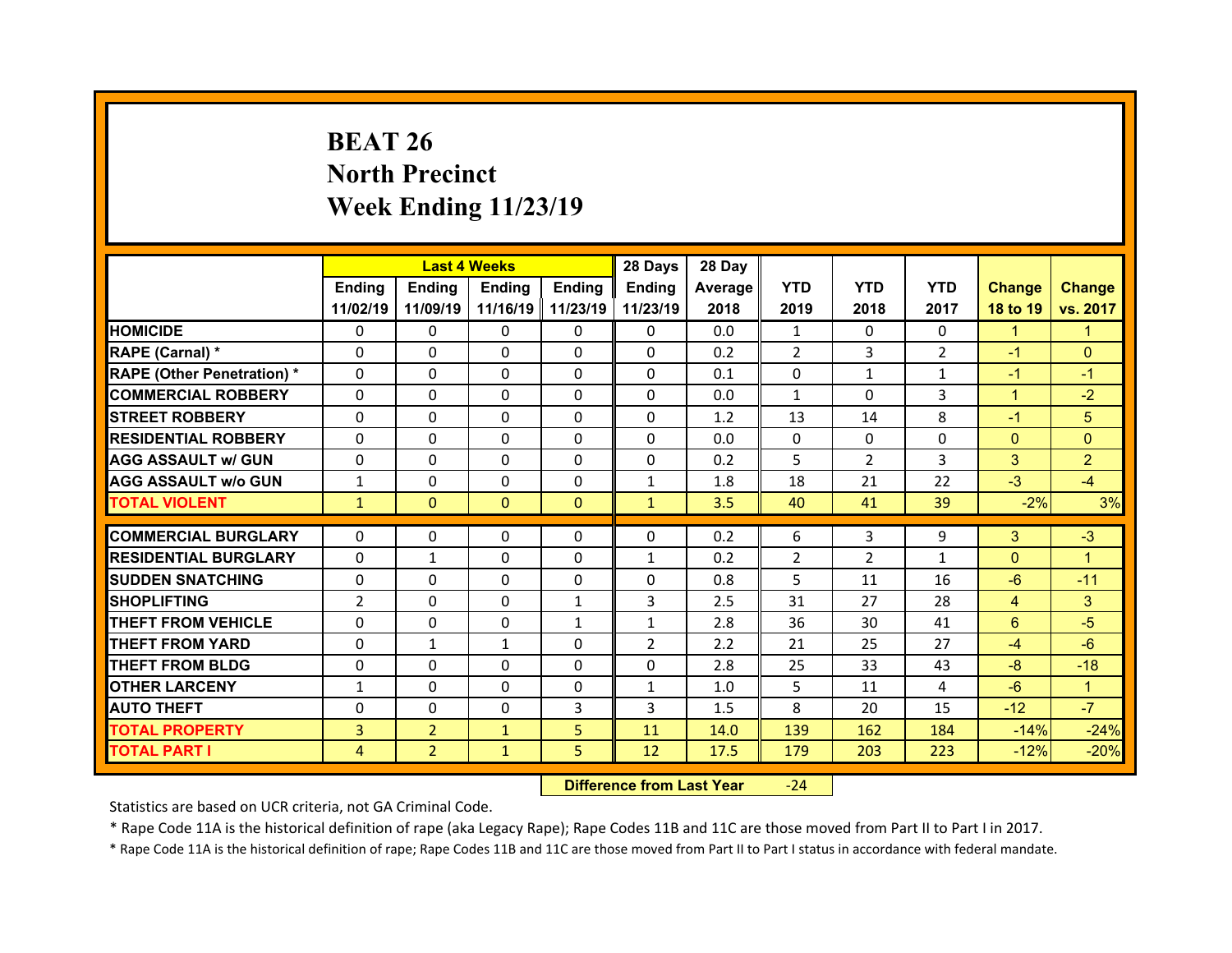# **BEAT 26 North Precinct Week Ending 11/23/19**

|                                   |                | <b>Last 4 Weeks</b> |               |              | 28 Days        | 28 Day  |                |                |                |                |                |
|-----------------------------------|----------------|---------------------|---------------|--------------|----------------|---------|----------------|----------------|----------------|----------------|----------------|
|                                   | Ending         | <b>Ending</b>       | <b>Ending</b> | Ending       | Ending         | Average | <b>YTD</b>     | <b>YTD</b>     | <b>YTD</b>     | <b>Change</b>  | <b>Change</b>  |
|                                   | 11/02/19       | 11/09/19            | 11/16/19      | 11/23/19     | 11/23/19       | 2018    | 2019           | 2018           | 2017           | 18 to 19       | vs. 2017       |
| <b>HOMICIDE</b>                   | $\Omega$       | 0                   | $\Omega$      | $\Omega$     | $\Omega$       | 0.0     | $\mathbf{1}$   | $\Omega$       | 0              | $\mathbf{1}$   | $\mathbf{1}$   |
| RAPE (Carnal) *                   | $\Omega$       | 0                   | $\Omega$      | $\Omega$     | $\Omega$       | 0.2     | $\overline{2}$ | 3              | $\overline{2}$ | $-1$           | $\Omega$       |
| <b>RAPE (Other Penetration) *</b> | $\Omega$       | 0                   | $\Omega$      | $\Omega$     | $\Omega$       | 0.1     | $\Omega$       | $\mathbf{1}$   | $\mathbf{1}$   | $-1$           | $-1$           |
| <b>COMMERCIAL ROBBERY</b>         | $\Omega$       | $\Omega$            | $\Omega$      | $\Omega$     | $\Omega$       | 0.0     | $\mathbf{1}$   | $\Omega$       | 3              | $\mathbf{1}$   | $-2$           |
| <b>STREET ROBBERY</b>             | $\Omega$       | $\Omega$            | $\Omega$      | $\Omega$     | $\Omega$       | 1.2     | 13             | 14             | 8              | $-1$           | 5              |
| <b>RESIDENTIAL ROBBERY</b>        | $\Omega$       | $\Omega$            | $\Omega$      | $\Omega$     | $\Omega$       | 0.0     | $\mathbf{0}$   | $\Omega$       | $\Omega$       | $\mathbf{0}$   | $\Omega$       |
| <b>AGG ASSAULT w/ GUN</b>         | $\Omega$       | $\Omega$            | $\Omega$      | $\Omega$     | $\Omega$       | 0.2     | 5              | $\overline{2}$ | 3              | 3              | $\overline{2}$ |
| <b>AGG ASSAULT w/o GUN</b>        | $\mathbf{1}$   | $\Omega$            | $\Omega$      | 0            | $\mathbf{1}$   | 1.8     | 18             | 21             | 22             | $-3$           | $-4$           |
| <b>TOTAL VIOLENT</b>              | $\mathbf{1}$   | $\mathbf{0}$        | $\Omega$      | $\Omega$     | $\mathbf{1}$   | 3.5     | 40             | 41             | 39             | $-2%$          | 3%             |
|                                   |                |                     |               |              |                |         |                |                |                |                |                |
|                                   |                |                     |               |              |                |         |                |                |                |                |                |
| <b>COMMERCIAL BURGLARY</b>        | 0              | 0                   | $\Omega$      | 0            | $\mathbf{0}$   | 0.2     | 6              | 3              | 9              | 3              | $-3$           |
| <b>RESIDENTIAL BURGLARY</b>       | 0              | $\mathbf{1}$        | 0             | $\Omega$     | $\mathbf{1}$   | 0.2     | 2              | 2              | $\mathbf{1}$   | $\mathbf{0}$   | $\mathbf{1}$   |
| <b>SUDDEN SNATCHING</b>           | $\Omega$       | $\Omega$            | $\Omega$      | $\Omega$     | 0              | 0.8     | 5              | 11             | 16             | $-6$           | $-11$          |
| <b>SHOPLIFTING</b>                | $\overline{2}$ | $\Omega$            | $\Omega$      | $\mathbf{1}$ | 3              | 2.5     | 31             | 27             | 28             | $\overline{4}$ | 3              |
| <b>THEFT FROM VEHICLE</b>         | 0              | $\Omega$            | $\Omega$      | $\mathbf{1}$ | $\mathbf{1}$   | 2.8     | 36             | 30             | 41             | 6              | $-5$           |
| <b>THEFT FROM YARD</b>            | 0              | $\mathbf{1}$        | $\mathbf{1}$  | $\Omega$     | $\overline{2}$ | 2.2     | 21             | 25             | 27             | $-4$           | $-6$           |
| <b>THEFT FROM BLDG</b>            | 0              | $\Omega$            | $\Omega$      | $\Omega$     | $\Omega$       | 2.8     | 25             | 33             | 43             | $-8$           | $-18$          |
| <b>OTHER LARCENY</b>              | $\mathbf{1}$   | $\Omega$            | $\Omega$      | $\Omega$     | $\mathbf{1}$   | 1.0     | 5              | 11             | 4              | $-6$           | 1              |
| <b>AUTO THEFT</b>                 | 0              | 0                   | 0             | 3            | 3              | 1.5     | 8              | 20             | 15             | $-12$          | $-7$           |
| <b>TOTAL PROPERTY</b>             | 3              | $\overline{2}$      | $\mathbf{1}$  | 5            | 11             | 14.0    | 139            | 162            | 184            | $-14%$         | $-24%$         |
| <b>TOTAL PART I</b>               | 4              | $\overline{2}$      | $\mathbf{1}$  | 5            | 12             | 17.5    | 179            | 203            | 223            | $-12%$         | $-20%$         |

 **Difference from Last Year**‐24

Statistics are based on UCR criteria, not GA Criminal Code.

\* Rape Code 11A is the historical definition of rape (aka Legacy Rape); Rape Codes 11B and 11C are those moved from Part II to Part I in 2017.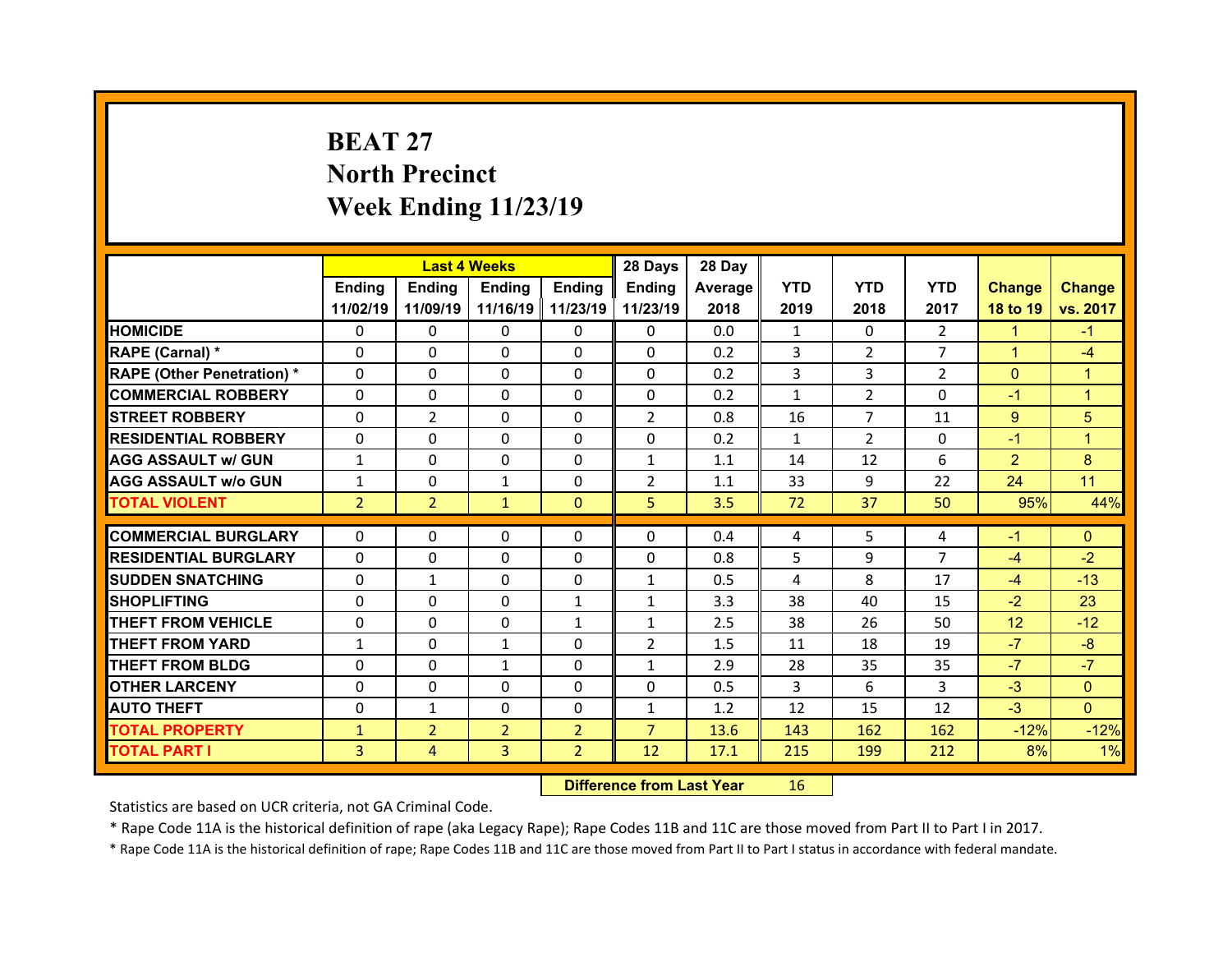# **BEAT 27North Precinct Week Ending 11/23/19**

|                                   |                | <b>Last 4 Weeks</b> |                |                     | 28 Days        | 28 Day  |              |                |                |                 |               |
|-----------------------------------|----------------|---------------------|----------------|---------------------|----------------|---------|--------------|----------------|----------------|-----------------|---------------|
|                                   | Ending         | <b>Ending</b>       | <b>Ending</b>  | Ending              | Ending         | Average | <b>YTD</b>   | <b>YTD</b>     | <b>YTD</b>     | <b>Change</b>   | <b>Change</b> |
|                                   | 11/02/19       | 11/09/19            |                | 11/16/19   11/23/19 | 11/23/19       | 2018    | 2019         | 2018           | 2017           | 18 to 19        | vs. 2017      |
| <b>HOMICIDE</b>                   | $\Omega$       | $\Omega$            | 0              | $\Omega$            | 0              | 0.0     | $\mathbf{1}$ | $\Omega$       | $\overline{2}$ | $\mathbf{1}$    | $-1$          |
| RAPE (Carnal) *                   | $\Omega$       | 0                   | $\mathbf{0}$   | $\mathbf{0}$        | $\Omega$       | 0.2     | 3            | $\overline{2}$ | $\overline{7}$ | $\mathbf{1}$    | $-4$          |
| <b>RAPE (Other Penetration) *</b> | $\Omega$       | 0                   | $\Omega$       | $\Omega$            | $\Omega$       | 0.2     | 3            | 3              | $\overline{2}$ | $\Omega$        | $\mathbf{1}$  |
| <b>COMMERCIAL ROBBERY</b>         | $\Omega$       | $\Omega$            | $\Omega$       | $\Omega$            | $\Omega$       | 0.2     | $\mathbf{1}$ | $\overline{2}$ | $\Omega$       | $-1$            | $\mathbf{1}$  |
| <b>STREET ROBBERY</b>             | $\Omega$       | $\overline{2}$      | $\Omega$       | $\Omega$            | $\overline{2}$ | 0.8     | 16           | $\overline{7}$ | 11             | $9^{\circ}$     | 5             |
| <b>RESIDENTIAL ROBBERY</b>        | $\Omega$       | $\Omega$            | $\mathbf{0}$   | $\Omega$            | $\Omega$       | 0.2     | $\mathbf{1}$ | $\overline{2}$ | $\Omega$       | $-1$            | 1             |
| <b>AGG ASSAULT w/ GUN</b>         | $\mathbf{1}$   | 0                   | $\Omega$       | $\Omega$            | $\mathbf{1}$   | 1.1     | 14           | 12             | 6              | $\overline{2}$  | 8             |
| <b>AGG ASSAULT w/o GUN</b>        | $\mathbf{1}$   | $\Omega$            | $\mathbf{1}$   | $\Omega$            | $\overline{2}$ | 1.1     | 33           | 9              | 22             | 24              | 11            |
| <b>TOTAL VIOLENT</b>              | $\overline{2}$ | $\overline{2}$      | $\mathbf{1}$   | $\Omega$            | 5              | 3.5     | 72           | 37             | 50             | 95%             | 44%           |
| <b>COMMERCIAL BURGLARY</b>        | $\Omega$       | 0                   | 0              | $\mathbf{0}$        | $\Omega$       | 0.4     |              | 5.             |                | $-1$            | $\Omega$      |
|                                   |                |                     |                |                     |                |         | 4            |                | 4              |                 |               |
| <b>RESIDENTIAL BURGLARY</b>       | 0              | $\Omega$            | 0              | $\Omega$            | 0              | 0.8     | 5            | 9              | $\overline{7}$ | $-4$            | $-2$          |
| <b>SUDDEN SNATCHING</b>           | $\mathbf{0}$   | $\mathbf{1}$        | $\mathbf{0}$   | $\Omega$            | $\mathbf{1}$   | 0.5     | 4            | 8              | 17             | $-4$            | $-13$         |
| <b>SHOPLIFTING</b>                | 0              | $\Omega$            | $\Omega$       | $\mathbf{1}$        | $\mathbf{1}$   | 3.3     | 38           | 40             | 15             | $-2$            | 23            |
| <b>THEFT FROM VEHICLE</b>         | $\mathbf{0}$   | 0                   | $\mathbf{0}$   | 1                   | $\mathbf{1}$   | 2.5     | 38           | 26             | 50             | 12 <sup>2</sup> | $-12$         |
| <b>THEFT FROM YARD</b>            | $\mathbf{1}$   | $\Omega$            | $\mathbf{1}$   | $\Omega$            | $\overline{2}$ | 1.5     | 11           | 18             | 19             | $-7$            | $-8$          |
| <b>THEFT FROM BLDG</b>            | $\mathbf{0}$   | 0                   | $\mathbf{1}$   | $\Omega$            | $\mathbf{1}$   | 2.9     | 28           | 35             | 35             | $-7$            | $-7$          |
| <b>OTHER LARCENY</b>              | $\Omega$       | $\Omega$            | $\Omega$       | $\Omega$            | $\Omega$       | 0.5     | 3            | 6              | 3              | $-3$            | $\Omega$      |
| <b>AUTO THEFT</b>                 | 0              | $\mathbf{1}$        | 0              | 0                   | $\mathbf{1}$   | 1.2     | 12           | 15             | 12             | $-3$            | $\Omega$      |
| <b>TOTAL PROPERTY</b>             | $\mathbf{1}$   | $\overline{2}$      | $\overline{2}$ | $\overline{2}$      | $\overline{7}$ | 13.6    | 143          | 162            | 162            | $-12%$          | $-12%$        |
| <b>TOTAL PART I</b>               | 3              | $\overline{4}$      | 3              | $\overline{2}$      | 12             | 17.1    | 215          | 199            | 212            | 8%              | 1%            |

 **Difference from Last Year**r 16

Statistics are based on UCR criteria, not GA Criminal Code.

\* Rape Code 11A is the historical definition of rape (aka Legacy Rape); Rape Codes 11B and 11C are those moved from Part II to Part I in 2017.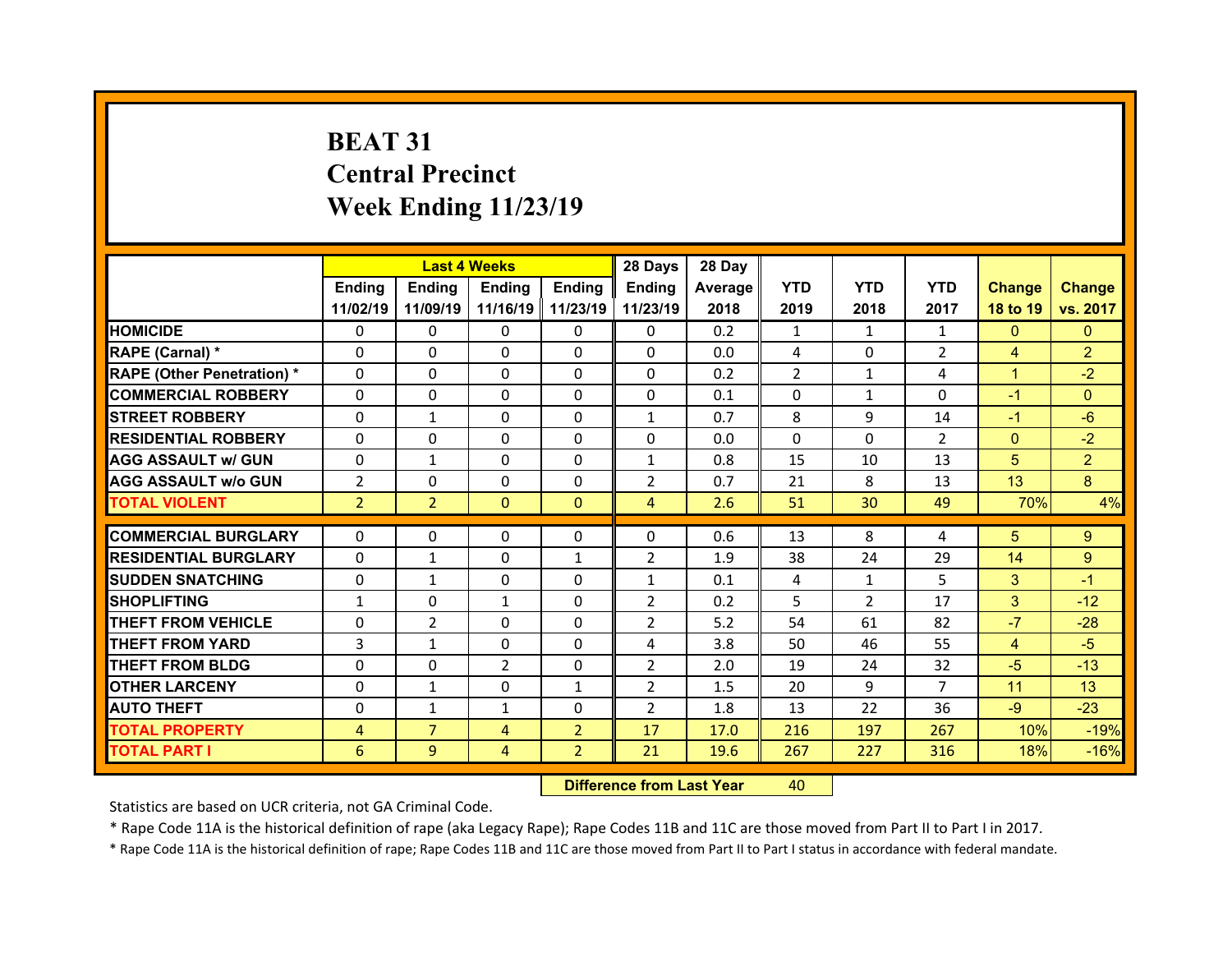# **BEAT 31Central Precinct Week Ending 11/23/19**

|                                  |                | <b>Last 4 Weeks</b> |               |                   | 28 Days        | 28 Day  |            |                |                |                |                |
|----------------------------------|----------------|---------------------|---------------|-------------------|----------------|---------|------------|----------------|----------------|----------------|----------------|
|                                  | Ending         | Ending              | <b>Ending</b> | <b>Ending</b>     | Ending         | Average | <b>YTD</b> | <b>YTD</b>     | <b>YTD</b>     | <b>Change</b>  | <b>Change</b>  |
|                                  | 11/02/19       | 11/09/19            |               | 11/16/19 11/23/19 | 11/23/19       | 2018    | 2019       | 2018           | 2017           | 18 to 19       | vs. 2017       |
| <b>HOMICIDE</b>                  | $\Omega$       | 0                   | $\Omega$      | $\Omega$          | 0              | 0.2     | 1          | $\mathbf{1}$   | $\mathbf{1}$   | $\mathbf{0}$   | $\mathbf{0}$   |
| RAPE (Carnal) *                  | $\Omega$       | $\Omega$            | $\mathbf{0}$  | $\Omega$          | 0              | 0.0     | 4          | $\Omega$       | $\overline{2}$ | $\overline{4}$ | $\overline{2}$ |
| <b>RAPE (Other Penetration)*</b> | 0              | $\Omega$            | $\Omega$      | $\Omega$          | 0              | 0.2     | 2          | $\mathbf{1}$   | 4              | $\mathbf{1}$   | $-2$           |
| <b>COMMERCIAL ROBBERY</b>        | $\Omega$       | 0                   | $\Omega$      | $\Omega$          | 0              | 0.1     | $\Omega$   | 1              | $\Omega$       | $-1$           | $\Omega$       |
| <b>STREET ROBBERY</b>            | $\Omega$       | $\mathbf{1}$        | $\mathbf{0}$  | $\Omega$          | $\mathbf{1}$   | 0.7     | 8          | 9              | 14             | $-1$           | $-6$           |
| <b>RESIDENTIAL ROBBERY</b>       | $\Omega$       | $\Omega$            | $\Omega$      | $\Omega$          | $\Omega$       | 0.0     | $\Omega$   | $\Omega$       | $\overline{2}$ | $\mathbf{0}$   | $-2$           |
| <b>AGG ASSAULT w/ GUN</b>        | $\Omega$       | $\mathbf{1}$        | $\Omega$      | $\Omega$          | $\mathbf{1}$   | 0.8     | 15         | 10             | 13             | 5              | $\overline{2}$ |
| <b>AGG ASSAULT w/o GUN</b>       | $\overline{2}$ | $\Omega$            | $\mathbf{0}$  | $\Omega$          | $\overline{2}$ | 0.7     | 21         | 8              | 13             | 13             | 8              |
| <b>TOTAL VIOLENT</b>             | $\overline{2}$ | $\overline{2}$      | $\mathbf{0}$  | $\mathbf{0}$      | $\overline{4}$ | 2.6     | 51         | 30             | 49             | 70%            | 4%             |
| <b>COMMERCIAL BURGLARY</b>       | 0              | 0                   | 0             | 0                 | $\Omega$       | 0.6     | 13         | 8              |                | 5              | 9              |
|                                  | $\Omega$       |                     |               |                   |                |         |            |                | 4              |                |                |
| <b>RESIDENTIAL BURGLARY</b>      |                | $\mathbf{1}$        | 0             | 1                 | 2              | 1.9     | 38         | 24             | 29             | 14             | 9              |
| <b>SUDDEN SNATCHING</b>          | 0              | $\mathbf{1}$        | $\Omega$      | $\Omega$          | $\mathbf{1}$   | 0.1     | 4          | $\mathbf{1}$   | 5              | 3              | $-1$           |
| <b>SHOPLIFTING</b>               | $\mathbf{1}$   | $\Omega$            | $\mathbf{1}$  | $\Omega$          | $\overline{2}$ | 0.2     | 5          | $\overline{2}$ | 17             | 3              | $-12$          |
| <b>THEFT FROM VEHICLE</b>        | 0              | $\overline{2}$      | 0             | $\Omega$          | $\overline{2}$ | 5.2     | 54         | 61             | 82             | $-7$           | $-28$          |
| <b>THEFT FROM YARD</b>           | 3              | $\mathbf{1}$        | 0             | $\Omega$          | 4              | 3.8     | 50         | 46             | 55             | $\overline{4}$ | $-5$           |
| <b>THEFT FROM BLDG</b>           | $\Omega$       | 0                   | 2             | $\mathbf{0}$      | $\overline{2}$ | 2.0     | 19         | 24             | 32             | $-5$           | $-13$          |
| <b>OTHER LARCENY</b>             | 0              | $\mathbf{1}$        | $\Omega$      | $\mathbf{1}$      | $\overline{2}$ | 1.5     | 20         | 9              | $\overline{7}$ | 11             | 13             |
| <b>AUTO THEFT</b>                | 0              | $\mathbf{1}$        | $\mathbf{1}$  | $\Omega$          | $\overline{2}$ | 1.8     | 13         | 22             | 36             | $-9$           | $-23$          |
| <b>TOTAL PROPERTY</b>            | 4              | $\overline{7}$      | 4             | $\overline{2}$    | 17             | 17.0    | 216        | 197            | 267            | 10%            | $-19%$         |
|                                  |                |                     |               |                   |                |         |            |                |                |                |                |
| <b>TOTAL PART I</b>              | 6              | 9                   | 4             | $\overline{2}$    | 21             | 19.6    | 267        | 227            | 316            | 18%            | $-16%$         |

 **Difference from Last Year**r 40

Statistics are based on UCR criteria, not GA Criminal Code.

\* Rape Code 11A is the historical definition of rape (aka Legacy Rape); Rape Codes 11B and 11C are those moved from Part II to Part I in 2017.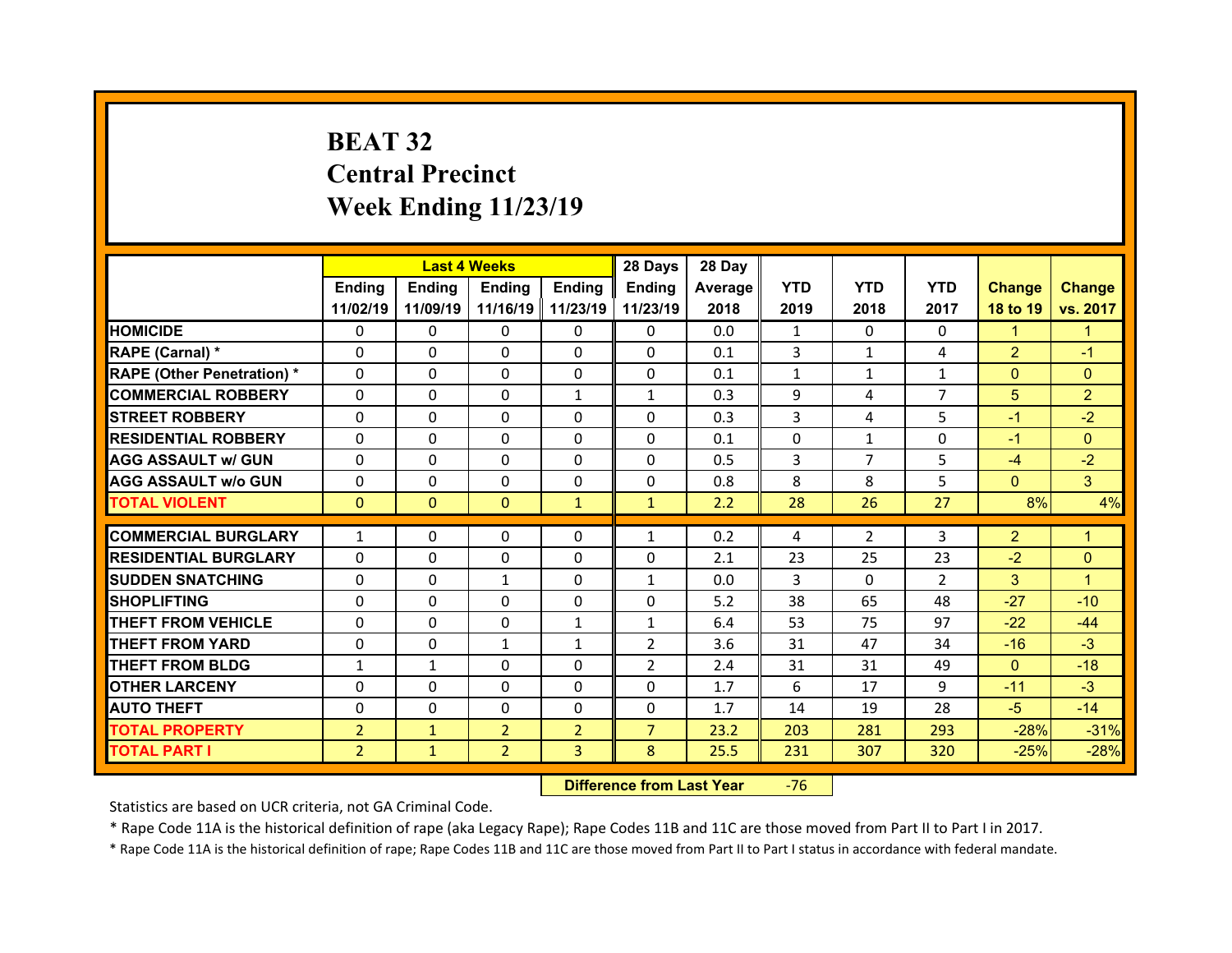# **BEAT 32 Central Precinct Week Ending 11/23/19**

|                                   |                | <b>Last 4 Weeks</b> |                |                   | 28 Days        | 28 Day  |              |                |                |                 |                |
|-----------------------------------|----------------|---------------------|----------------|-------------------|----------------|---------|--------------|----------------|----------------|-----------------|----------------|
|                                   | <b>Ending</b>  | <b>Ending</b>       | Ending         | <b>Ending</b>     | Ending         | Average | <b>YTD</b>   | <b>YTD</b>     | <b>YTD</b>     | <b>Change</b>   | <b>Change</b>  |
|                                   | 11/02/19       | 11/09/19            |                | 11/16/19 11/23/19 | 11/23/19       | 2018    | 2019         | 2018           | 2017           | 18 to 19        | vs. 2017       |
| <b>HOMICIDE</b>                   | $\Omega$       | 0                   | $\Omega$       | 0                 | $\Omega$       | 0.0     | $\mathbf{1}$ | $\Omega$       | 0              | $\mathbf{1}$    | 1              |
| RAPE (Carnal) *                   | $\Omega$       | 0                   | $\Omega$       | 0                 | $\Omega$       | 0.1     | 3            | $\mathbf{1}$   | 4              | $\overline{2}$  | $-1$           |
| <b>RAPE (Other Penetration) *</b> | $\Omega$       | $\Omega$            | $\Omega$       | $\Omega$          | $\Omega$       | 0.1     | $\mathbf{1}$ | 1              | $\mathbf{1}$   | $\Omega$        | $\Omega$       |
| <b>COMMERCIAL ROBBERY</b>         | $\Omega$       | $\Omega$            | $\Omega$       | $\mathbf{1}$      | $\mathbf{1}$   | 0.3     | 9            | 4              | $\overline{7}$ | $5\phantom{.0}$ | $\overline{2}$ |
| <b>STREET ROBBERY</b>             | $\Omega$       | $\Omega$            | $\Omega$       | $\Omega$          | $\Omega$       | 0.3     | 3            | 4              | 5.             | $-1$            | $-2$           |
| <b>RESIDENTIAL ROBBERY</b>        | $\Omega$       | $\Omega$            | $\Omega$       | $\Omega$          | $\Omega$       | 0.1     | $\Omega$     | $\mathbf{1}$   | $\Omega$       | $-1$            | $\Omega$       |
| <b>AGG ASSAULT w/ GUN</b>         | $\Omega$       | $\Omega$            | $\Omega$       | $\Omega$          | $\Omega$       | 0.5     | 3            | $\overline{7}$ | 5              | $-4$            | $-2$           |
| <b>AGG ASSAULT w/o GUN</b>        | 0              | 0                   | $\Omega$       | $\Omega$          | $\Omega$       | 0.8     | 8            | 8              | 5              | $\mathbf{0}$    | 3              |
| <b>TOTAL VIOLENT</b>              | $\mathbf{0}$   | $\mathbf{0}$        | $\mathbf{0}$   | $\mathbf{1}$      | $\mathbf{1}$   | 2.2     | 28           | 26             | 27             | 8%              | 4%             |
|                                   |                |                     |                |                   |                |         |              |                |                |                 |                |
| <b>COMMERCIAL BURGLARY</b>        | $\mathbf{1}$   | 0                   | 0              | 0                 | $\mathbf{1}$   | 0.2     | 4            | $\overline{2}$ | 3              | $\overline{2}$  | 1              |
| <b>RESIDENTIAL BURGLARY</b>       | 0              | $\Omega$            | 0              | 0                 | $\Omega$       | 2.1     | 23           | 25             | 23             | $-2$            | $\Omega$       |
| <b>SUDDEN SNATCHING</b>           | $\Omega$       | 0                   | $\mathbf{1}$   | 0                 | $\mathbf{1}$   | 0.0     | 3            | $\Omega$       | $\overline{2}$ | 3               | $\mathbf{1}$   |
| <b>SHOPLIFTING</b>                | 0              | $\Omega$            | $\Omega$       | $\Omega$          | $\Omega$       | 5.2     | 38           | 65             | 48             | $-27$           | $-10$          |
| <b>THEFT FROM VEHICLE</b>         | 0              | 0                   | 0              | $\mathbf{1}$      | $\mathbf{1}$   | 6.4     | 53           | 75             | 97             | $-22$           | $-44$          |
| <b>THEFT FROM YARD</b>            | $\Omega$       | $\Omega$            | $\mathbf{1}$   | $\mathbf{1}$      | $\overline{2}$ | 3.6     | 31           | 47             | 34             | $-16$           | $-3$           |
| <b>THEFT FROM BLDG</b>            | $\mathbf{1}$   | $\mathbf{1}$        | $\Omega$       | $\Omega$          | $\overline{2}$ | 2.4     | 31           | 31             | 49             | $\mathbf{0}$    | $-18$          |
| <b>OTHER LARCENY</b>              | $\Omega$       | $\Omega$            | $\Omega$       | $\Omega$          | $\Omega$       | 1.7     | 6            | 17             | 9              | $-11$           | $-3$           |
|                                   |                |                     |                |                   |                |         |              |                |                |                 |                |
| <b>AUTO THEFT</b>                 | 0              | 0                   | $\Omega$       | $\Omega$          | $\Omega$       | 1.7     | 14           | 19             | 28             | $-5$            | $-14$          |
| <b>TOTAL PROPERTY</b>             | $\overline{2}$ | $\mathbf{1}$        | $\overline{2}$ | $\overline{2}$    | $\overline{7}$ | 23.2    | 203          | 281            | 293            | $-28%$          | $-31%$         |

 **Difference from Last Year**r - 76

Statistics are based on UCR criteria, not GA Criminal Code.

\* Rape Code 11A is the historical definition of rape (aka Legacy Rape); Rape Codes 11B and 11C are those moved from Part II to Part I in 2017.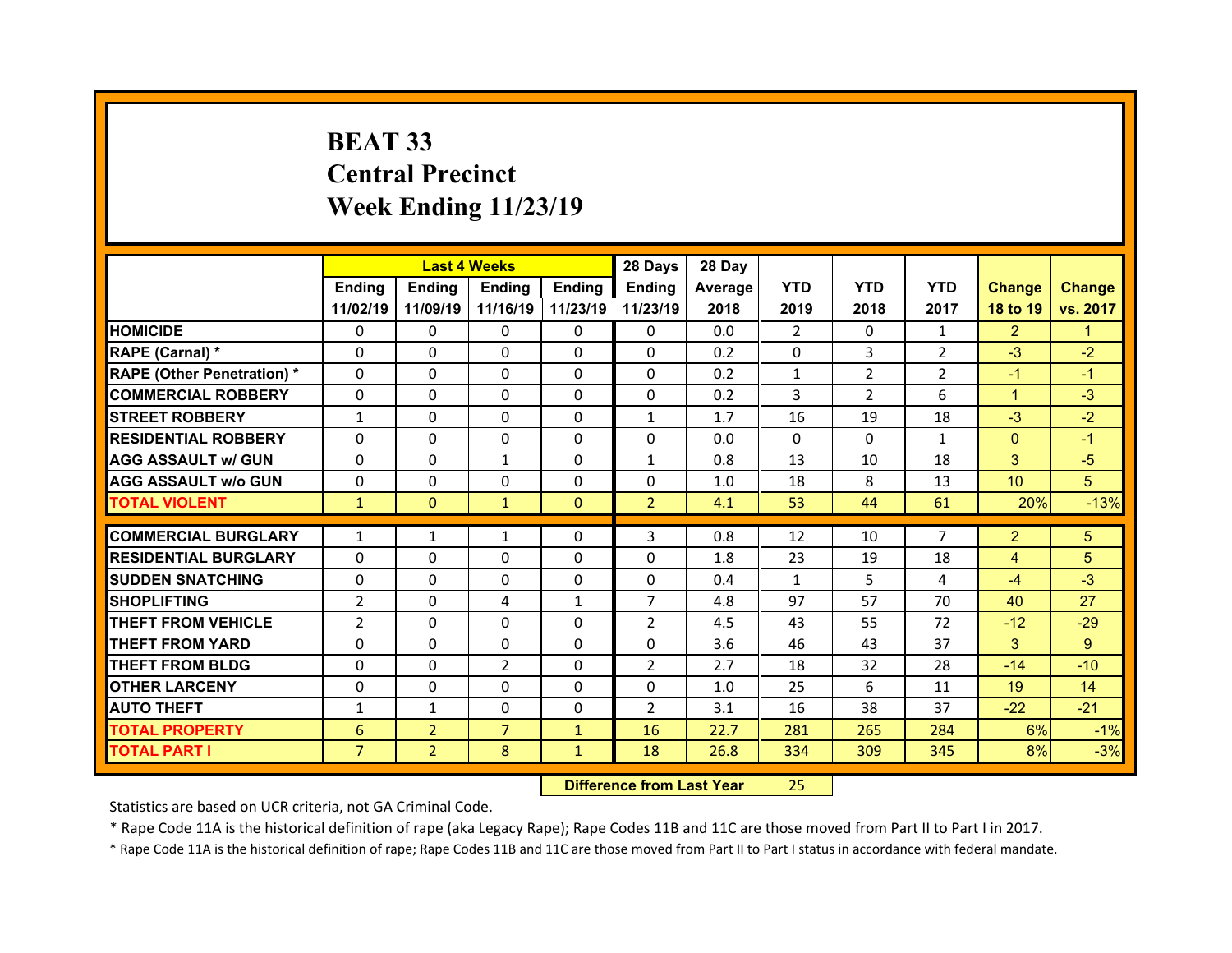# **BEAT 33 Central Precinct Week Ending 11/23/19**

|                                  |                | <b>Last 4 Weeks</b> |                |                   | 28 Days        | 28 Day  |                |                |                |                 |                |
|----------------------------------|----------------|---------------------|----------------|-------------------|----------------|---------|----------------|----------------|----------------|-----------------|----------------|
|                                  | Ending         | Ending              | Ending         | <b>Ending</b>     | Ending         | Average | <b>YTD</b>     | <b>YTD</b>     | <b>YTD</b>     | <b>Change</b>   | <b>Change</b>  |
|                                  | 11/02/19       | 11/09/19            |                | 11/16/19 11/23/19 | 11/23/19       | 2018    | 2019           | 2018           | 2017           | 18 to 19        | vs. 2017       |
| <b>HOMICIDE</b>                  | $\Omega$       | 0                   | $\Omega$       | $\Omega$          | 0              | 0.0     | $\overline{2}$ | $\Omega$       | $\mathbf{1}$   | $\overline{2}$  | 1.             |
| RAPE (Carnal) *                  | 0              | $\Omega$            | $\mathbf{0}$   | $\Omega$          | 0              | 0.2     | 0              | 3              | $\overline{2}$ | $-3$            | $-2$           |
| <b>RAPE (Other Penetration)*</b> | 0              | $\Omega$            | $\Omega$       | $\Omega$          | 0              | 0.2     | $\mathbf{1}$   | $\overline{2}$ | $\overline{2}$ | $-1$            | $-1$           |
| <b>COMMERCIAL ROBBERY</b>        | $\Omega$       | 0                   | $\Omega$       | $\Omega$          | 0              | 0.2     | 3              | $\overline{2}$ | 6              | $\mathbf{1}$    | $-3$           |
| <b>STREET ROBBERY</b>            | $\mathbf{1}$   | $\Omega$            | $\mathbf{0}$   | $\Omega$          | $\mathbf{1}$   | 1.7     | 16             | 19             | 18             | $-3$            | $-2$           |
| <b>RESIDENTIAL ROBBERY</b>       | $\Omega$       | $\Omega$            | $\mathbf{0}$   | $\Omega$          | $\Omega$       | 0.0     | $\Omega$       | $\Omega$       | $\mathbf{1}$   | $\mathbf{0}$    | $-1$           |
| <b>AGG ASSAULT w/ GUN</b>        | $\Omega$       | 0                   | $\mathbf{1}$   | $\Omega$          | $\mathbf{1}$   | 0.8     | 13             | 10             | 18             | 3               | $-5$           |
| <b>AGG ASSAULT w/o GUN</b>       | $\Omega$       | $\Omega$            | $\mathbf{0}$   | $\Omega$          | $\Omega$       | 1.0     | 18             | 8              | 13             | 10 <sup>°</sup> | 5              |
| <b>TOTAL VIOLENT</b>             | $\mathbf{1}$   | $\mathbf{0}$        | $\mathbf{1}$   | $\mathbf{0}$      | 2 <sup>1</sup> | 4.1     | 53             | 44             | 61             | 20%             | $-13%$         |
| <b>COMMERCIAL BURGLARY</b>       | $\mathbf{1}$   | $\mathbf{1}$        |                | 0                 | 3              | 0.8     | 12             | 10             | $\overline{7}$ | $\overline{2}$  | 5              |
|                                  | $\Omega$       |                     | 1              |                   |                |         |                |                |                |                 |                |
| <b>RESIDENTIAL BURGLARY</b>      |                | 0                   | 0              | $\Omega$          | 0              | 1.8     | 23             | 19             | 18             | 4               | 5              |
| <b>SUDDEN SNATCHING</b>          | 0              | $\Omega$            | $\Omega$       | $\Omega$          | 0              | 0.4     | $\mathbf{1}$   | 5.             | 4              | $-4$            | $-3$           |
| <b>SHOPLIFTING</b>               | $\overline{2}$ | $\Omega$            | 4              | 1                 | $\overline{7}$ | 4.8     | 97             | 57             | 70             | 40              | 27             |
| <b>THEFT FROM VEHICLE</b>        | $\overline{2}$ | 0                   | 0              | $\Omega$          | $\overline{2}$ | 4.5     | 43             | 55             | 72             | $-12$           | $-29$          |
| <b>THEFT FROM YARD</b>           | 0              | $\Omega$            | 0              | $\Omega$          | 0              | 3.6     | 46             | 43             | 37             | 3               | $\overline{9}$ |
| <b>THEFT FROM BLDG</b>           | $\Omega$       | 0                   | 2              | $\Omega$          | $\overline{2}$ | 2.7     | 18             | 32             | 28             | $-14$           | $-10$          |
| <b>OTHER LARCENY</b>             | $\Omega$       | 0                   | $\Omega$       | $\Omega$          | $\Omega$       | 1.0     | 25             | 6              | 11             | 19              | 14             |
| <b>AUTO THEFT</b>                | $\mathbf{1}$   | $\mathbf{1}$        | $\mathbf{0}$   | $\Omega$          | $\overline{2}$ | 3.1     | 16             | 38             | 37             | $-22$           | $-21$          |
| <b>TOTAL PROPERTY</b>            | 6              | $\overline{2}$      | $\overline{7}$ | $\mathbf{1}$      | 16             | 22.7    | 281            | 265            | 284            | 6%              | $-1%$          |
| <b>TOTAL PART I</b>              | $\overline{7}$ | $\overline{2}$      | 8              | $\mathbf{1}$      | 18             | 26.8    | 334            | 309            | 345            | 8%              | $-3%$          |
|                                  |                |                     |                |                   |                |         |                |                |                |                 |                |

 **Difference from Last Year**25

Statistics are based on UCR criteria, not GA Criminal Code.

\* Rape Code 11A is the historical definition of rape (aka Legacy Rape); Rape Codes 11B and 11C are those moved from Part II to Part I in 2017.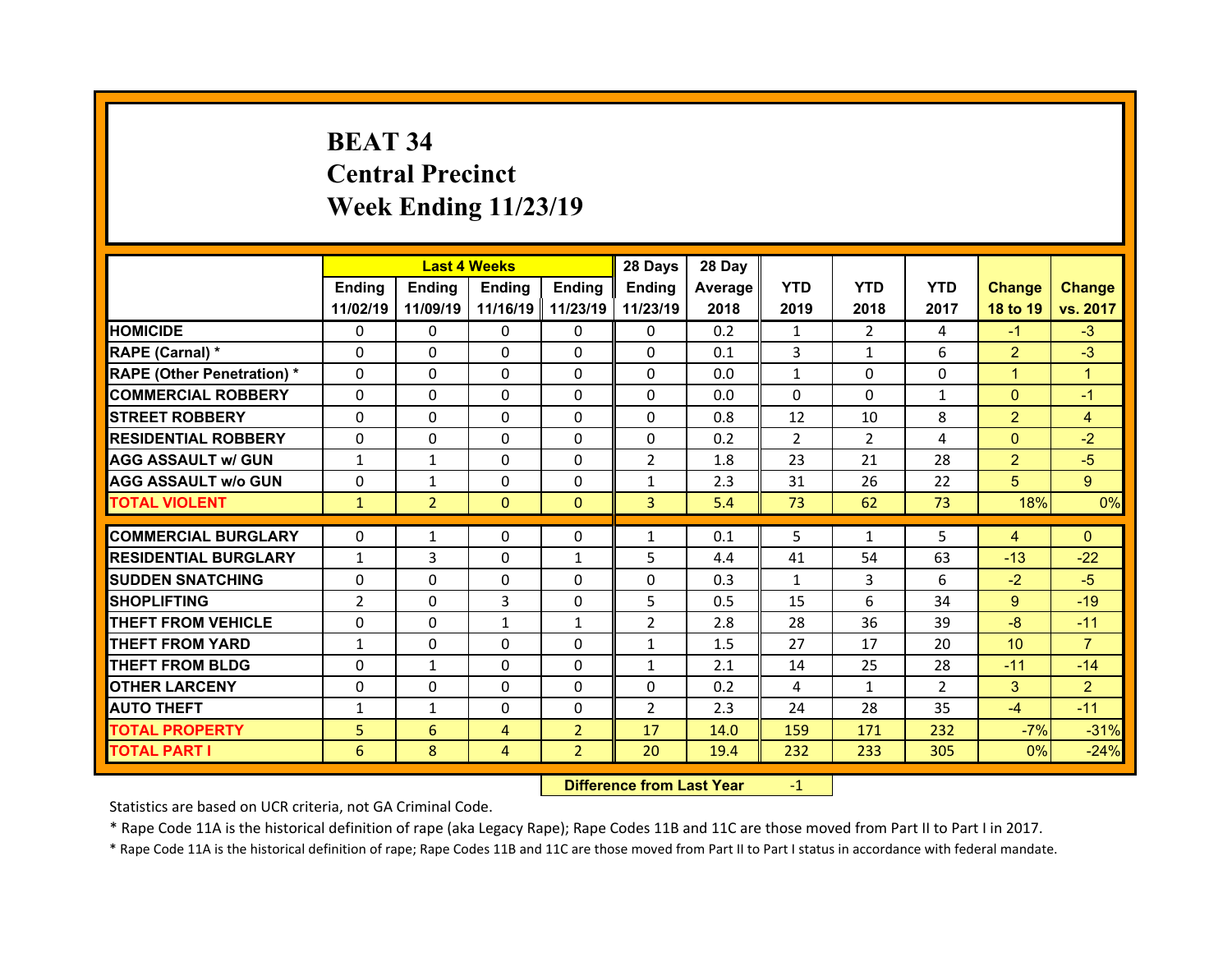# **BEAT 34 Central Precinct Week Ending 11/23/19**

|                                  |              | <b>Last 4 Weeks</b> |               |                     | 28 Days        | 28 Day  |                |                |               |                 |                |
|----------------------------------|--------------|---------------------|---------------|---------------------|----------------|---------|----------------|----------------|---------------|-----------------|----------------|
|                                  | Ending       | <b>Ending</b>       | <b>Ending</b> | Ending              | Ending         | Average | <b>YTD</b>     | <b>YTD</b>     | <b>YTD</b>    | <b>Change</b>   | <b>Change</b>  |
|                                  | 11/02/19     | 11/09/19            |               | 11/16/19   11/23/19 | 11/23/19       | 2018    | 2019           | 2018           | 2017          | 18 to 19        | vs. 2017       |
| <b>HOMICIDE</b>                  | $\Omega$     | $\Omega$            | 0             | $\mathbf{0}$        | 0              | 0.2     | 1              | 2              | 4             | $-1$            | $-3$           |
| RAPE (Carnal) *                  | $\Omega$     | $\Omega$            | $\Omega$      | $\Omega$            | 0              | 0.1     | 3              | $\mathbf{1}$   | 6             | $\overline{2}$  | $-3$           |
| <b>RAPE (Other Penetration)*</b> | $\Omega$     | $\Omega$            | $\Omega$      | $\Omega$            | $\Omega$       | 0.0     | $\mathbf{1}$   | $\Omega$       | $\Omega$      | $\mathbf{1}$    | $\mathbf{1}$   |
| <b>COMMERCIAL ROBBERY</b>        | $\Omega$     | $\Omega$            | $\mathbf{0}$  | $\Omega$            | $\Omega$       | 0.0     | $\Omega$       | $\Omega$       | $\mathbf{1}$  | $\overline{0}$  | $-1$           |
| <b>STREET ROBBERY</b>            | $\Omega$     | $\Omega$            | $\Omega$      | $\Omega$            | $\Omega$       | 0.8     | 12             | 10             | 8             | $\overline{2}$  | $\overline{4}$ |
| <b>RESIDENTIAL ROBBERY</b>       | $\Omega$     | $\Omega$            | $\mathbf{0}$  | $\Omega$            | 0              | 0.2     | $\overline{2}$ | $\overline{2}$ | 4             | $\overline{0}$  | $-2$           |
| <b>AGG ASSAULT w/ GUN</b>        | $\mathbf{1}$ | $\mathbf{1}$        | $\Omega$      | $\Omega$            | $\overline{2}$ | 1.8     | 23             | 21             | 28            | $\overline{2}$  | $-5$           |
| <b>AGG ASSAULT w/o GUN</b>       | $\Omega$     | $\mathbf{1}$        | $\Omega$      | $\Omega$            | $\mathbf{1}$   | 2.3     | 31             | 26             | 22            | 5               | 9 <sup>°</sup> |
| <b>TOTAL VIOLENT</b>             | $\mathbf{1}$ | $\overline{2}$      | $\mathbf{0}$  | $\mathbf{0}$        | $\overline{3}$ | 5.4     | 73             | 62             | 73            | 18%             | 0%             |
| <b>COMMERCIAL BURGLARY</b>       | $\Omega$     | $\mathbf{1}$        | $\mathbf{0}$  | $\mathbf{0}$        | $\mathbf{1}$   | 0.1     | 5              | $\mathbf{1}$   | 5             | $\overline{4}$  | $\mathbf{0}$   |
|                                  |              |                     |               |                     |                |         |                |                |               |                 |                |
| <b>RESIDENTIAL BURGLARY</b>      | $\mathbf{1}$ | 3                   | 0             | $\mathbf{1}$        | 5              | 4.4     | 41             | 54             | 63            | $-13$           | $-22$          |
| <b>SUDDEN SNATCHING</b>          | $\Omega$     | $\Omega$            | $\mathbf{0}$  | $\Omega$            | $\Omega$       | 0.3     | $\mathbf{1}$   | 3              | 6             | $-2$            | $-5$           |
| <b>SHOPLIFTING</b>               | 2            | 0                   | 3             | $\Omega$            | 5              | 0.5     | 15             | 6              | 34            | 9               | $-19$          |
| <b>THEFT FROM VEHICLE</b>        | $\Omega$     | $\Omega$            | $\mathbf{1}$  | $\mathbf{1}$        | $\overline{2}$ | 2.8     | 28             | 36             | 39            | $-8$            | $-11$          |
| <b>THEFT FROM YARD</b>           | $\mathbf{1}$ | $\Omega$            | $\mathbf{0}$  | $\Omega$            | $\mathbf{1}$   | 1.5     | 27             | 17             | 20            | 10 <sup>°</sup> | $\overline{7}$ |
| <b>THEFT FROM BLDG</b>           | $\mathbf{0}$ | $\mathbf{1}$        | $\mathbf{0}$  | $\mathbf{0}$        | $\mathbf{1}$   | 2.1     | 14             | 25             | 28            | $-11$           | $-14$          |
| <b>OTHER LARCENY</b>             | $\Omega$     | 0                   | $\Omega$      | $\Omega$            | $\Omega$       | 0.2     | 4              | $\mathbf{1}$   | $\mathcal{P}$ | 3               | $\overline{2}$ |
| <b>AUTO THEFT</b>                | $\mathbf{1}$ | $\mathbf{1}$        | 0             | $\mathbf{0}$        | $\overline{2}$ | 2.3     | 24             | 28             | 35            | $-4$            | $-11$          |
| <b>TOTAL PROPERTY</b>            | 5            | 6                   | 4             | $\overline{2}$      | 17             | 14.0    | 159            | 171            | 232           | $-7%$           | $-31%$         |
| <b>TOTAL PART I</b>              | 6            | 8                   | 4             | $\overline{2}$      | 20             | 19.4    | 232            | 233            | 305           | 0%              | $-24%$         |

 **Difference from Last Year**r -1

Statistics are based on UCR criteria, not GA Criminal Code.

\* Rape Code 11A is the historical definition of rape (aka Legacy Rape); Rape Codes 11B and 11C are those moved from Part II to Part I in 2017.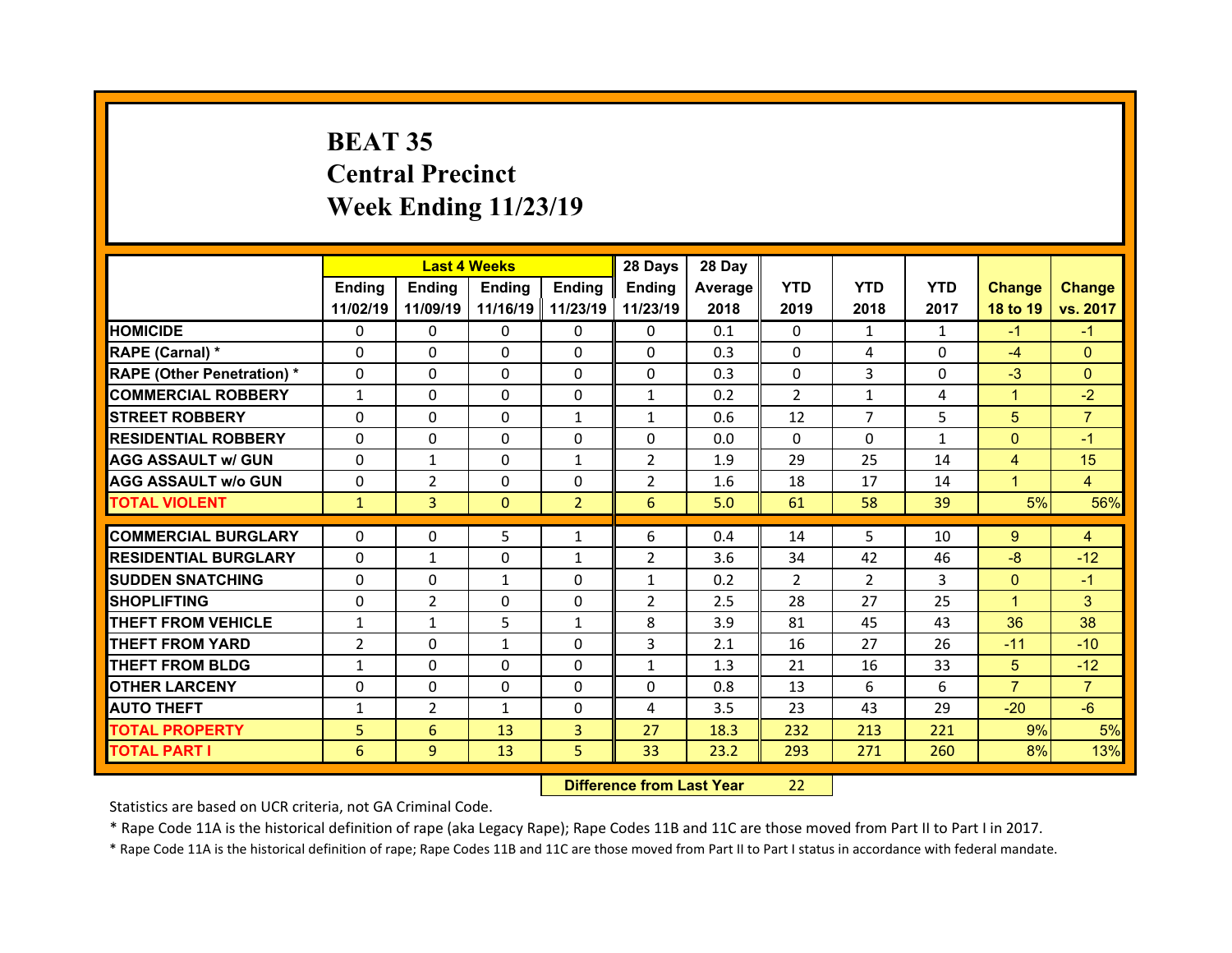# **BEAT 35 Central Precinct Week Ending 11/23/19**

|                                  |                |                | <b>Last 4 Weeks</b> |                   | 28 Days        | 28 Day  |                |                |              |                |                |
|----------------------------------|----------------|----------------|---------------------|-------------------|----------------|---------|----------------|----------------|--------------|----------------|----------------|
|                                  | Ending         | Ending         | <b>Ending</b>       | <b>Ending</b>     | Ending         | Average | <b>YTD</b>     | <b>YTD</b>     | <b>YTD</b>   | <b>Change</b>  | <b>Change</b>  |
|                                  | 11/02/19       | 11/09/19       |                     | 11/16/19 11/23/19 | 11/23/19       | 2018    | 2019           | 2018           | 2017         | 18 to 19       | vs. 2017       |
| <b>HOMICIDE</b>                  | $\Omega$       | 0              | $\Omega$            | $\Omega$          | 0              | 0.1     | $\Omega$       | 1              | $\mathbf{1}$ | $-1$           | $-1$           |
| RAPE (Carnal) *                  | 0              | $\Omega$       | $\mathbf{0}$        | $\Omega$          | 0              | 0.3     | $\Omega$       | 4              | $\Omega$     | $-4$           | $\Omega$       |
| <b>RAPE (Other Penetration)*</b> | 0              | $\Omega$       | $\Omega$            | $\Omega$          | 0              | 0.3     | 0              | 3              | 0            | $-3$           | $\Omega$       |
| <b>COMMERCIAL ROBBERY</b>        | $\mathbf{1}$   | 0              | $\Omega$            | $\Omega$          | $\mathbf{1}$   | 0.2     | 2              | $\mathbf{1}$   | 4            | $\mathbf{1}$   | $-2$           |
| <b>STREET ROBBERY</b>            | 0              | $\Omega$       | $\mathbf{0}$        | $\mathbf{1}$      | $\mathbf{1}$   | 0.6     | 12             | $\overline{7}$ | 5            | 5              | $\overline{7}$ |
| <b>RESIDENTIAL ROBBERY</b>       | $\Omega$       | $\Omega$       | $\mathbf{0}$        | $\Omega$          | $\Omega$       | 0.0     | $\Omega$       | $\Omega$       | $\mathbf{1}$ | $\mathbf{0}$   | $-1$           |
| <b>AGG ASSAULT w/ GUN</b>        | $\Omega$       | $\mathbf{1}$   | $\Omega$            | $\mathbf{1}$      | $\overline{2}$ | 1.9     | 29             | 25             | 14           | $\overline{4}$ | 15             |
| <b>AGG ASSAULT w/o GUN</b>       | $\Omega$       | $\overline{2}$ | $\mathbf{0}$        | $\Omega$          | $\overline{2}$ | 1.6     | 18             | 17             | 14           | $\mathbf{1}$   | $\overline{4}$ |
| <b>TOTAL VIOLENT</b>             | $\mathbf{1}$   | 3              | $\mathbf{0}$        | $\overline{2}$    | 6              | 5.0     | 61             | 58             | 39           | 5%             | 56%            |
| <b>COMMERCIAL BURGLARY</b>       |                |                |                     |                   |                |         |                | 5              |              |                |                |
|                                  | 0              | 0              | 5                   | 1                 | 6              | 0.4     | 14             |                | 10           | 9              | $\overline{4}$ |
| <b>RESIDENTIAL BURGLARY</b>      | $\Omega$       | $\mathbf{1}$   | 0                   | 1                 | 2              | 3.6     | 34             | 42             | 46           | $-8$           | $-12$          |
| <b>SUDDEN SNATCHING</b>          | 0              | $\Omega$       | $\mathbf{1}$        | $\Omega$          | $\mathbf{1}$   | 0.2     | $\overline{2}$ | $\overline{2}$ | 3            | $\overline{0}$ | $-1$           |
| <b>SHOPLIFTING</b>               | 0              | $\overline{2}$ | 0                   | $\Omega$          | $\overline{2}$ | 2.5     | 28             | 27             | 25           | $\mathbf{1}$   | 3              |
| <b>THEFT FROM VEHICLE</b>        | $\mathbf{1}$   | $\mathbf{1}$   | 5                   | $\mathbf{1}$      | 8              | 3.9     | 81             | 45             | 43           | 36             | 38             |
|                                  |                |                |                     |                   |                |         |                |                |              |                |                |
| <b>THEFT FROM YARD</b>           | $\overline{2}$ | 0              | $\mathbf{1}$        | $\Omega$          | 3              | 2.1     | 16             | 27             | 26           | $-11$          | $-10$          |
| <b>THEFT FROM BLDG</b>           | $\mathbf{1}$   | 0              | $\mathbf{0}$        | $\Omega$          | $\mathbf{1}$   | 1.3     | 21             | 16             | 33           | 5              | $-12$          |
| <b>OTHER LARCENY</b>             | $\Omega$       | 0              | $\Omega$            | $\Omega$          | 0              | 0.8     | 13             | 6              | 6            | $\overline{7}$ | $\overline{7}$ |
| <b>AUTO THEFT</b>                | $\mathbf{1}$   | 2              | $\mathbf{1}$        | $\mathbf{0}$      | 4              | 3.5     | 23             | 43             | 29           | $-20$          | $-6$           |
| <b>TOTAL PROPERTY</b>            | 5              | 6              | 13                  | $\overline{3}$    | 27             | 18.3    | 232            | 213            | 221          | 9%             | 5%             |
| <b>TOTAL PART I</b>              | 6              | 9              | 13                  | 5                 | 33             | 23.2    | 293            | 271            | 260          | 8%             | 13%            |

 **Difference from Last Year**22

Statistics are based on UCR criteria, not GA Criminal Code.

\* Rape Code 11A is the historical definition of rape (aka Legacy Rape); Rape Codes 11B and 11C are those moved from Part II to Part I in 2017.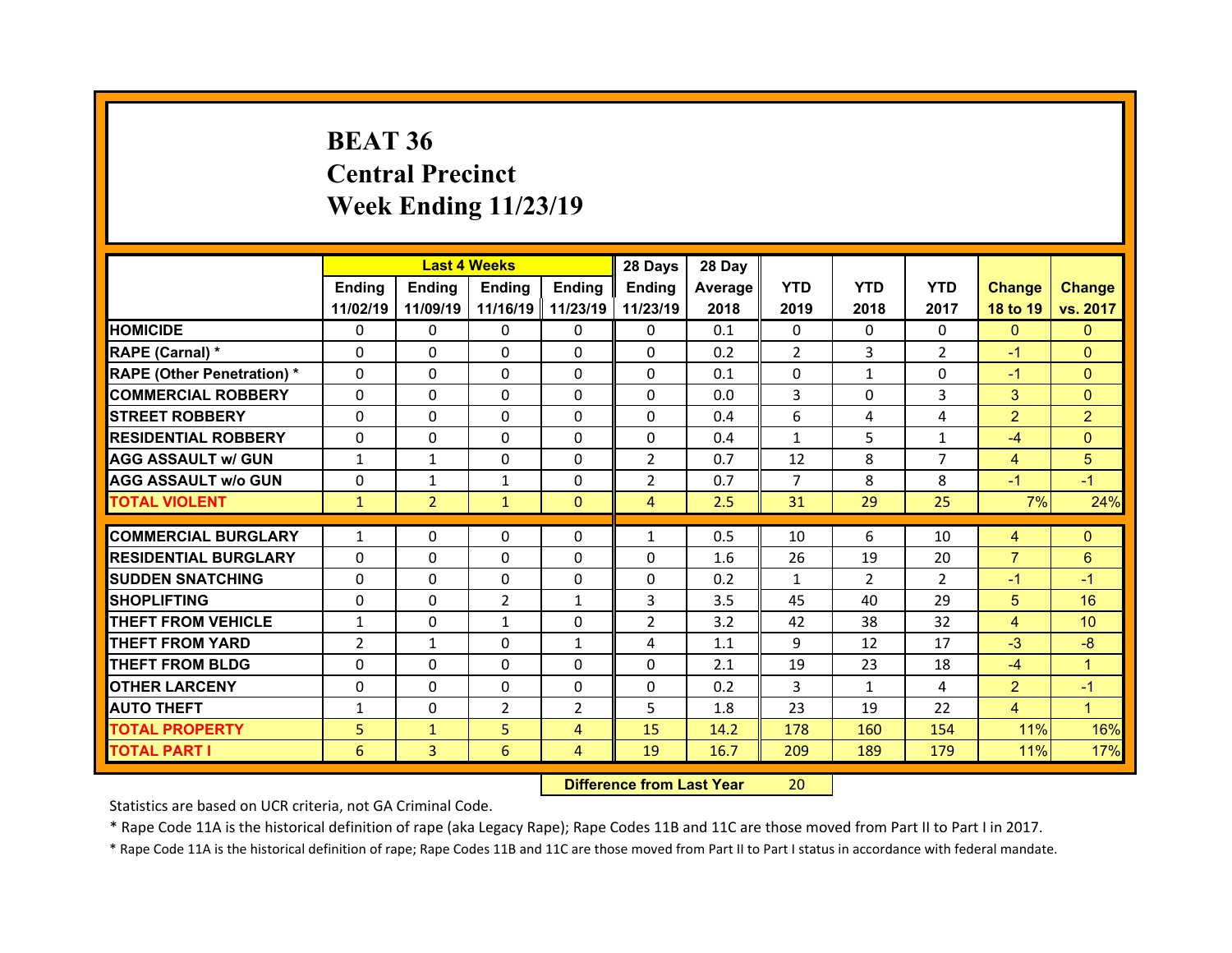# **BEAT 36 Central Precinct Week Ending 11/23/19**

|                                  |                | <b>Last 4 Weeks</b> |                |                | 28 Days                 | 28 Day  |                |                |                |                |                 |
|----------------------------------|----------------|---------------------|----------------|----------------|-------------------------|---------|----------------|----------------|----------------|----------------|-----------------|
|                                  | <b>Ending</b>  | Ending              | Ending         | <b>Ending</b>  | <b>Ending</b>           | Average | <b>YTD</b>     | <b>YTD</b>     | <b>YTD</b>     | <b>Change</b>  | <b>Change</b>   |
|                                  | 11/02/19       | 11/09/19            | 11/16/19       | 11/23/19       | 11/23/19                | 2018    | 2019           | 2018           | 2017           | 18 to 19       | vs. 2017        |
| <b>HOMICIDE</b>                  | $\mathbf{0}$   | 0                   | 0              | 0              | $\mathbf{0}$            | 0.1     | $\mathbf{0}$   | $\Omega$       | $\Omega$       | $\mathbf{0}$   | $\Omega$        |
| RAPE (Carnal) *                  | 0              | 0                   | 0              | 0              | $\Omega$                | 0.2     | 2              | 3              | $\overline{2}$ | $-1$           | $\Omega$        |
| <b>RAPE (Other Penetration)*</b> | $\Omega$       | $\Omega$            | $\Omega$       | $\Omega$       | $\Omega$                | 0.1     | $\Omega$       | $\mathbf{1}$   | $\Omega$       | $-1$           | $\Omega$        |
| <b>COMMERCIAL ROBBERY</b>        | $\Omega$       | $\Omega$            | $\Omega$       | $\Omega$       | $\Omega$                | 0.0     | 3              | $\Omega$       | 3              | 3              | $\Omega$        |
| <b>STREET ROBBERY</b>            | $\Omega$       | $\Omega$            | $\Omega$       | $\Omega$       | $\Omega$                | 0.4     | 6              | 4              | 4              | $\overline{2}$ | $\overline{2}$  |
| <b>RESIDENTIAL ROBBERY</b>       | $\Omega$       | $\Omega$            | $\Omega$       | $\Omega$       | $\Omega$                | 0.4     | $\mathbf{1}$   | 5              | $\mathbf{1}$   | $-4$           | $\Omega$        |
| <b>AGG ASSAULT w/ GUN</b>        | $\mathbf{1}$   | $\mathbf{1}$        | $\Omega$       | $\Omega$       | $\overline{2}$          | 0.7     | 12             | 8              | $\overline{7}$ | $\overline{4}$ | 5               |
| <b>AGG ASSAULT w/o GUN</b>       | 0              | $\mathbf{1}$        | $\mathbf{1}$   | $\Omega$       | $\overline{2}$          | 0.7     | $\overline{7}$ | 8              | 8              | $-1$           | $-1$            |
| <b>TOTAL VIOLENT</b>             | $\mathbf{1}$   | $\overline{2}$      | $\mathbf{1}$   | $\mathbf{0}$   | $\overline{4}$          | 2.5     | 31             | 29             | 25             | 7%             | 24%             |
|                                  |                |                     |                |                |                         |         |                |                |                |                |                 |
| <b>COMMERCIAL BURGLARY</b>       | $\mathbf{1}$   | 0                   | 0              | 0              | $\mathbf{1}$            | 0.5     | 10             | 6              | 10             | 4              | $\Omega$        |
| <b>RESIDENTIAL BURGLARY</b>      | $\Omega$       | 0                   | $\Omega$       | $\Omega$       | $\Omega$                | 1.6     | 26             | 19             | 20             | $\overline{7}$ | 6               |
| <b>SUDDEN SNATCHING</b>          | $\Omega$       | $\Omega$            | $\Omega$       | $\Omega$       | $\Omega$                | 0.2     | $\mathbf{1}$   | $\overline{2}$ | $\overline{2}$ | $-1$           | $-1$            |
| <b>SHOPLIFTING</b>               | $\Omega$       | $\Omega$            | $\overline{2}$ | $\mathbf{1}$   | 3                       | 3.5     | 45             | 40             | 29             | 5 <sup>5</sup> | 16              |
| <b>THEFT FROM VEHICLE</b>        | $\mathbf{1}$   | 0                   | $\mathbf{1}$   | $\Omega$       | $\overline{2}$          | 3.2     | 42             | 38             | 32             | $\overline{4}$ | 10 <sup>°</sup> |
| <b>THEFT FROM YARD</b>           | $\overline{2}$ | $\mathbf{1}$        | $\Omega$       | $\mathbf{1}$   | 4                       | 1.1     | 9              | 12             | 17             | $-3$           | $-8$            |
| <b>THEFT FROM BLDG</b>           | 0              | 0                   | 0              | $\Omega$       | $\Omega$                | 2.1     | 19             | 23             | 18             | $-4$           | $\overline{1}$  |
| <b>OTHER LARCENY</b>             | 0              | $\Omega$            | $\Omega$       | $\Omega$       | $\Omega$                | 0.2     | 3              | 1              | 4              | $\overline{2}$ | $-1$            |
| <b>AUTO THEFT</b>                | $\mathbf{1}$   | 0                   | $\overline{2}$ | $\overline{2}$ | 5                       | 1.8     | 23             | 19             | 22             | $\overline{4}$ | $\overline{1}$  |
| <b>TOTAL PROPERTY</b>            | 5              | $\mathbf{1}$        | 5              | $\overline{4}$ | 15                      | 14.2    | 178            | 160            | 154            | 11%            | 16%             |
| <b>TOTAL PART I</b>              | 6              | 3                   | 6              | $\overline{4}$ | 19                      | 16.7    | 209            | 189            | 179            | 11%            | 17%             |
|                                  |                |                     |                | <b>PASSES</b>  | and Barbara House March |         | $\sim$         |                |                |                |                 |

 **Difference from Last Year**r 20

Statistics are based on UCR criteria, not GA Criminal Code.

\* Rape Code 11A is the historical definition of rape (aka Legacy Rape); Rape Codes 11B and 11C are those moved from Part II to Part I in 2017.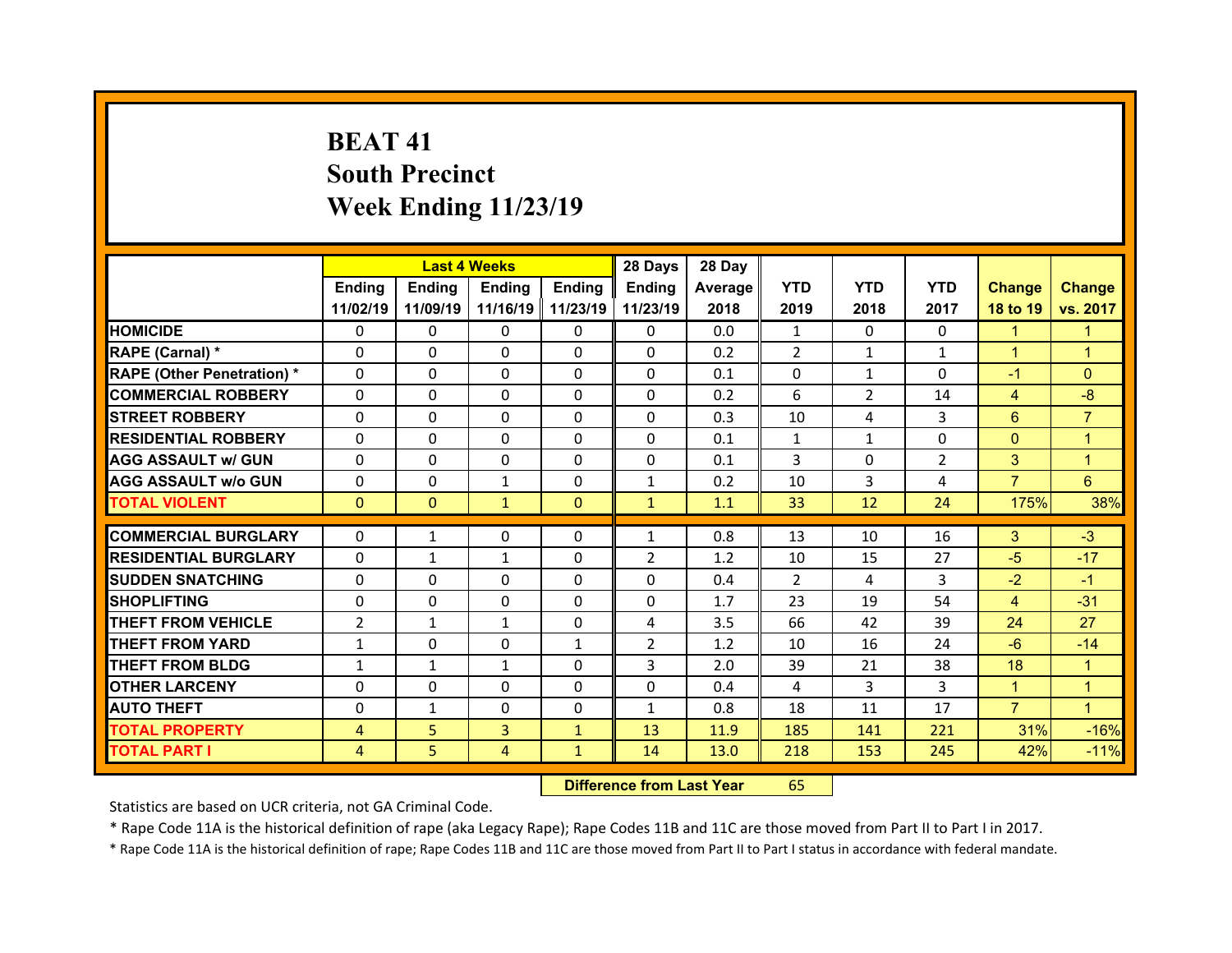# **BEAT 41South Precinct Week Ending 11/23/19**

|                                   |                |               | <b>Last 4 Weeks</b> |                   | 28 Days        | 28 Day  |              |                |               |                |                |
|-----------------------------------|----------------|---------------|---------------------|-------------------|----------------|---------|--------------|----------------|---------------|----------------|----------------|
|                                   | <b>Ending</b>  | <b>Ending</b> | <b>Ending</b>       | <b>Ending</b>     | <b>Ending</b>  | Average | <b>YTD</b>   | <b>YTD</b>     | <b>YTD</b>    | <b>Change</b>  | <b>Change</b>  |
|                                   | 11/02/19       | 11/09/19      |                     | 11/16/19 11/23/19 | 11/23/19       | 2018    | 2019         | 2018           | 2017          | 18 to 19       | vs. 2017       |
| <b>HOMICIDE</b>                   | $\Omega$       | 0             | $\Omega$            | 0                 | $\Omega$       | 0.0     | $\mathbf{1}$ | $\Omega$       | 0             | $\mathbf{1}$   | 1              |
| RAPE (Carnal) *                   | $\Omega$       | 0             | $\Omega$            | 0                 | $\Omega$       | 0.2     | 2            | $\mathbf{1}$   | $\mathbf{1}$  | $\mathbf{1}$   | $\mathbf{1}$   |
| <b>RAPE (Other Penetration) *</b> | $\Omega$       | $\Omega$      | $\Omega$            | $\Omega$          | $\Omega$       | 0.1     | $\Omega$     | 1              | 0             | $-1$           | $\Omega$       |
| <b>COMMERCIAL ROBBERY</b>         | $\Omega$       | $\Omega$      | $\Omega$            | $\Omega$          | $\Omega$       | 0.2     | 6            | $\overline{2}$ | 14            | $\overline{4}$ | $-8$           |
| <b>STREET ROBBERY</b>             | $\Omega$       | $\Omega$      | $\Omega$            | $\Omega$          | $\Omega$       | 0.3     | 10           | 4              | 3             | 6              | $\overline{7}$ |
| <b>RESIDENTIAL ROBBERY</b>        | $\Omega$       | $\Omega$      | $\Omega$            | $\Omega$          | $\Omega$       | 0.1     | $\mathbf{1}$ | $\mathbf{1}$   | $\Omega$      | $\mathbf{0}$   | $\mathbf{1}$   |
| <b>AGG ASSAULT w/ GUN</b>         | $\Omega$       | $\Omega$      | $\Omega$            | $\Omega$          | $\Omega$       | 0.1     | 3            | $\Omega$       | $\mathcal{P}$ | 3              | 1              |
| <b>AGG ASSAULT w/o GUN</b>        | 0              | 0             | $\mathbf{1}$        | $\Omega$          | $\mathbf{1}$   | 0.2     | 10           | 3              | 4             | $\overline{7}$ | 6              |
| <b>TOTAL VIOLENT</b>              | $\mathbf{0}$   | $\mathbf{0}$  | $\mathbf{1}$        | $\Omega$          | $\mathbf{1}$   | 1.1     | 33           | 12             | 24            | 175%           | 38%            |
|                                   |                |               |                     |                   |                |         |              |                |               |                |                |
| <b>COMMERCIAL BURGLARY</b>        | 0              | $\mathbf{1}$  | 0                   | 0                 | $\mathbf{1}$   | 0.8     | 13           | 10             | 16            | 3              | $-3$           |
| <b>RESIDENTIAL BURGLARY</b>       | 0              | $\mathbf{1}$  | 1                   | 0                 | $\overline{2}$ | 1.2     | 10           | 15             | 27            | $-5$           | $-17$          |
| <b>SUDDEN SNATCHING</b>           | 0              | 0             | 0                   | 0                 | 0              | 0.4     | 2            | 4              | 3             | $-2$           | $-1$           |
| <b>SHOPLIFTING</b>                | 0              | $\Omega$      | $\Omega$            | $\Omega$          | 0              | 1.7     | 23           | 19             | 54            | 4              | $-31$          |
| <b>THEFT FROM VEHICLE</b>         | $\overline{2}$ | $\mathbf{1}$  | $\mathbf{1}$        | 0                 | 4              | 3.5     | 66           | 42             | 39            | 24             | 27             |
| <b>THEFT FROM YARD</b>            | $\mathbf{1}$   | $\Omega$      | $\Omega$            | $\mathbf{1}$      | $\overline{2}$ | 1.2     | 10           | 16             | 24            | $-6$           | $-14$          |
| <b>THEFT FROM BLDG</b>            | $\mathbf{1}$   | $\mathbf{1}$  | $\mathbf{1}$        | $\Omega$          | 3              | 2.0     | 39           | 21             | 38            | 18             | $\mathbf{1}$   |
| <b>OTHER LARCENY</b>              | $\Omega$       | $\Omega$      | $\Omega$            | $\Omega$          | $\Omega$       | 0.4     | 4            | 3              | 3             | $\mathbf{1}$   | 1              |
|                                   |                |               |                     |                   | $\mathbf{1}$   | 0.8     | 18           | 11             | 17            | $\overline{7}$ | $\mathbf{1}$   |
| <b>AUTO THEFT</b>                 | 0              | $\mathbf{1}$  | 0                   | 0                 |                |         |              |                |               |                |                |
| <b>TOTAL PROPERTY</b>             | 4              | 5             | $\overline{3}$      | $\mathbf{1}$      | 13             | 11.9    | 185          | 141            | 221           | 31%            | $-16%$         |
| TOTAL PART I                      | 4              | 5             | 4                   | $\mathbf{1}$      | 14             | 13.0    | 218          | 153            | 245           | 42%            | $-11%$         |

 **Difference from Last Year**r 65

Statistics are based on UCR criteria, not GA Criminal Code.

\* Rape Code 11A is the historical definition of rape (aka Legacy Rape); Rape Codes 11B and 11C are those moved from Part II to Part I in 2017.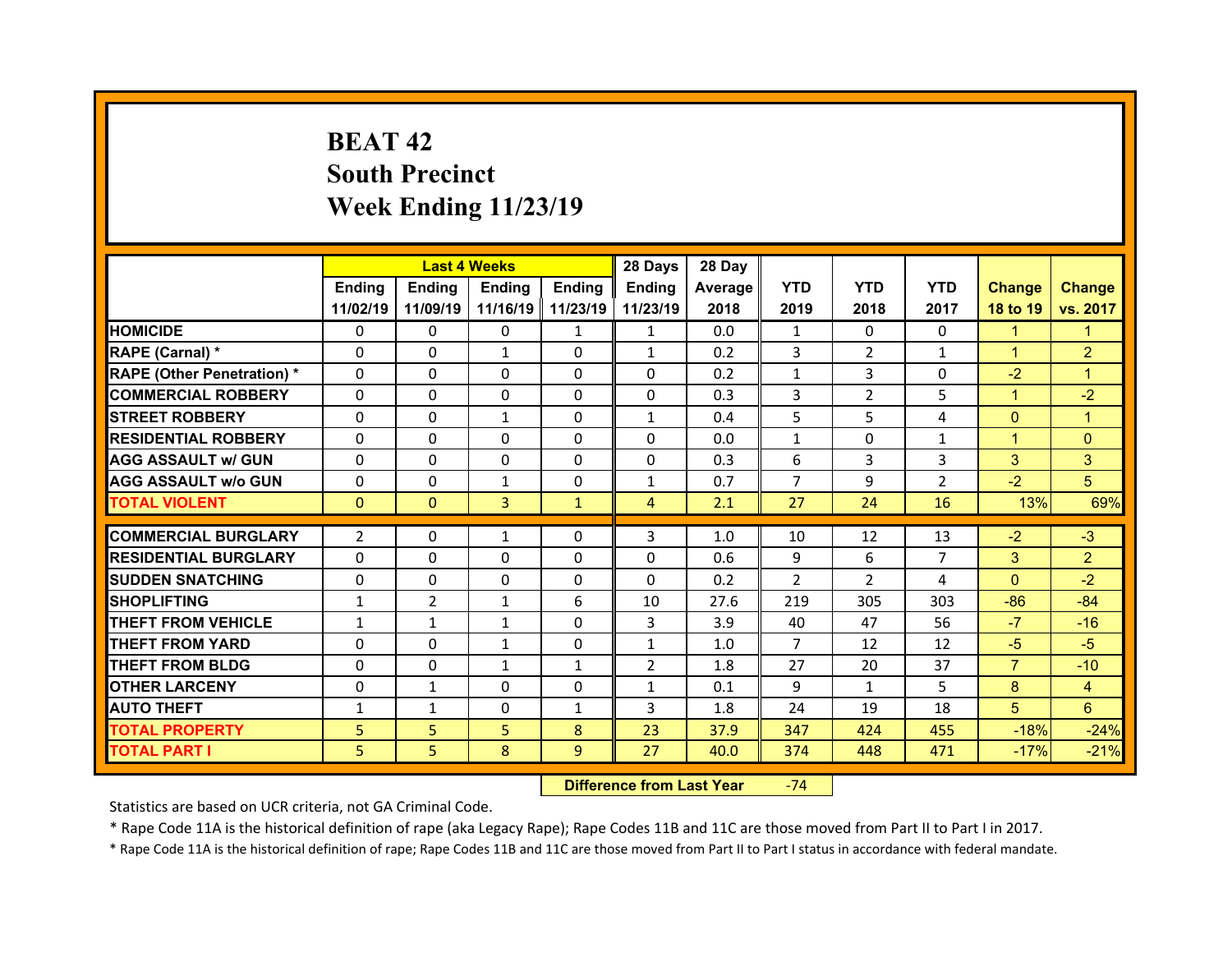# **BEAT 42South Precinct Week Ending 11/23/19**

|                                   |                | <b>Last 4 Weeks</b> |               |                     | 28 Days        | 28 Day  |                |                |                |                |                |
|-----------------------------------|----------------|---------------------|---------------|---------------------|----------------|---------|----------------|----------------|----------------|----------------|----------------|
|                                   | Ending         | <b>Ending</b>       | <b>Ending</b> | Ending              | Ending         | Average | <b>YTD</b>     | <b>YTD</b>     | <b>YTD</b>     | <b>Change</b>  | <b>Change</b>  |
|                                   | 11/02/19       | 11/09/19            |               | 11/16/19   11/23/19 | 11/23/19       | 2018    | 2019           | 2018           | 2017           | 18 to 19       | vs. 2017       |
| <b>HOMICIDE</b>                   | $\Omega$       | $\Omega$            | 0             | $\mathbf{1}$        | $\mathbf{1}$   | 0.0     | $\mathbf{1}$   | $\Omega$       | $\Omega$       | $\mathbf{1}$   | 1              |
| RAPE (Carnal) *                   | $\Omega$       | $\Omega$            | $\mathbf{1}$  | $\Omega$            | $\mathbf{1}$   | 0.2     | 3              | $\overline{2}$ | $\mathbf{1}$   | $\mathbf{1}$   | $\overline{2}$ |
| <b>RAPE (Other Penetration) *</b> | $\Omega$       | $\Omega$            | $\Omega$      | $\Omega$            | $\Omega$       | 0.2     | $\mathbf{1}$   | 3              | $\Omega$       | $-2$           | 1              |
| <b>COMMERCIAL ROBBERY</b>         | $\Omega$       | $\Omega$            | $\mathbf{0}$  | $\Omega$            | $\Omega$       | 0.3     | 3              | $\overline{2}$ | 5              | $\mathbf{1}$   | $-2$           |
| <b>STREET ROBBERY</b>             | $\Omega$       | $\Omega$            | $\mathbf{1}$  | $\Omega$            | $\mathbf{1}$   | 0.4     | 5              | 5.             | 4              | $\mathbf{0}$   | $\overline{1}$ |
| <b>RESIDENTIAL ROBBERY</b>        | $\Omega$       | $\Omega$            | $\mathbf{0}$  | $\Omega$            | $\Omega$       | 0.0     | $\mathbf{1}$   | $\Omega$       | $\mathbf{1}$   | $\mathbf{1}$   | $\Omega$       |
| <b>AGG ASSAULT w/ GUN</b>         | $\Omega$       | $\Omega$            | $\Omega$      | $\Omega$            | $\Omega$       | 0.3     | 6              | 3              | 3              | 3              | 3              |
| <b>AGG ASSAULT w/o GUN</b>        | $\Omega$       | $\Omega$            | $\mathbf{1}$  | $\Omega$            | $\mathbf{1}$   | 0.7     | $\overline{7}$ | 9              | $\overline{2}$ | $-2$           | 5              |
| <b>TOTAL VIOLENT</b>              | $\mathbf{0}$   | $\mathbf{0}$        | 3             | $\mathbf{1}$        | $\overline{4}$ | 2.1     | 27             | 24             | 16             | 13%            | 69%            |
| <b>COMMERCIAL BURGLARY</b>        | $\overline{2}$ | 0                   | $\mathbf{1}$  | $\mathbf{0}$        | 3              | 1.0     | 10             | 12             | 13             | $-2$           | $-3$           |
|                                   |                |                     |               |                     |                |         |                |                |                |                |                |
| <b>RESIDENTIAL BURGLARY</b>       | 0              | 0                   | $\Omega$      | $\Omega$            | 0              | 0.6     | 9              | 6              | $\overline{7}$ | 3              | $\overline{2}$ |
| <b>SUDDEN SNATCHING</b>           | $\mathbf{0}$   | 0                   | $\mathbf{0}$  | $\Omega$            | $\Omega$       | 0.2     | $\mathcal{P}$  | $\mathcal{P}$  | 4              | $\Omega$       | $-2$           |
| <b>SHOPLIFTING</b>                | $\mathbf{1}$   | $\overline{2}$      | $\mathbf{1}$  | 6                   | 10             | 27.6    | 219            | 305            | 303            | $-86$          | $-84$          |
| <b>THEFT FROM VEHICLE</b>         | $\mathbf{1}$   | $\mathbf{1}$        | $\mathbf{1}$  | $\Omega$            | 3              | 3.9     | 40             | 47             | 56             | $-7$           | $-16$          |
| <b>THEFT FROM YARD</b>            | $\Omega$       | $\Omega$            | $\mathbf{1}$  | $\Omega$            | $\mathbf{1}$   | 1.0     | $\overline{7}$ | 12             | 12             | $-5$           | $-5$           |
| <b>THEFT FROM BLDG</b>            | $\mathbf{0}$   | 0                   | $\mathbf{1}$  | $\mathbf{1}$        | $\overline{2}$ | 1.8     | 27             | 20             | 37             | $\overline{7}$ | $-10$          |
| <b>OTHER LARCENY</b>              | $\Omega$       | $\mathbf{1}$        | $\Omega$      | $\Omega$            | $\mathbf{1}$   | 0.1     | 9              | $\mathbf{1}$   | 5.             | 8              | $\overline{4}$ |
| <b>AUTO THEFT</b>                 | $\mathbf{1}$   | $\mathbf{1}$        | 0             | $\mathbf{1}$        | 3              | 1.8     | 24             | 19             | 18             | 5              | 6              |
| <b>TOTAL PROPERTY</b>             | 5              | 5                   | 5             | 8                   | 23             | 37.9    | 347            | 424            | 455            | $-18%$         | $-24%$         |
| <b>TOTAL PART I</b>               | 5              | 5                   | 8             | 9                   | 27             | 40.0    | 374            | 448            | 471            | $-17%$         | $-21%$         |

 **Difference from Last Year**‐74

Statistics are based on UCR criteria, not GA Criminal Code.

\* Rape Code 11A is the historical definition of rape (aka Legacy Rape); Rape Codes 11B and 11C are those moved from Part II to Part I in 2017.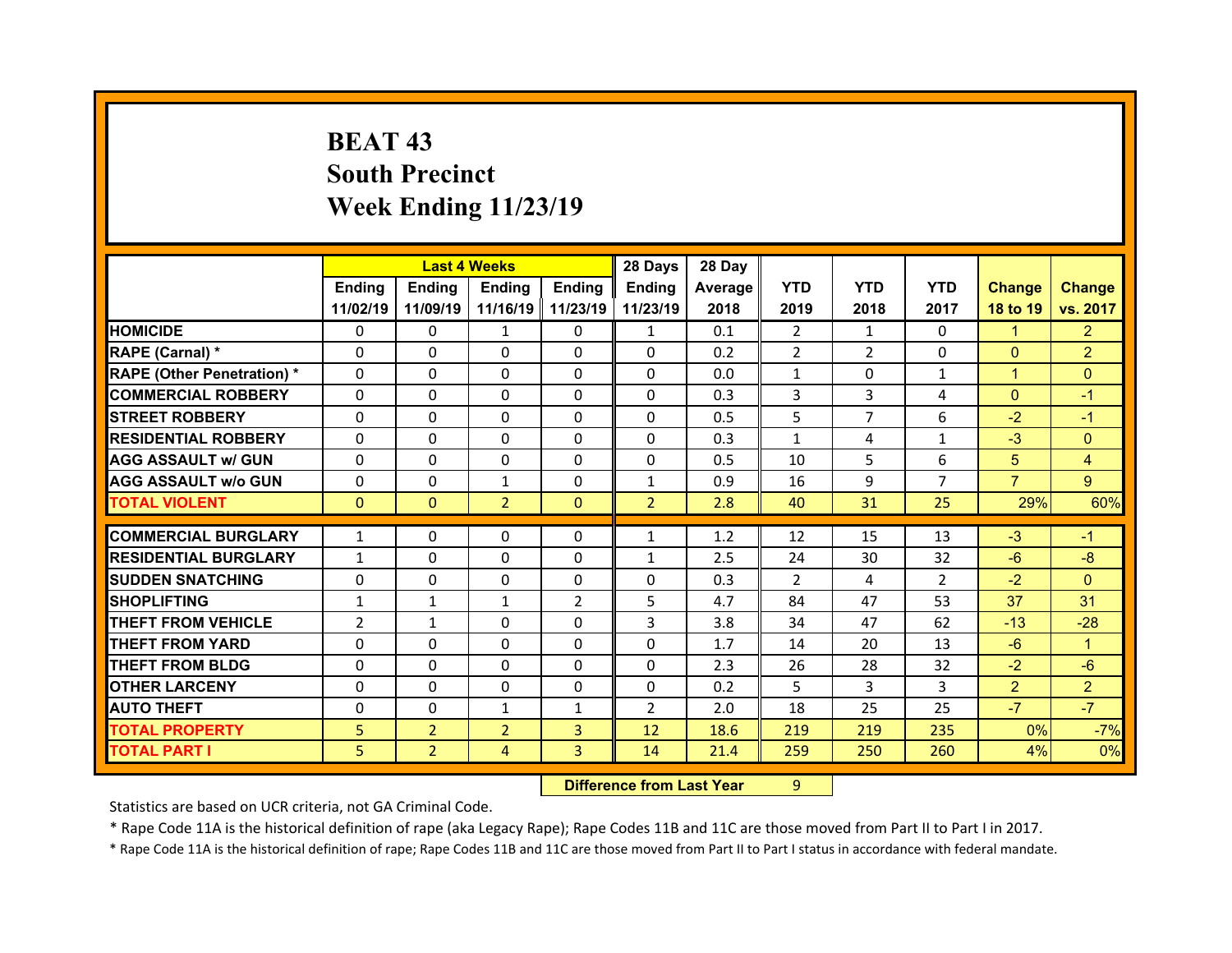# **BEAT 43 South Precinct Week Ending 11/23/19**

|                                  |                |                | <b>Last 4 Weeks</b> |                | 28 Days        | 28 Day  |                |                |                |                |                |
|----------------------------------|----------------|----------------|---------------------|----------------|----------------|---------|----------------|----------------|----------------|----------------|----------------|
|                                  | Ending         | Ending         | Ending              | <b>Ending</b>  | Ending         | Average | <b>YTD</b>     | <b>YTD</b>     | <b>YTD</b>     | <b>Change</b>  | <b>Change</b>  |
|                                  | 11/02/19       | 11/09/19       | 11/16/19            | 11/23/19       | 11/23/19       | 2018    | 2019           | 2018           | 2017           | 18 to 19       | vs. 2017       |
| <b>HOMICIDE</b>                  | $\Omega$       | 0              | 1                   | $\Omega$       | $\mathbf{1}$   | 0.1     | $\overline{2}$ | 1              | $\Omega$       | $\mathbf{1}$   | $\overline{2}$ |
| RAPE (Carnal) *                  | 0              | $\Omega$       | $\mathbf{0}$        | $\Omega$       | 0              | 0.2     | $\overline{2}$ | $\overline{2}$ | $\Omega$       | $\mathbf{0}$   | $\overline{2}$ |
| <b>RAPE (Other Penetration)*</b> | 0              | $\Omega$       | $\Omega$            | $\Omega$       | 0              | 0.0     | $\mathbf{1}$   | $\Omega$       | $\mathbf{1}$   | $\mathbf{1}$   | $\Omega$       |
| <b>COMMERCIAL ROBBERY</b>        | $\Omega$       | 0              | $\Omega$            | $\Omega$       | 0              | 0.3     | 3              | 3              | 4              | $\mathbf{0}$   | $-1$           |
| <b>STREET ROBBERY</b>            | $\Omega$       | $\Omega$       | $\mathbf{0}$        | $\Omega$       | 0              | 0.5     | 5              | $\overline{7}$ | 6              | $-2$           | $-1$           |
| <b>RESIDENTIAL ROBBERY</b>       | $\Omega$       | $\Omega$       | $\mathbf{0}$        | $\Omega$       | $\Omega$       | 0.3     | $\mathbf{1}$   | 4              | $\mathbf{1}$   | $-3$           | $\Omega$       |
| <b>AGG ASSAULT w/ GUN</b>        | $\Omega$       | 0              | 0                   | $\Omega$       | $\Omega$       | 0.5     | 10             | 5.             | 6              | 5              | 4              |
| <b>AGG ASSAULT w/o GUN</b>       | $\Omega$       | $\Omega$       | $\mathbf{1}$        | $\Omega$       | $\mathbf{1}$   | 0.9     | 16             | 9              | $\overline{7}$ | $\overline{7}$ | 9 <sup>°</sup> |
| <b>TOTAL VIOLENT</b>             | $\mathbf{0}$   | $\mathbf{0}$   | $\overline{2}$      | $\mathbf{0}$   | 2 <sup>1</sup> | 2.8     | 40             | 31             | 25             | 29%            | 60%            |
| <b>COMMERCIAL BURGLARY</b>       |                |                |                     |                |                |         |                |                |                |                |                |
|                                  | $\mathbf{1}$   | 0              | 0                   | 0              | $\mathbf{1}$   | 1.2     | 12             | 15             | 13             | $-3$           | $-1$           |
| <b>RESIDENTIAL BURGLARY</b>      | $\mathbf{1}$   | 0              | 0                   | $\Omega$       | $\mathbf{1}$   | 2.5     | 24             | 30             | 32             | $-6$           | $-8$           |
| <b>SUDDEN SNATCHING</b>          | 0              | $\Omega$       | $\Omega$            | $\Omega$       | 0              | 0.3     | $\overline{2}$ | 4              | $\overline{2}$ | $-2$           | $\Omega$       |
| <b>SHOPLIFTING</b>               | $\mathbf{1}$   | $\mathbf{1}$   | $\mathbf{1}$        | $\overline{2}$ | 5              | 4.7     | 84             | 47             | 53             | 37             | 31             |
| <b>THEFT FROM VEHICLE</b>        | $\overline{2}$ | $\mathbf{1}$   | 0                   | $\Omega$       | 3              | 3.8     | 34             | 47             | 62             | $-13$          | $-28$          |
| <b>THEFT FROM YARD</b>           | 0              | 0              | 0                   | $\Omega$       | 0              | 1.7     | 14             | 20             | 13             | $-6$           | 1              |
| <b>THEFT FROM BLDG</b>           | $\Omega$       | 0              | $\mathbf{0}$        | $\Omega$       | 0              | 2.3     | 26             | 28             | 32             | $-2$           | $-6$           |
| <b>OTHER LARCENY</b>             | 0              | 0              | $\Omega$            | $\Omega$       | 0              | 0.2     | 5              | 3              | 3              | $\overline{2}$ | $\overline{2}$ |
|                                  |                | 0              | $\mathbf{1}$        | 1              | $\overline{2}$ | 2.0     | 18             | 25             | 25             | $-7$           | $-7$           |
| <b>AUTO THEFT</b>                | 0              |                |                     |                |                |         |                |                |                |                |                |
| <b>TOTAL PROPERTY</b>            | 5              | $\overline{2}$ | $\overline{2}$      | $\overline{3}$ | 12             | 18.6    | 219            | 219            | 235            | 0%             | $-7%$          |
| <b>TOTAL PART I</b>              | 5              | $\overline{2}$ | 4                   | 3              | 14             | 21.4    | 259            | 250            | 260            | 4%             | 0%             |

 **Difference from Last Year**r 9

Statistics are based on UCR criteria, not GA Criminal Code.

\* Rape Code 11A is the historical definition of rape (aka Legacy Rape); Rape Codes 11B and 11C are those moved from Part II to Part I in 2017.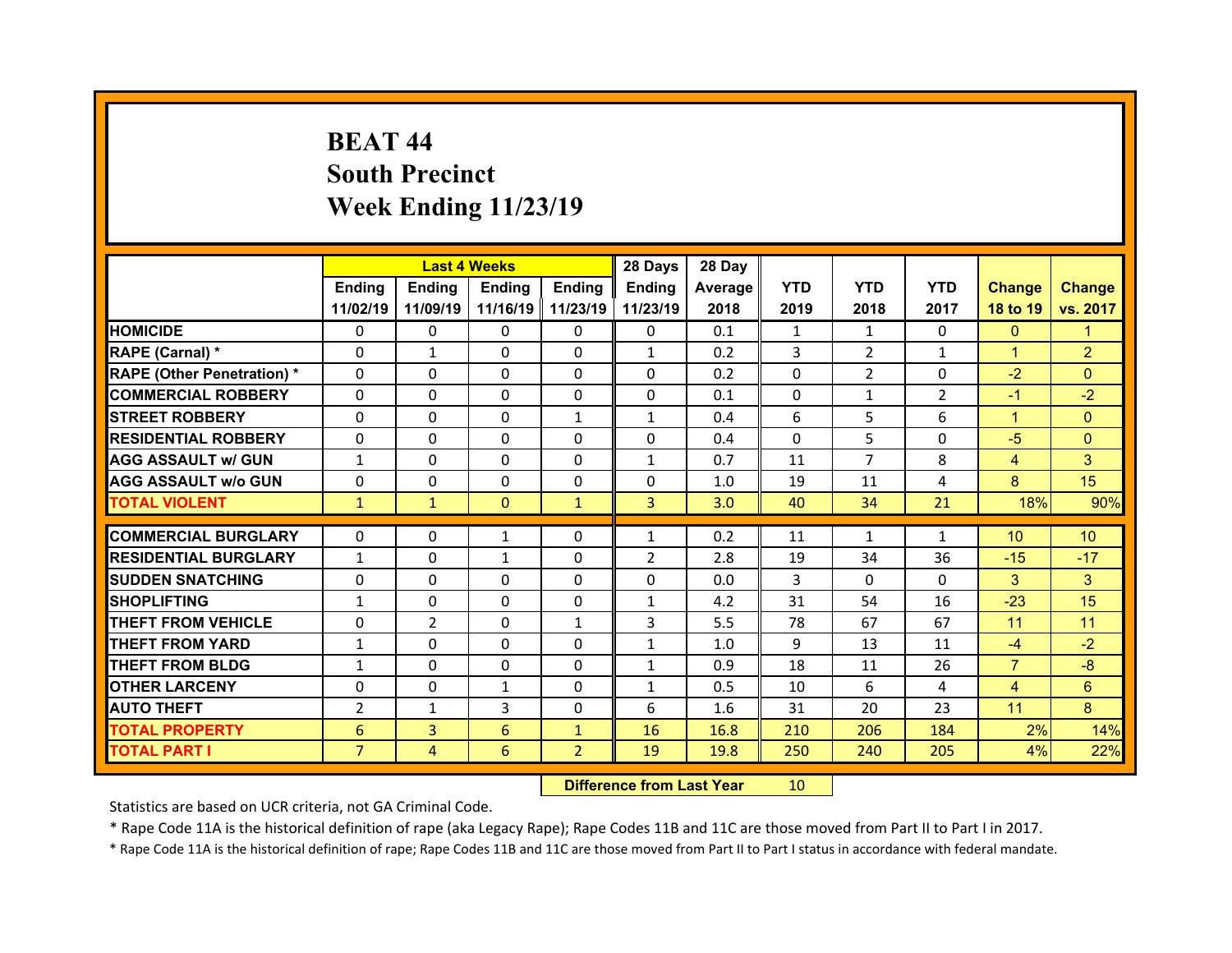# **BEAT 44South Precinct Week Ending 11/23/19**

|                                  |                | <b>Last 4 Weeks</b> |                   |                | 28 Days             | 28 Day     |            |                |                |                 |                 |
|----------------------------------|----------------|---------------------|-------------------|----------------|---------------------|------------|------------|----------------|----------------|-----------------|-----------------|
|                                  | Ending         | Ending              | Ending            | <b>Ending</b>  | Ending              | Average    | <b>YTD</b> | <b>YTD</b>     | <b>YTD</b>     | <b>Change</b>   | <b>Change</b>   |
|                                  | 11/02/19       | 11/09/19            | 11/16/19 11/23/19 |                | 11/23/19            | 2018       | 2019       | 2018           | 2017           | 18 to 19        | vs. 2017        |
| <b>HOMICIDE</b>                  | $\Omega$       | 0                   | $\Omega$          | $\Omega$       | 0                   | 0.1        | 1          | 1              | $\Omega$       | $\mathbf{0}$    | 1               |
| RAPE (Carnal) *                  | 0              | $\mathbf{1}$        | $\mathbf{0}$      | $\Omega$       | $\mathbf{1}$        | 0.2        | 3          | $\overline{2}$ | $\mathbf{1}$   | $\mathbf{1}$    | $\overline{2}$  |
| <b>RAPE (Other Penetration)*</b> | 0              | $\Omega$            | $\Omega$          | $\Omega$       | $\Omega$            | 0.2        | $\Omega$   | $\overline{2}$ | $\Omega$       | $-2$            | $\Omega$        |
| <b>COMMERCIAL ROBBERY</b>        | $\Omega$       | 0                   | $\Omega$          | $\Omega$       | 0                   | 0.1        | $\Omega$   | $\mathbf{1}$   | $\overline{2}$ | $-1$            | $-2$            |
| <b>STREET ROBBERY</b>            | $\Omega$       | $\Omega$            | $\mathbf{0}$      | $\mathbf{1}$   | $\mathbf{1}$        | 0.4        | 6          | 5              | 6              | $\mathbf{1}$    | $\Omega$        |
| <b>RESIDENTIAL ROBBERY</b>       | $\Omega$       | $\Omega$            | $\Omega$          | $\Omega$       | $\Omega$            | 0.4        | $\Omega$   | 5.             | $\Omega$       | $-5$            | $\Omega$        |
| <b>AGG ASSAULT w/ GUN</b>        | $\mathbf{1}$   | 0                   | $\Omega$          | $\Omega$       | $\mathbf{1}$        | 0.7        | 11         | $\overline{7}$ | 8              | $\overline{4}$  | 3               |
| <b>AGG ASSAULT w/o GUN</b>       | $\Omega$       | $\Omega$            | $\mathbf{0}$      | $\Omega$       | $\Omega$            | 1.0        | 19         | 11             | 4              | 8               | 15              |
| <b>TOTAL VIOLENT</b>             | $\mathbf{1}$   | $\mathbf{1}$        | $\mathbf{0}$      | $\mathbf{1}$   | 3                   | 3.0        | 40         | 34             | 21             | 18%             | 90%             |
| <b>COMMERCIAL BURGLARY</b>       |                |                     |                   |                |                     |            |            |                |                |                 |                 |
|                                  | 0              | 0                   | 1                 | 0              | $\mathbf{1}$        | 0.2        | 11         | $\mathbf{1}$   | $\mathbf{1}$   | 10 <sup>°</sup> | 10 <sup>°</sup> |
| <b>RESIDENTIAL BURGLARY</b>      | $\mathbf{1}$   | 0                   | $\mathbf{1}$      | $\Omega$       | $\overline{2}$<br>0 | 2.8<br>0.0 | 19         | 34             | 36             | $-15$<br>3      | $-17$           |
| <b>SUDDEN SNATCHING</b>          | 0              | $\Omega$            | $\Omega$          | $\Omega$       |                     |            | 3          | $\Omega$       | $\Omega$       |                 | 3               |
|                                  |                |                     |                   |                |                     |            |            |                |                |                 |                 |
| <b>SHOPLIFTING</b>               | $\mathbf{1}$   | $\Omega$            | 0                 | $\Omega$       | $\mathbf{1}$        | 4.2        | 31         | 54             | 16             | $-23$           | 15              |
| <b>THEFT FROM VEHICLE</b>        | 0              | $\overline{2}$      | 0                 | $\mathbf{1}$   | 3                   | 5.5        | 78         | 67             | 67             | 11              | 11              |
| <b>THEFT FROM YARD</b>           | $\mathbf{1}$   | $\Omega$            | 0                 | $\Omega$       | $\mathbf{1}$        | 1.0        | 9          | 13             | 11             | $-4$            | $-2$            |
| <b>THEFT FROM BLDG</b>           | $\mathbf{1}$   | 0                   | $\mathbf{0}$      | $\Omega$       | $\mathbf{1}$        | 0.9        | 18         | 11             | 26             | $\overline{7}$  | $-8$            |
| <b>OTHER LARCENY</b>             | $\Omega$       | 0                   | $\mathbf{1}$      | $\Omega$       | $\mathbf{1}$        | 0.5        | 10         | 6              | 4              | $\overline{4}$  | 6               |
| <b>AUTO THEFT</b>                | $\overline{2}$ | $\mathbf{1}$        | 3                 | $\mathbf{0}$   | 6                   | 1.6        | 31         | 20             | 23             | 11              | 8               |
| <b>TOTAL PROPERTY</b>            | 6              | $\overline{3}$      | 6                 | $\mathbf{1}$   | 16                  | 16.8       | 210        | 206            | 184            | 2%              | 14%             |
| <b>TOTAL PART I</b>              | $\overline{7}$ | $\overline{4}$      | 6                 | $\overline{2}$ | 19                  | 19.8       | 250        | 240            | 205            | 4%              | 22%             |

 **Difference from Last Year**r 10

Statistics are based on UCR criteria, not GA Criminal Code.

\* Rape Code 11A is the historical definition of rape (aka Legacy Rape); Rape Codes 11B and 11C are those moved from Part II to Part I in 2017.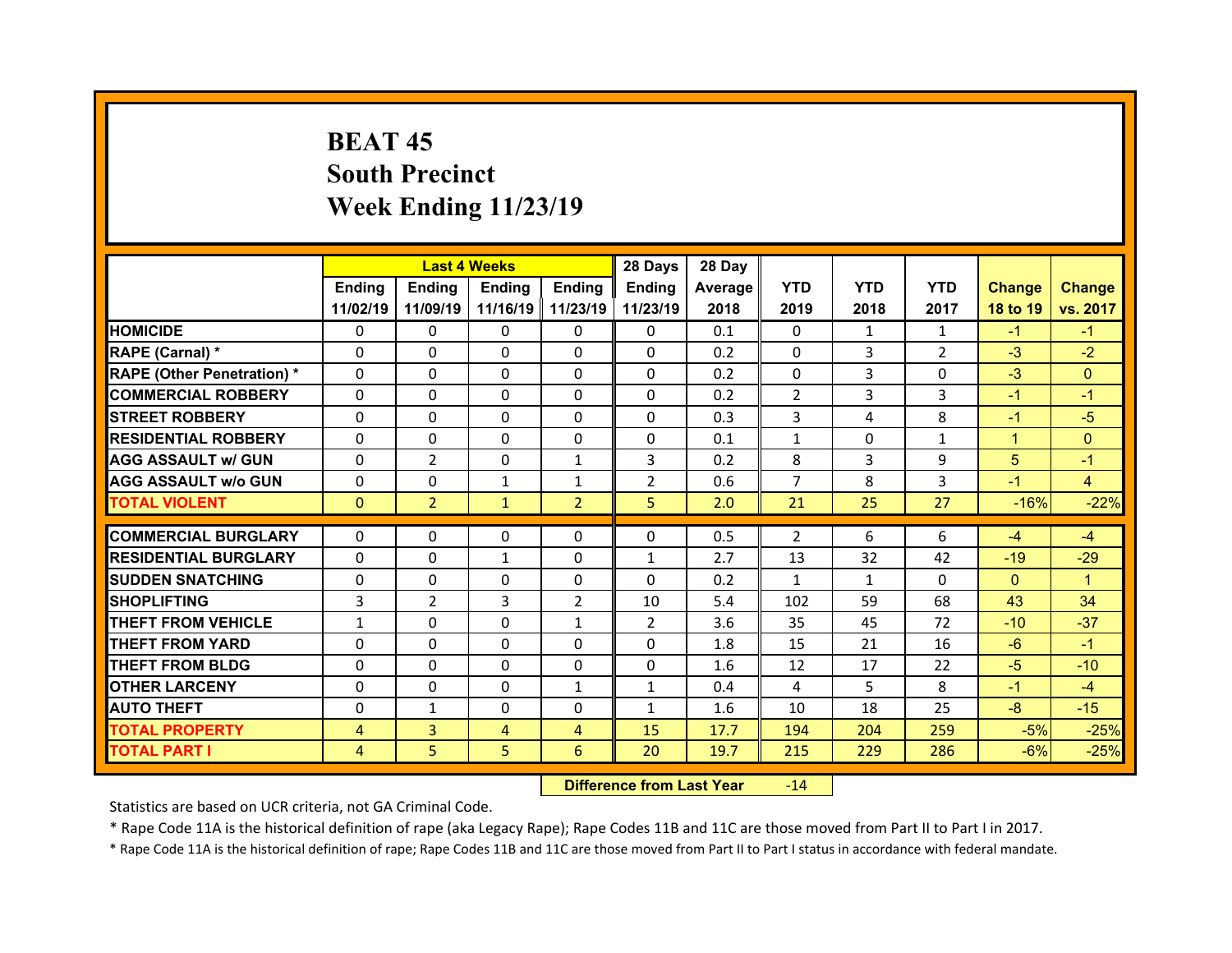# **BEAT 45South Precinct Week Ending 11/23/19**

|                                   |              | <b>Last 4 Weeks</b> |               |                     | 28 Days        | 28 Day  |                |              |                |               |                |
|-----------------------------------|--------------|---------------------|---------------|---------------------|----------------|---------|----------------|--------------|----------------|---------------|----------------|
|                                   | Ending       | <b>Ending</b>       | <b>Ending</b> | Ending              | Ending         | Average | <b>YTD</b>     | <b>YTD</b>   | <b>YTD</b>     | <b>Change</b> | <b>Change</b>  |
|                                   | 11/02/19     | 11/09/19            |               | 11/16/19   11/23/19 | 11/23/19       | 2018    | 2019           | 2018         | 2017           | 18 to 19      | vs. 2017       |
| <b>HOMICIDE</b>                   | $\Omega$     | $\Omega$            | 0             | $\mathbf{0}$        | 0              | 0.1     | $\Omega$       | 1            | $\mathbf{1}$   | $-1$          | $-1$           |
| RAPE (Carnal) *                   | $\Omega$     | $\Omega$            | $\Omega$      | $\Omega$            | 0              | 0.2     | $\Omega$       | 3            | $\overline{2}$ | $-3$          | $-2$           |
| <b>RAPE (Other Penetration) *</b> | $\Omega$     | $\Omega$            | $\Omega$      | $\Omega$            | $\Omega$       | 0.2     | $\Omega$       | 3            | $\Omega$       | $-3$          | $\Omega$       |
| <b>COMMERCIAL ROBBERY</b>         | $\Omega$     | $\Omega$            | $\mathbf{0}$  | $\Omega$            | $\Omega$       | 0.2     | $\overline{2}$ | 3            | 3              | $-1$          | $-1$           |
| <b>STREET ROBBERY</b>             | $\Omega$     | $\Omega$            | $\Omega$      | $\Omega$            | $\Omega$       | 0.3     | 3              | 4            | 8              | $-1$          | $-5$           |
| <b>RESIDENTIAL ROBBERY</b>        | $\Omega$     | $\Omega$            | $\mathbf{0}$  | $\Omega$            | 0              | 0.1     | $\mathbf{1}$   | $\Omega$     | $\mathbf{1}$   | $\mathbf{1}$  | $\Omega$       |
| <b>AGG ASSAULT w/ GUN</b>         | $\Omega$     | $\overline{2}$      | $\Omega$      | $\mathbf{1}$        | 3              | 0.2     | 8              | 3            | 9              | 5             | $-1$           |
| <b>AGG ASSAULT w/o GUN</b>        | $\Omega$     | $\Omega$            | $\mathbf{1}$  | $\mathbf{1}$        | $\overline{2}$ | 0.6     | $\overline{7}$ | 8            | 3              | $-1$          | $\overline{4}$ |
| <b>TOTAL VIOLENT</b>              | $\mathbf{0}$ | $\overline{2}$      | $\mathbf{1}$  | $\overline{2}$      | 5              | 2.0     | 21             | 25           | 27             | $-16%$        | $-22%$         |
| <b>COMMERCIAL BURGLARY</b>        | $\Omega$     |                     |               |                     |                | 0.5     | 2              | 6            | 6              |               | $-4$           |
|                                   |              | 0                   | 0             | $\mathbf{0}$        | 0              |         |                |              |                | $-4$          |                |
| <b>RESIDENTIAL BURGLARY</b>       | 0            | 0                   | $\mathbf{1}$  | $\Omega$            | $\mathbf{1}$   | 2.7     | 13             | 32           | 42             | $-19$         | $-29$          |
| <b>SUDDEN SNATCHING</b>           | $\mathbf{0}$ | 0                   | $\mathbf{0}$  | $\Omega$            | $\Omega$       | 0.2     | $\mathbf{1}$   | $\mathbf{1}$ | $\Omega$       | $\Omega$      | $\mathbf{1}$   |
| <b>SHOPLIFTING</b>                | 3            | $\overline{2}$      | 3             | $\overline{2}$      | 10             | 5.4     | 102            | 59           | 68             | 43            | 34             |
| <b>THEFT FROM VEHICLE</b>         | $\mathbf{1}$ | $\Omega$            | $\mathbf{0}$  | $\mathbf{1}$        | $\overline{2}$ | 3.6     | 35             | 45           | 72             | $-10$         | $-37$          |
| <b>THEFT FROM YARD</b>            | $\Omega$     | $\Omega$            | $\Omega$      | $\Omega$            | 0              | 1.8     | 15             | 21           | 16             | $-6$          | $-1$           |
| <b>THEFT FROM BLDG</b>            | $\mathbf{0}$ | 0                   | $\mathbf{0}$  | $\mathbf{0}$        | 0              | 1.6     | 12             | 17           | 22             | $-5$          | $-10$          |
| <b>OTHER LARCENY</b>              | $\Omega$     | 0                   | $\Omega$      | $\mathbf{1}$        | $\mathbf{1}$   | 0.4     | 4              | 5            | 8              | $-1$          | $-4$           |
| <b>AUTO THEFT</b>                 | $\mathbf{0}$ | $\mathbf{1}$        | 0             | $\mathbf{0}$        | $\mathbf{1}$   | 1.6     | 10             | 18           | 25             | $-8-$         | $-15$          |
| <b>TOTAL PROPERTY</b>             | 4            | 3                   | 4             | $\overline{4}$      | 15             | 17.7    | 194            | 204          | 259            | $-5%$         | $-25%$         |
| <b>TOTAL PART I</b>               | 4            | 5                   | 5             | 6                   | 20             | 19.7    | 215            | 229          | 286            | $-6%$         | $-25%$         |

 **Difference from Last Year**r -14

Statistics are based on UCR criteria, not GA Criminal Code.

\* Rape Code 11A is the historical definition of rape (aka Legacy Rape); Rape Codes 11B and 11C are those moved from Part II to Part I in 2017.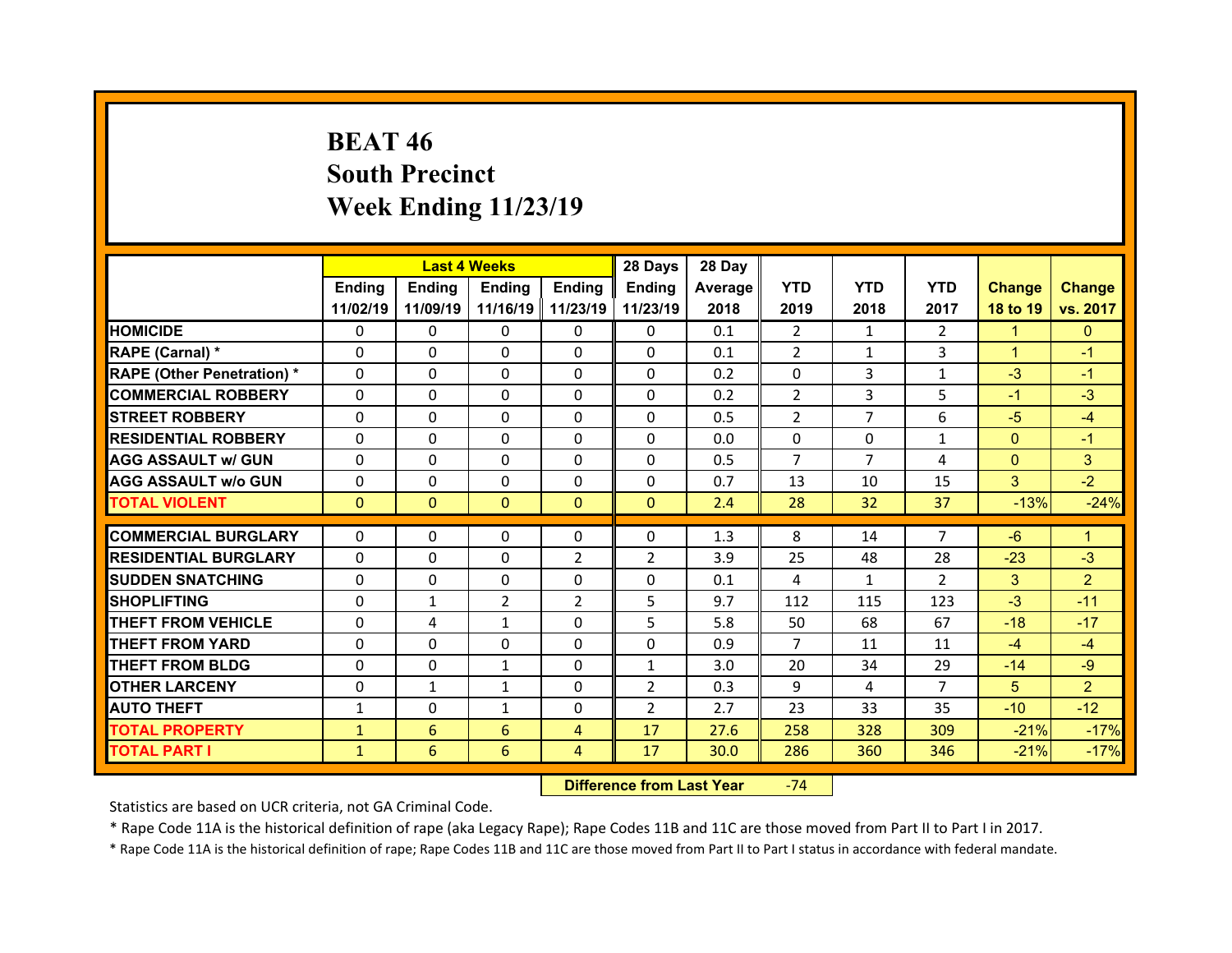# **BEAT 46South Precinct Week Ending 11/23/19**

|                                   |              | <b>Last 4 Weeks</b> |               |                     | 28 Days        | 28 Day  |                |                |                |                |                |
|-----------------------------------|--------------|---------------------|---------------|---------------------|----------------|---------|----------------|----------------|----------------|----------------|----------------|
|                                   | Ending       | Ending              | <b>Ending</b> | <b>Ending</b>       | Ending         | Average | <b>YTD</b>     | <b>YTD</b>     | <b>YTD</b>     | <b>Change</b>  | <b>Change</b>  |
|                                   | 11/02/19     | 11/09/19            |               | 11/16/19   11/23/19 | 11/23/19       | 2018    | 2019           | 2018           | 2017           | 18 to 19       | vs. 2017       |
| <b>HOMICIDE</b>                   | $\Omega$     | 0                   | $\Omega$      | $\Omega$            | 0              | 0.1     | $\overline{2}$ | 1              | $\mathcal{P}$  | $\mathbf{1}$   | $\mathbf{0}$   |
| RAPE (Carnal) *                   | $\Omega$     | $\Omega$            | $\mathbf{0}$  | $\Omega$            | 0              | 0.1     | 2              | $\mathbf{1}$   | 3              | $\mathbf{1}$   | $-1$           |
| <b>RAPE (Other Penetration) *</b> | $\Omega$     | $\Omega$            | $\Omega$      | $\Omega$            | 0              | 0.2     | $\Omega$       | 3              | $\mathbf{1}$   | $-3$           | $-1$           |
| <b>COMMERCIAL ROBBERY</b>         | $\Omega$     | $\Omega$            | $\mathbf{0}$  | $\Omega$            | $\Omega$       | 0.2     | 2              | 3              | 5              | $-1$           | $-3$           |
| <b>STREET ROBBERY</b>             | $\Omega$     | $\Omega$            | $\Omega$      | $\Omega$            | $\Omega$       | 0.5     | 2              | $\overline{7}$ | 6              | $-5$           | $-4$           |
| <b>RESIDENTIAL ROBBERY</b>        | $\Omega$     | $\Omega$            | $\mathbf{0}$  | $\Omega$            | $\Omega$       | 0.0     | $\Omega$       | $\Omega$       | $\mathbf{1}$   | $\overline{0}$ | $-1$           |
| <b>AGG ASSAULT w/ GUN</b>         | $\Omega$     | $\Omega$            | $\Omega$      | $\Omega$            | $\Omega$       | 0.5     | $\overline{7}$ | $\overline{7}$ | 4              | $\overline{0}$ | 3              |
| <b>AGG ASSAULT w/o GUN</b>        | 0            | 0                   | $\mathbf{0}$  | $\Omega$            | $\Omega$       | 0.7     | 13             | 10             | 15             | 3              | $-2$           |
| <b>TOTAL VIOLENT</b>              | $\mathbf{0}$ | $\mathbf{0}$        | $\mathbf{0}$  | $\mathbf{0}$        | $\Omega$       | 2.4     | 28             | 32             | 37             | $-13%$         | $-24%$         |
|                                   |              |                     |               |                     |                |         |                |                |                |                |                |
| <b>COMMERCIAL BURGLARY</b>        | 0            | 0                   | 0             | $\mathbf{0}$        | 0              | 1.3     | 8              | 14             | $\overline{7}$ | $-6$           | $\mathbf{1}$   |
| <b>RESIDENTIAL BURGLARY</b>       | 0            | $\Omega$            | 0             | 2                   | $\overline{2}$ | 3.9     | 25             | 48             | 28             | $-23$          | $-3$           |
| <b>SUDDEN SNATCHING</b>           | 0            | 0                   | 0             | $\Omega$            | 0              | 0.1     | 4              | $\mathbf{1}$   | $\mathcal{P}$  | 3              | $\overline{2}$ |
| <b>SHOPLIFTING</b>                | 0            | $\mathbf{1}$        | 2             | 2                   | 5              | 9.7     | 112            | 115            | 123            | $-3$           | $-11$          |
| <b>THEFT FROM VEHICLE</b>         | 0            | 4                   | $\mathbf{1}$  | $\Omega$            | 5              | 5.8     | 50             | 68             | 67             | $-18$          | $-17$          |
| <b>THEFT FROM YARD</b>            | 0            | $\Omega$            | $\Omega$      | $\Omega$            | 0              | 0.9     | $\overline{7}$ | 11             | 11             | $-4$           | $-4$           |
| <b>THEFT FROM BLDG</b>            | $\mathbf{0}$ | 0                   | $\mathbf{1}$  | $\Omega$            | $\mathbf{1}$   | 3.0     | 20             | 34             | 29             | $-14$          | $-9$           |
| <b>OTHER LARCENY</b>              | $\Omega$     | $\mathbf{1}$        | $\mathbf{1}$  | $\Omega$            | $\overline{2}$ | 0.3     | 9              | 4              | $\overline{7}$ | 5              | $\overline{2}$ |
|                                   |              |                     |               |                     | $\overline{2}$ | 2.7     | 23             | 33             | 35             | $-10$          | $-12$          |
| <b>AUTO THEFT</b>                 | $\mathbf{1}$ | 0                   | $\mathbf{1}$  | $\Omega$            |                |         |                |                |                |                |                |
| <b>TOTAL PROPERTY</b>             | $\mathbf{1}$ | 6                   | 6             | $\overline{4}$      | 17             | 27.6    | 258            | 328            | 309            | $-21%$         | $-17%$         |

 **Difference from Last Year**‐74

Statistics are based on UCR criteria, not GA Criminal Code.

\* Rape Code 11A is the historical definition of rape (aka Legacy Rape); Rape Codes 11B and 11C are those moved from Part II to Part I in 2017.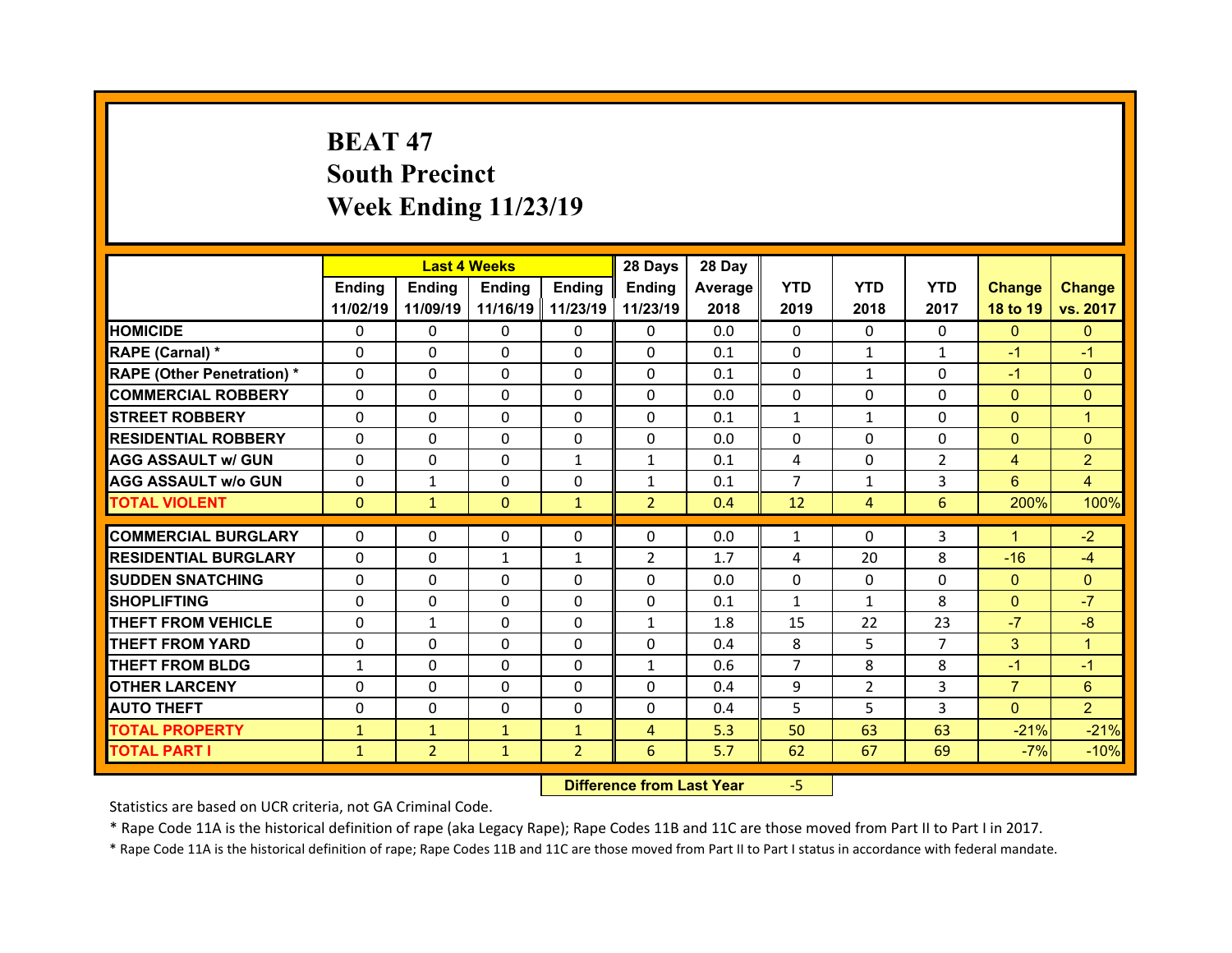# **BEAT 47South Precinct Week Ending 11/23/19**

|                                   |              | <b>Last 4 Weeks</b> |               |               | 28 Days        | 28 Day  |                |                |                |                 |                |
|-----------------------------------|--------------|---------------------|---------------|---------------|----------------|---------|----------------|----------------|----------------|-----------------|----------------|
|                                   | Ending       | <b>Ending</b>       | <b>Ending</b> | <b>Ending</b> | <b>Ending</b>  | Average | <b>YTD</b>     | <b>YTD</b>     | <b>YTD</b>     | <b>Change</b>   | <b>Change</b>  |
|                                   | 11/02/19     | 11/09/19            | 11/16/19      | 11/23/19      | 11/23/19       | 2018    | 2019           | 2018           | 2017           | 18 to 19        | vs. 2017       |
| <b>HOMICIDE</b>                   | $\Omega$     | 0                   | 0             | $\Omega$      | $\Omega$       | 0.0     | $\Omega$       | $\Omega$       | $\Omega$       | $\Omega$        | $\Omega$       |
| RAPE (Carnal) *                   | $\mathbf{0}$ | 0                   | $\mathbf{0}$  | $\mathbf{0}$  | $\Omega$       | 0.1     | 0              | $\mathbf{1}$   | $\mathbf{1}$   | $-1$            | $-1$           |
| <b>RAPE (Other Penetration) *</b> | $\Omega$     | $\Omega$            | $\Omega$      | $\Omega$      | $\Omega$       | 0.1     | $\Omega$       | $\mathbf{1}$   | $\Omega$       | $-1$            | $\Omega$       |
| <b>COMMERCIAL ROBBERY</b>         | $\Omega$     | $\Omega$            | $\mathbf{0}$  | $\Omega$      | $\Omega$       | 0.0     | $\Omega$       | $\Omega$       | $\Omega$       | $\overline{0}$  | $\Omega$       |
| <b>STREET ROBBERY</b>             | $\Omega$     | 0                   | $\Omega$      | $\Omega$      | $\Omega$       | 0.1     | $\mathbf{1}$   | $\mathbf{1}$   | $\Omega$       | $\mathbf{0}$    | $\overline{1}$ |
| <b>RESIDENTIAL ROBBERY</b>        | $\Omega$     | 0                   | $\mathbf{0}$  | $\Omega$      | $\Omega$       | 0.0     | $\Omega$       | $\Omega$       | $\Omega$       | $\overline{0}$  | $\Omega$       |
| <b>AGG ASSAULT w/ GUN</b>         | $\Omega$     | $\Omega$            | $\Omega$      | $\mathbf{1}$  | $\mathbf{1}$   | 0.1     | $\overline{4}$ | $\Omega$       | $\overline{2}$ | $\overline{4}$  | $\overline{2}$ |
| <b>AGG ASSAULT w/o GUN</b>        | 0            | $\mathbf{1}$        | 0             | 0             | $\mathbf{1}$   | 0.1     | $\overline{7}$ | $\mathbf{1}$   | 3              | $6\overline{6}$ | $\overline{4}$ |
| <b>TOTAL VIOLENT</b>              | $\mathbf{0}$ | $\mathbf{1}$        | $\mathbf{0}$  | $\mathbf{1}$  | $\overline{2}$ | 0.4     | 12             | 4              | 6              | 200%            | 100%           |
|                                   |              |                     |               |               |                |         |                |                |                | $\mathbf{1}$    |                |
| <b>COMMERCIAL BURGLARY</b>        | 0            | 0                   | 0             | $\mathbf{0}$  | 0              | 0.0     | 1              | $\Omega$       | 3              |                 | $-2$           |
| <b>RESIDENTIAL BURGLARY</b>       | 0            | 0                   | $\mathbf{1}$  | $\mathbf{1}$  | $\overline{2}$ | 1.7     | 4              | 20             | 8              | $-16$           | $-4$           |
| <b>SUDDEN SNATCHING</b>           | $\Omega$     | $\Omega$            | $\mathbf{0}$  | $\Omega$      | $\Omega$       | 0.0     | $\Omega$       | $\Omega$       | $\Omega$       | $\mathbf{0}$    | $\Omega$       |
| <b>SHOPLIFTING</b>                | 0            | $\Omega$            | $\Omega$      | $\Omega$      | 0              | 0.1     | $\mathbf{1}$   | $\mathbf{1}$   | 8              | $\overline{0}$  | $-7$           |
| <b>THEFT FROM VEHICLE</b>         | 0            | $\mathbf{1}$        | $\mathbf{0}$  | $\Omega$      | $\mathbf{1}$   | 1.8     | 15             | 22             | 23             | $-7$            | $-8$           |
| <b>THEFT FROM YARD</b>            | $\mathbf{0}$ | $\Omega$            | $\Omega$      | $\Omega$      | $\Omega$       | 0.4     | 8              | 5              | $\overline{7}$ | 3               | $\mathbf{1}$   |
| <b>THEFT FROM BLDG</b>            | $\mathbf{1}$ | $\Omega$            | $\mathbf{0}$  | $\Omega$      | $\mathbf{1}$   | 0.6     | $\overline{7}$ | 8              | 8              | $-1$            | $-1$           |
| <b>OTHER LARCENY</b>              | $\Omega$     | $\Omega$            | $\Omega$      | $\Omega$      | $\Omega$       | 0.4     | 9              | $\overline{2}$ | 3              | $\overline{7}$  | 6              |
| <b>AUTO THEFT</b>                 | $\mathbf{0}$ | 0                   | $\mathbf{0}$  | $\mathbf{0}$  | $\Omega$       | 0.4     | 5              | 5.             | 3              | $\mathbf{0}$    | $\overline{2}$ |
|                                   |              |                     |               |               |                |         |                |                |                |                 |                |
| <b>TOTAL PROPERTY</b>             | $\mathbf{1}$ | $\mathbf{1}$        | $\mathbf{1}$  | $\mathbf{1}$  | 4              | 5.3     | 50             | 63             | 63             | $-21%$          | $-21%$         |

 **Difference from Last Year**‐5

Statistics are based on UCR criteria, not GA Criminal Code.

\* Rape Code 11A is the historical definition of rape (aka Legacy Rape); Rape Codes 11B and 11C are those moved from Part II to Part I in 2017.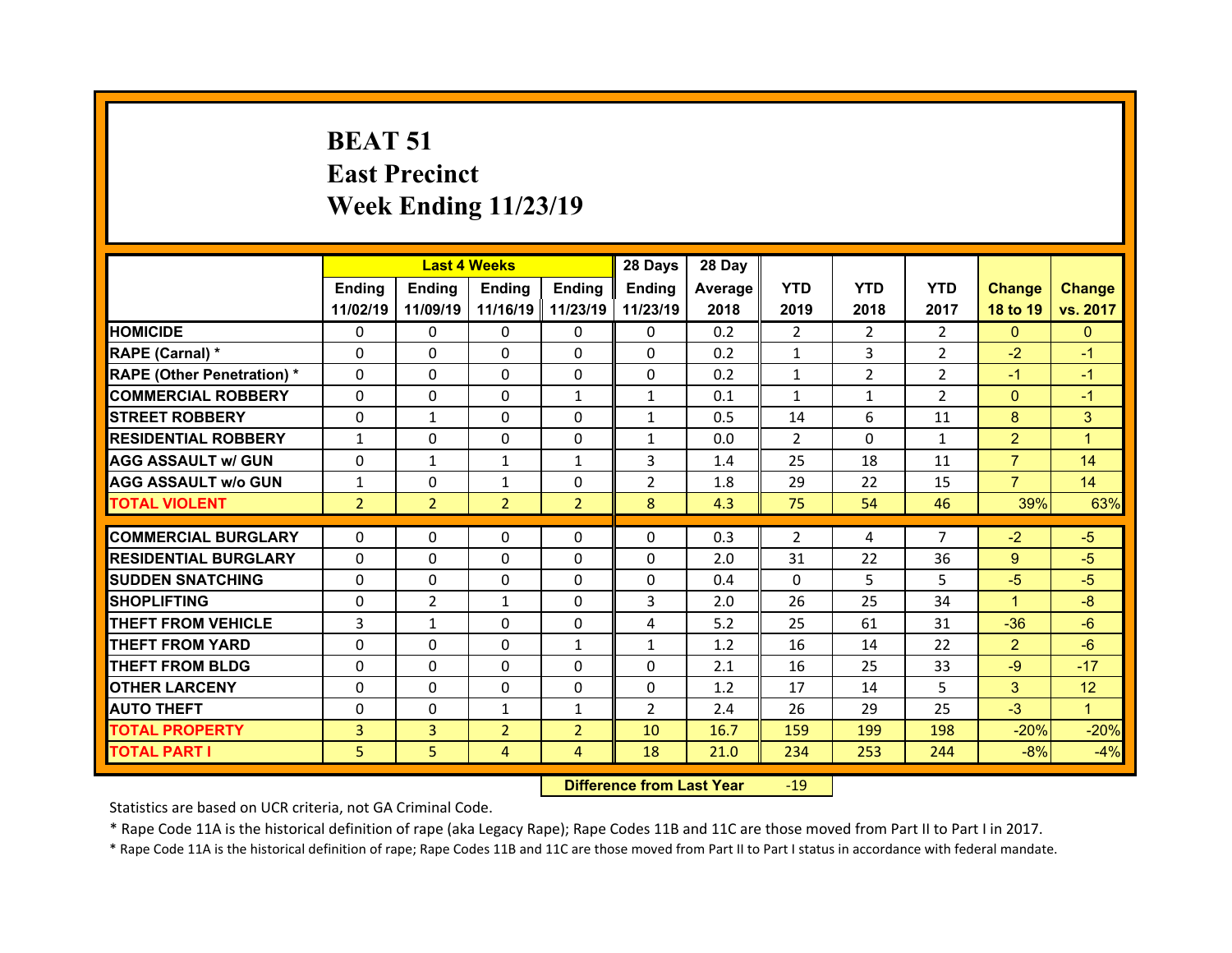# **BEAT 51 East Precinct Week Ending 11/23/19**

|                                   |                | <b>Last 4 Weeks</b> |                     |                | 28 Days        | 28 Day  |                |                |                |                |                |
|-----------------------------------|----------------|---------------------|---------------------|----------------|----------------|---------|----------------|----------------|----------------|----------------|----------------|
|                                   | <b>Ending</b>  | Ending              | <b>Ending</b>       | <b>Ending</b>  | <b>Ending</b>  | Average | <b>YTD</b>     | <b>YTD</b>     | <b>YTD</b>     | <b>Change</b>  | <b>Change</b>  |
|                                   | 11/02/19       | 11/09/19            | 11/16/19   11/23/19 |                | 11/23/19       | 2018    | 2019           | 2018           | 2017           | 18 to 19       | vs. 2017       |
| <b>HOMICIDE</b>                   | $\Omega$       | 0                   | $\Omega$            | 0              | $\mathbf{0}$   | 0.2     | $\overline{2}$ | 2              | $\overline{2}$ | $\overline{0}$ | $\overline{0}$ |
| RAPE (Carnal) *                   | $\Omega$       | $\Omega$            | $\Omega$            | $\Omega$       | $\Omega$       | 0.2     | $\mathbf{1}$   | $\overline{3}$ | $\overline{2}$ | $-2$           | $-1$           |
| <b>RAPE (Other Penetration) *</b> | $\Omega$       | $\Omega$            | $\Omega$            | $\Omega$       | $\Omega$       | 0.2     | $\mathbf{1}$   | $\overline{2}$ | $\overline{2}$ | $-1$           | $-1$           |
| <b>COMMERCIAL ROBBERY</b>         | $\Omega$       | $\Omega$            | $\Omega$            | $\mathbf{1}$   | $\mathbf{1}$   | 0.1     | $\mathbf{1}$   | $\mathbf{1}$   | $\overline{2}$ | $\overline{0}$ | $-1$           |
| <b>STREET ROBBERY</b>             | $\Omega$       | $\mathbf{1}$        | $\Omega$            | $\Omega$       | $\mathbf{1}$   | 0.5     | 14             | 6              | 11             | 8              | 3              |
| <b>RESIDENTIAL ROBBERY</b>        | $\mathbf{1}$   | $\Omega$            | $\Omega$            | $\Omega$       | $\mathbf{1}$   | 0.0     | 2              | $\Omega$       | $\mathbf{1}$   | $\overline{2}$ | $\overline{1}$ |
| <b>AGG ASSAULT W/ GUN</b>         | $\Omega$       | $\mathbf{1}$        | $\mathbf{1}$        | $\mathbf{1}$   | 3              | 1.4     | 25             | 18             | 11             | $\overline{7}$ | 14             |
| <b>AGG ASSAULT W/o GUN</b>        | $\mathbf{1}$   | 0                   | $\mathbf{1}$        | 0              | $\overline{2}$ | 1.8     | 29             | 22             | 15             | $\overline{7}$ | 14             |
| <b>TOTAL VIOLENT</b>              | $\overline{2}$ | $\overline{2}$      | $\overline{2}$      | $\overline{2}$ | 8              | 4.3     | 75             | 54             | 46             | 39%            | 63%            |
|                                   |                |                     |                     |                |                |         |                |                |                |                |                |
| <b>COMMERCIAL BURGLARY</b>        | $\Omega$       | $\Omega$            | $\Omega$            | $\Omega$       | $\Omega$       | 0.3     | 2              | 4              | $\overline{7}$ | $-2$           | $-5$           |
| <b>RESIDENTIAL BURGLARY</b>       | $\Omega$       | $\Omega$            | $\Omega$            | $\Omega$       | 0              | 2.0     | 31             | 22             | 36             | 9 <sup>°</sup> | $-5$           |
| <b>ISUDDEN SNATCHING</b>          | $\Omega$       | $\Omega$            | $\Omega$            | $\Omega$       | $\Omega$       | 0.4     | $\Omega$       | 5.             | 5              | $-5$           | $-5$           |
| <b>SHOPLIFTING</b>                | $\Omega$       | $\overline{2}$      | $\mathbf{1}$        | $\Omega$       | 3              | 2.0     | 26             | 25             | 34             | $\mathbf{1}$   | $-8$           |
| <b>THEFT FROM VEHICLE</b>         | 3              | $\mathbf{1}$        | $\Omega$            | $\Omega$       | 4              | 5.2     | 25             | 61             | 31             | $-36$          | $-6$           |
| <b>THEFT FROM YARD</b>            | $\Omega$       | $\Omega$            | $\Omega$            | $\mathbf{1}$   | $\mathbf{1}$   | 1.2     | 16             | 14             | 22             | $\overline{2}$ | $-6$           |
| <b>THEFT FROM BLDG</b>            | 0              | 0                   | $\Omega$            | $\Omega$       | $\Omega$       | 2.1     | 16             | 25             | 33             | $-9$           | $-17$          |
| <b>OTHER LARCENY</b>              | $\Omega$       | $\Omega$            | $\Omega$            | $\Omega$       | $\Omega$       | 1.2     | 17             | 14             | 5              | 3              | 12             |
| <b>AUTO THEFT</b>                 | $\Omega$       | $\Omega$            | $\mathbf{1}$        | $\mathbf{1}$   | $\overline{2}$ | 2.4     | 26             | 29             | 25             | $-3$           | $\mathbf{1}$   |
| <b>TOTAL PROPERTY</b>             | 3              | $\overline{3}$      | $\overline{2}$      | $\overline{2}$ | 10             | 16.7    | 159            | 199            | 198            | $-20%$         | $-20%$         |
| <b>TOTAL PART I</b>               | 5              | 5                   | $\overline{4}$      | $\overline{4}$ | 18             | 21.0    | 234            | 253            | 244            | $-8%$          | $-4%$          |

 **Difference from Last Year**r - 19

Statistics are based on UCR criteria, not GA Criminal Code.

\* Rape Code 11A is the historical definition of rape (aka Legacy Rape); Rape Codes 11B and 11C are those moved from Part II to Part I in 2017.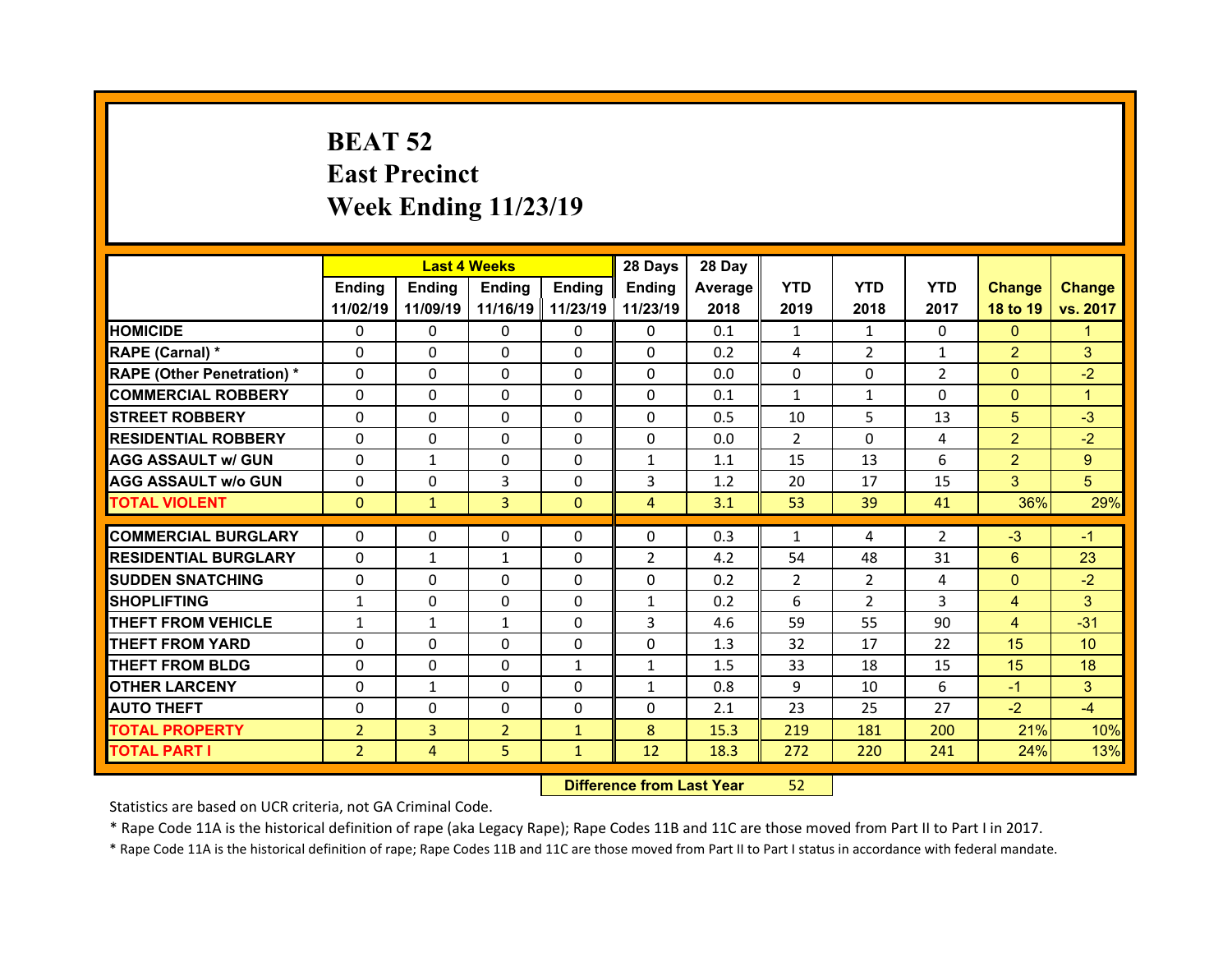# **BEAT 52 East Precinct Week Ending 11/23/19**

|                                   |                | <b>Last 4 Weeks</b> |                   |               | 28 Days        | 28 Day  |                |                |                |                |                 |
|-----------------------------------|----------------|---------------------|-------------------|---------------|----------------|---------|----------------|----------------|----------------|----------------|-----------------|
|                                   | <b>Ending</b>  | <b>Endina</b>       | <b>Ending</b>     | <b>Endina</b> | <b>Ending</b>  | Average | <b>YTD</b>     | <b>YTD</b>     | <b>YTD</b>     | <b>Change</b>  | <b>Change</b>   |
|                                   | 11/02/19       | 11/09/19            | 11/16/19 11/23/19 |               | 11/23/19       | 2018    | 2019           | 2018           | 2017           | 18 to 19       | vs. 2017        |
| <b>HOMICIDE</b>                   | $\Omega$       | 0                   | 0                 | $\mathbf{0}$  | 0              | 0.1     | 1              | 1              | $\Omega$       | $\mathbf{0}$   | 1               |
| RAPE (Carnal) *                   | 0              | 0                   | $\mathbf{0}$      | $\Omega$      | 0              | 0.2     | 4              | $\overline{2}$ | $\mathbf{1}$   | $\overline{2}$ | 3               |
| <b>RAPE (Other Penetration) *</b> | 0              | 0                   | $\Omega$          | $\Omega$      | $\Omega$       | 0.0     | $\Omega$       | $\Omega$       | $\overline{2}$ | $\mathbf{0}$   | $-2$            |
| <b>COMMERCIAL ROBBERY</b>         | $\Omega$       | 0                   | $\mathbf{0}$      | $\mathbf{0}$  | 0              | 0.1     | $\mathbf{1}$   | $\mathbf{1}$   | $\Omega$       | $\overline{0}$ | 1               |
| <b>STREET ROBBERY</b>             | 0              | 0                   | $\Omega$          | $\Omega$      | 0              | 0.5     | 10             | 5.             | 13             | 5              | $-3$            |
| <b>RESIDENTIAL ROBBERY</b>        | $\Omega$       | $\Omega$            | $\mathbf{0}$      | $\Omega$      | $\Omega$       | 0.0     | 2              | $\Omega$       | 4              | $\overline{2}$ | $-2$            |
| <b>AGG ASSAULT w/ GUN</b>         | 0              | $\mathbf{1}$        | $\Omega$          | $\Omega$      | $\mathbf{1}$   | 1.1     | 15             | 13             | 6              | $\overline{2}$ | 9               |
| <b>AGG ASSAULT w/o GUN</b>        | $\Omega$       | 0                   | 3                 | $\mathbf{0}$  | 3              | 1.2     | 20             | 17             | 15             | 3              | 5               |
| <b>TOTAL VIOLENT</b>              | $\mathbf{0}$   | $\mathbf{1}$        | 3                 | $\mathbf{0}$  | $\overline{4}$ | 3.1     | 53             | 39             | 41             | 36%            | 29%             |
|                                   |                |                     |                   |               |                |         |                |                |                |                |                 |
| <b>COMMERCIAL BURGLARY</b>        | 0              | 0                   | 0                 | 0             | 0              | 0.3     | 1              | 4              | $\overline{2}$ | $-3$           | $-1$            |
| <b>RESIDENTIAL BURGLARY</b>       | 0              | $\mathbf{1}$        | 1                 | $\Omega$      | $\overline{2}$ | 4.2     | 54             | 48             | 31             | $6^{\circ}$    | 23              |
| <b>SUDDEN SNATCHING</b>           | 0              | $\Omega$            | $\Omega$          | $\Omega$      | 0              | 0.2     | $\overline{2}$ | $\overline{2}$ | 4              | $\mathbf{0}$   | $-2$            |
| <b>SHOPLIFTING</b>                | $\mathbf{1}$   | 0                   | $\Omega$          | $\Omega$      | $\mathbf{1}$   | 0.2     | 6              | $\mathcal{P}$  | 3              | $\overline{4}$ | 3               |
| <b>THEFT FROM VEHICLE</b>         | $\mathbf{1}$   | $\mathbf{1}$        | $\mathbf{1}$      | 0             | 3              | 4.6     | 59             | 55             | 90             | $\overline{4}$ | $-31$           |
| <b>THEFT FROM YARD</b>            | 0              | $\Omega$            | $\Omega$          | $\Omega$      | 0              | 1.3     | 32             | 17             | 22             | 15             | 10 <sup>°</sup> |
| <b>THEFT FROM BLDG</b>            | 0              | 0                   | 0                 | $\mathbf{1}$  | $\mathbf{1}$   | 1.5     | 33             | 18             | 15             | 15             | 18              |
| <b>OTHER LARCENY</b>              | 0              | $\mathbf{1}$        | 0                 | $\Omega$      | $\mathbf{1}$   | 0.8     | 9              | 10             | 6              | $-1$           | 3               |
| <b>AUTO THEFT</b>                 | 0              | $\Omega$            | $\Omega$          | $\Omega$      | 0              | 2.1     | 23             | 25             | 27             | $-2$           | $-4$            |
| <b>TOTAL PROPERTY</b>             | $\overline{2}$ | $\overline{3}$      | $\overline{2}$    | $\mathbf{1}$  | 8              | 15.3    | 219            | 181            | 200            | 21%            | 10%             |
| <b>TOTAL PART I</b>               | $\overline{2}$ | $\overline{4}$      | 5                 | $\mathbf{1}$  | 12             | 18.3    | 272            | 220            | 241            | 24%            | 13%             |
|                                   |                |                     |                   |               |                |         |                |                |                |                |                 |

 **Difference from Last Year**52

Statistics are based on UCR criteria, not GA Criminal Code.

\* Rape Code 11A is the historical definition of rape (aka Legacy Rape); Rape Codes 11B and 11C are those moved from Part II to Part I in 2017.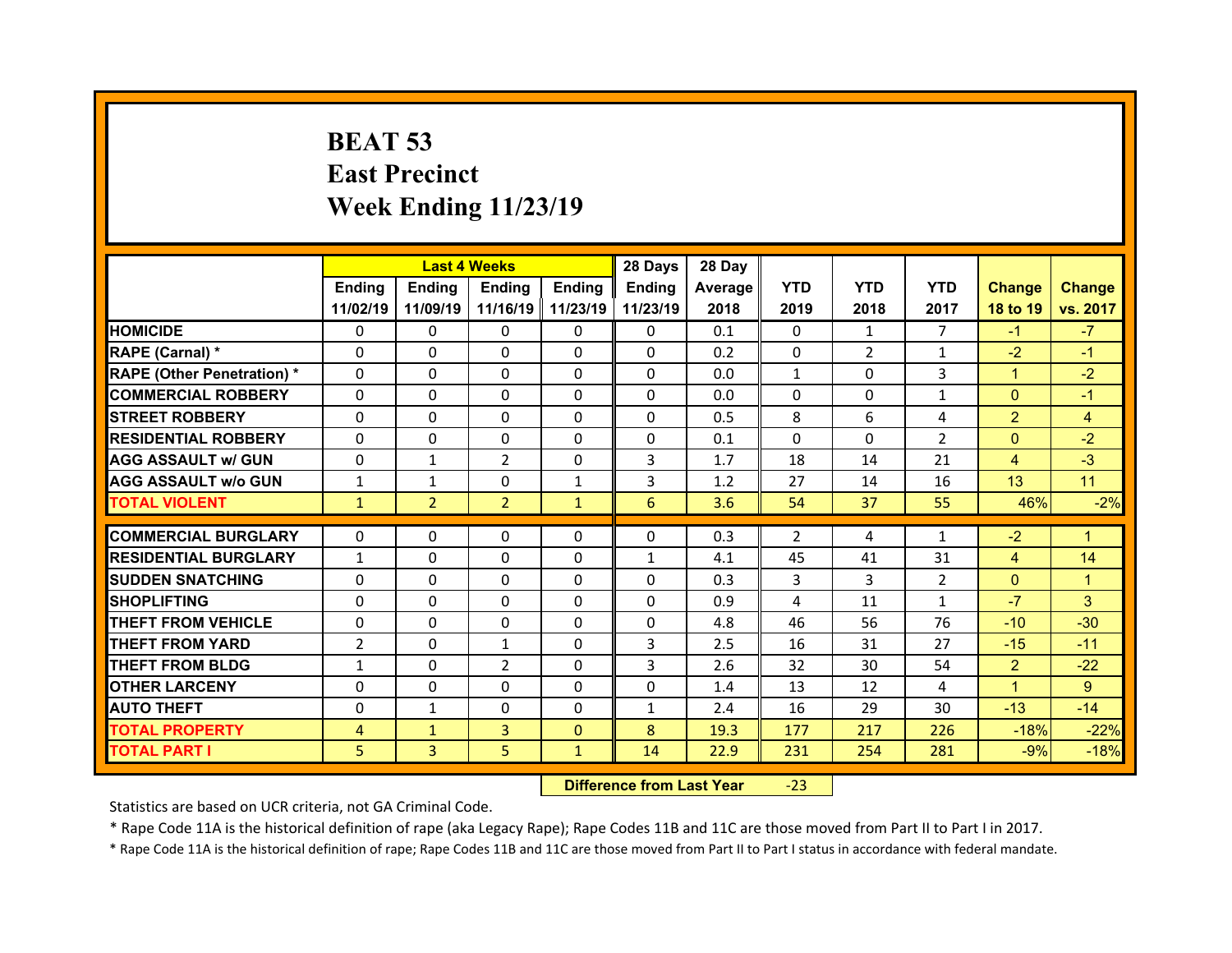# **BEAT 53 East Precinct Week Ending 11/23/19**

|                                  |                | <b>Last 4 Weeks</b> |                   |               | 28 Days           | 28 Day     |                |                |                      |                                  |                |
|----------------------------------|----------------|---------------------|-------------------|---------------|-------------------|------------|----------------|----------------|----------------------|----------------------------------|----------------|
|                                  | Ending         | Ending              | <b>Ending</b>     | <b>Ending</b> | Ending            | Average    | <b>YTD</b>     | <b>YTD</b>     | <b>YTD</b>           | <b>Change</b>                    | <b>Change</b>  |
|                                  | 11/02/19       | 11/09/19            | 11/16/19 11/23/19 |               | 11/23/19          | 2018       | 2019           | 2018           | 2017                 | 18 to 19                         | vs. 2017       |
| <b>HOMICIDE</b>                  | $\Omega$       | 0                   | $\Omega$          | $\Omega$      | 0                 | 0.1        | $\Omega$       | 1              | $\overline{7}$       | $-1$                             | $-7$           |
| RAPE (Carnal) *                  | 0              | $\Omega$            | $\mathbf{0}$      | $\Omega$      | 0                 | 0.2        | 0              | $\overline{2}$ | $\mathbf{1}$         | $-2$                             | $-1$           |
| <b>RAPE (Other Penetration)*</b> | 0              | $\Omega$            | $\Omega$          | $\Omega$      | $\Omega$          | 0.0        | $\mathbf{1}$   | $\Omega$       | 3                    | $\mathbf{1}$                     | $-2$           |
| <b>COMMERCIAL ROBBERY</b>        | $\Omega$       | 0                   | $\Omega$          | $\Omega$      | 0                 | 0.0        | $\Omega$       | $\Omega$       | $\mathbf{1}$         | $\mathbf{0}$                     | $-1$           |
| <b>STREET ROBBERY</b>            | $\Omega$       | $\Omega$            | $\mathbf{0}$      | $\Omega$      | $\Omega$          | 0.5        | 8              | 6              | 4                    | $\overline{2}$                   | $\overline{4}$ |
| <b>RESIDENTIAL ROBBERY</b>       | $\Omega$       | $\Omega$            | $\mathbf{0}$      | $\Omega$      | $\Omega$          | 0.1        | $\Omega$       | $\Omega$       | $\overline{2}$       | $\overline{0}$                   | $-2$           |
| <b>AGG ASSAULT w/ GUN</b>        | $\Omega$       | $\mathbf{1}$        | 2                 | $\Omega$      | 3                 | 1.7        | 18             | 14             | 21                   | $\overline{4}$                   | $-3$           |
| <b>AGG ASSAULT w/o GUN</b>       | $\mathbf{1}$   | $\mathbf{1}$        | $\mathbf{0}$      | $\mathbf{1}$  | 3                 | 1.2        | 27             | 14             | 16                   | 13                               | 11             |
| <b>TOTAL VIOLENT</b>             | $\mathbf{1}$   | $\overline{2}$      | $\overline{2}$    | $\mathbf{1}$  | 6                 | 3.6        | 54             | 37             | 55                   | 46%                              | $-2%$          |
| <b>COMMERCIAL BURGLARY</b>       | 0              | 0                   | 0                 | 0             | 0                 | 0.3        | $\overline{2}$ | 4              | $\mathbf{1}$         | $-2$                             | 1              |
|                                  |                |                     |                   |               |                   |            |                |                |                      |                                  |                |
| <b>RESIDENTIAL BURGLARY</b>      | $\mathbf{1}$   | 0<br>$\Omega$       | 0<br>$\mathbf{0}$ | $\Omega$      | $\mathbf{1}$<br>0 | 4.1<br>0.3 | 45<br>3        | 41<br>3        | 31<br>$\overline{2}$ | $\overline{4}$<br>$\overline{0}$ | 14             |
| <b>SUDDEN SNATCHING</b>          | 0              |                     |                   | $\Omega$      |                   |            |                |                |                      |                                  | $\overline{1}$ |
|                                  |                |                     |                   |               |                   |            |                |                |                      |                                  |                |
| <b>SHOPLIFTING</b>               | 0              | $\Omega$            | 0                 | $\Omega$      | 0                 | 0.9        | 4              | 11             | $\mathbf{1}$         | $-7$                             | 3              |
| <b>THEFT FROM VEHICLE</b>        | 0              | 0                   | 0                 | $\Omega$      | 0                 | 4.8        | 46             | 56             | 76                   | $-10$                            | $-30$          |
| <b>THEFT FROM YARD</b>           | $\overline{2}$ | $\Omega$            | $\mathbf{1}$      | $\Omega$      | 3                 | 2.5        | 16             | 31             | 27                   | $-15$                            | $-11$          |
| <b>THEFT FROM BLDG</b>           | $\mathbf{1}$   | 0                   | 2                 | $\Omega$      | 3                 | 2.6        | 32             | 30             | 54                   | $\overline{2}$                   | $-22$          |
| <b>OTHER LARCENY</b>             | 0              | 0                   | $\Omega$          | $\Omega$      | $\Omega$          | 1.4        | 13             | 12             | 4                    | $\mathbf{1}$                     | 9              |
| <b>AUTO THEFT</b>                | 0              | $\mathbf{1}$        | $\mathbf{0}$      | $\Omega$      | $\mathbf{1}$      | 2.4        | 16             | 29             | 30                   | $-13$                            | $-14$          |
| <b>TOTAL PROPERTY</b>            | 4              | $\mathbf{1}$        | 3                 | $\mathbf{0}$  | 8                 | 19.3       | 177            | 217            | 226                  | $-18%$                           | $-22%$         |
| <b>TOTAL PART I</b>              | 5              | 3                   | 5                 | $\mathbf{1}$  | 14                | 22.9       | 231            | 254            | 281                  | $-9%$                            | $-18%$         |

 **Difference from Last Year**‐23

Statistics are based on UCR criteria, not GA Criminal Code.

\* Rape Code 11A is the historical definition of rape (aka Legacy Rape); Rape Codes 11B and 11C are those moved from Part II to Part I in 2017.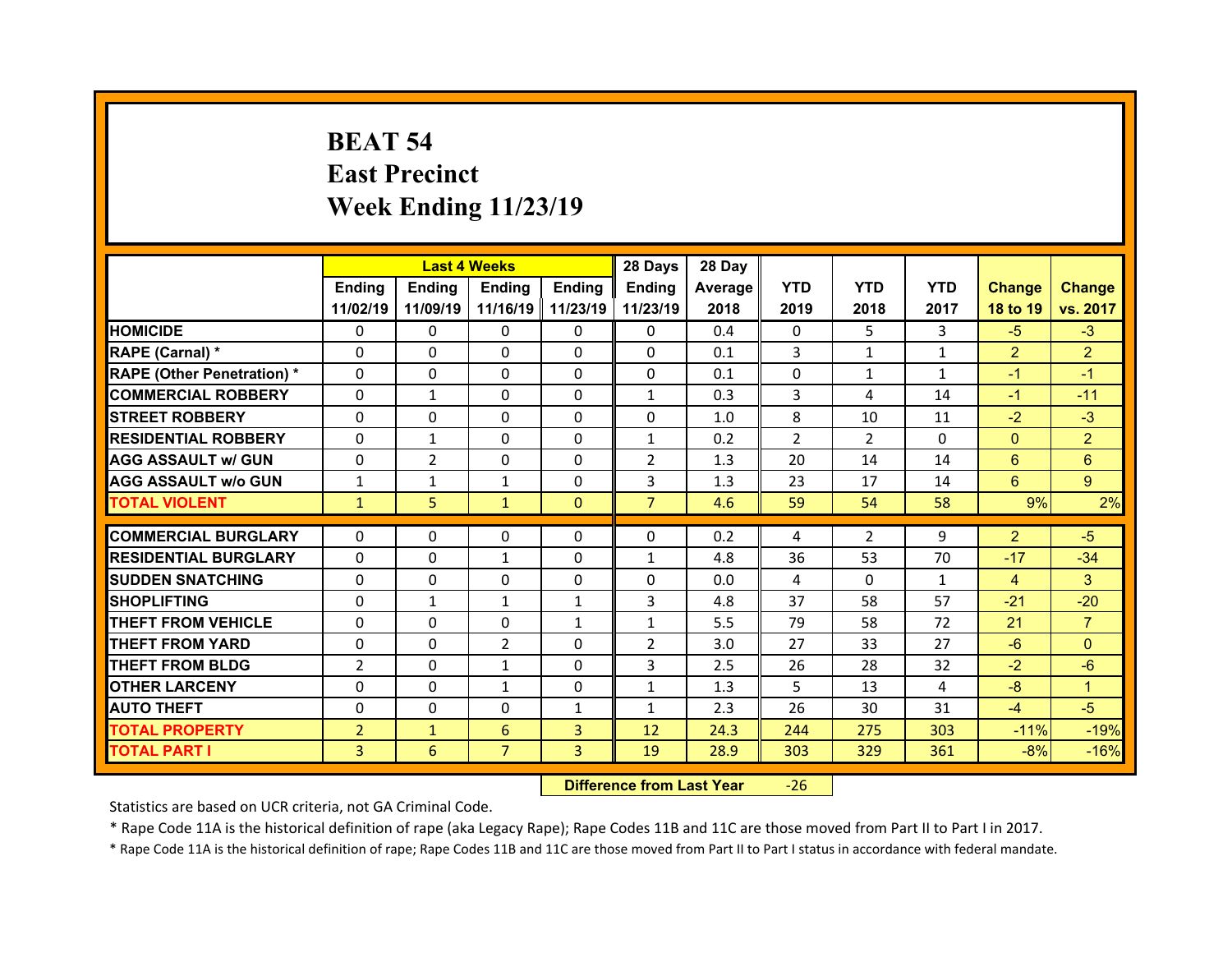# **BEAT 54 East Precinct Week Ending 11/23/19**

|                                  |                | <b>Last 4 Weeks</b> |                |                   | 28 Days        | 28 Day  |                |                |              |                         |                |
|----------------------------------|----------------|---------------------|----------------|-------------------|----------------|---------|----------------|----------------|--------------|-------------------------|----------------|
|                                  | Ending         | Ending              | Ending         | <b>Ending</b>     | Ending         | Average | <b>YTD</b>     | <b>YTD</b>     | <b>YTD</b>   | <b>Change</b>           | <b>Change</b>  |
|                                  | 11/02/19       | 11/09/19            |                | 11/16/19 11/23/19 | 11/23/19       | 2018    | 2019           | 2018           | 2017         | 18 to 19                | vs. 2017       |
| <b>HOMICIDE</b>                  | $\Omega$       | 0                   | $\Omega$       | $\Omega$          | 0              | 0.4     | $\Omega$       | 5.             | 3            | $-5$                    | $-3$           |
| RAPE (Carnal) *                  | $\Omega$       | $\Omega$            | $\mathbf{0}$   | $\Omega$          | 0              | 0.1     | 3              | $\mathbf{1}$   | $\mathbf{1}$ | $\overline{2}$          | $\overline{2}$ |
| <b>RAPE (Other Penetration)*</b> | 0              | $\Omega$            | $\Omega$       | $\Omega$          | 0              | 0.1     | 0              | $\mathbf{1}$   | $\mathbf{1}$ | $-1$                    | $-1$           |
| <b>COMMERCIAL ROBBERY</b>        | $\Omega$       | $\mathbf{1}$        | $\Omega$       | $\Omega$          | $\mathbf{1}$   | 0.3     | 3              | 4              | 14           | $-1$                    | $-11$          |
| <b>STREET ROBBERY</b>            | $\Omega$       | $\Omega$            | $\mathbf{0}$   | $\Omega$          | $\Omega$       | 1.0     | 8              | 10             | 11           | $-2$                    | $-3$           |
| <b>RESIDENTIAL ROBBERY</b>       | $\Omega$       | $\mathbf{1}$        | $\mathbf{0}$   | $\Omega$          | $\mathbf{1}$   | 0.2     | $\overline{2}$ | $\mathcal{P}$  | $\Omega$     | $\mathbf{0}$            | $\overline{2}$ |
| <b>AGG ASSAULT w/ GUN</b>        | $\Omega$       | $\overline{2}$      | $\Omega$       | $\Omega$          | $\overline{2}$ | 1.3     | 20             | 14             | 14           | 6                       | 6              |
| <b>AGG ASSAULT w/o GUN</b>       | $\mathbf{1}$   | $\mathbf{1}$        | $\mathbf{1}$   | $\Omega$          | 3              | 1.3     | 23             | 17             | 14           | 6                       | 9 <sup>°</sup> |
| <b>TOTAL VIOLENT</b>             | $\mathbf{1}$   | 5                   | $\mathbf{1}$   | $\mathbf{0}$      | $\overline{7}$ | 4.6     | 59             | 54             | 58           | 9%                      | 2%             |
| <b>COMMERCIAL BURGLARY</b>       | 0              | 0                   | 0              | 0                 | 0              | 0.2     |                | $\overline{2}$ | 9            | $\overline{2}$          | $-5$           |
|                                  | $\Omega$       |                     |                |                   |                |         | 4              |                |              |                         |                |
| <b>RESIDENTIAL BURGLARY</b>      |                | 0                   | $\mathbf{1}$   | $\Omega$          | $\mathbf{1}$   | 4.8     | 36             | 53             | 70           | $-17$                   | $-34$          |
| <b>SUDDEN SNATCHING</b>          | 0              | $\Omega$            | $\Omega$       | $\Omega$          | 0              | 0.0     | 4<br>37        | $\Omega$       | $\mathbf{1}$ | $\overline{4}$<br>$-21$ | 3              |
| <b>SHOPLIFTING</b>               | 0              | $\mathbf{1}$        | $\mathbf{1}$   | 1                 |                |         |                |                |              |                         | $-20$          |
|                                  |                |                     |                |                   | 3              | 4.8     |                | 58             | 57           |                         |                |
| <b>THEFT FROM VEHICLE</b>        | 0              | 0                   | 0              | $\mathbf{1}$      | $\mathbf{1}$   | 5.5     | 79             | 58             | 72           | 21                      | $\overline{7}$ |
| <b>THEFT FROM YARD</b>           | 0              | 0                   | 2              | $\Omega$          | $\overline{2}$ | 3.0     | 27             | 33             | 27           | $-6$                    | $\Omega$       |
| <b>THEFT FROM BLDG</b>           | $\overline{2}$ | 0                   | $\mathbf{1}$   | $\Omega$          | 3              | 2.5     | 26             | 28             | 32           | $-2$                    | $-6$           |
| <b>OTHER LARCENY</b>             | 0              | 0                   | $\mathbf{1}$   | $\Omega$          | $\mathbf{1}$   | 1.3     | 5              | 13             | 4            | $-8$                    | 1              |
| <b>AUTO THEFT</b>                | 0              | 0                   | $\mathbf{0}$   | 1                 | $\mathbf{1}$   | 2.3     | 26             | 30             | 31           | $-4$                    | $-5$           |
| <b>TOTAL PROPERTY</b>            | $\overline{2}$ | $\mathbf{1}$        | 6              | $\overline{3}$    | 12             | 24.3    | 244            | 275            | 303          | $-11%$                  | $-19%$         |
| <b>TOTAL PART I</b>              | 3              | 6                   | $\overline{7}$ | 3                 | 19             | 28.9    | 303            | 329            | 361          | $-8%$                   | $-16%$         |

 **Difference from Last Year**‐26

Statistics are based on UCR criteria, not GA Criminal Code.

\* Rape Code 11A is the historical definition of rape (aka Legacy Rape); Rape Codes 11B and 11C are those moved from Part II to Part I in 2017.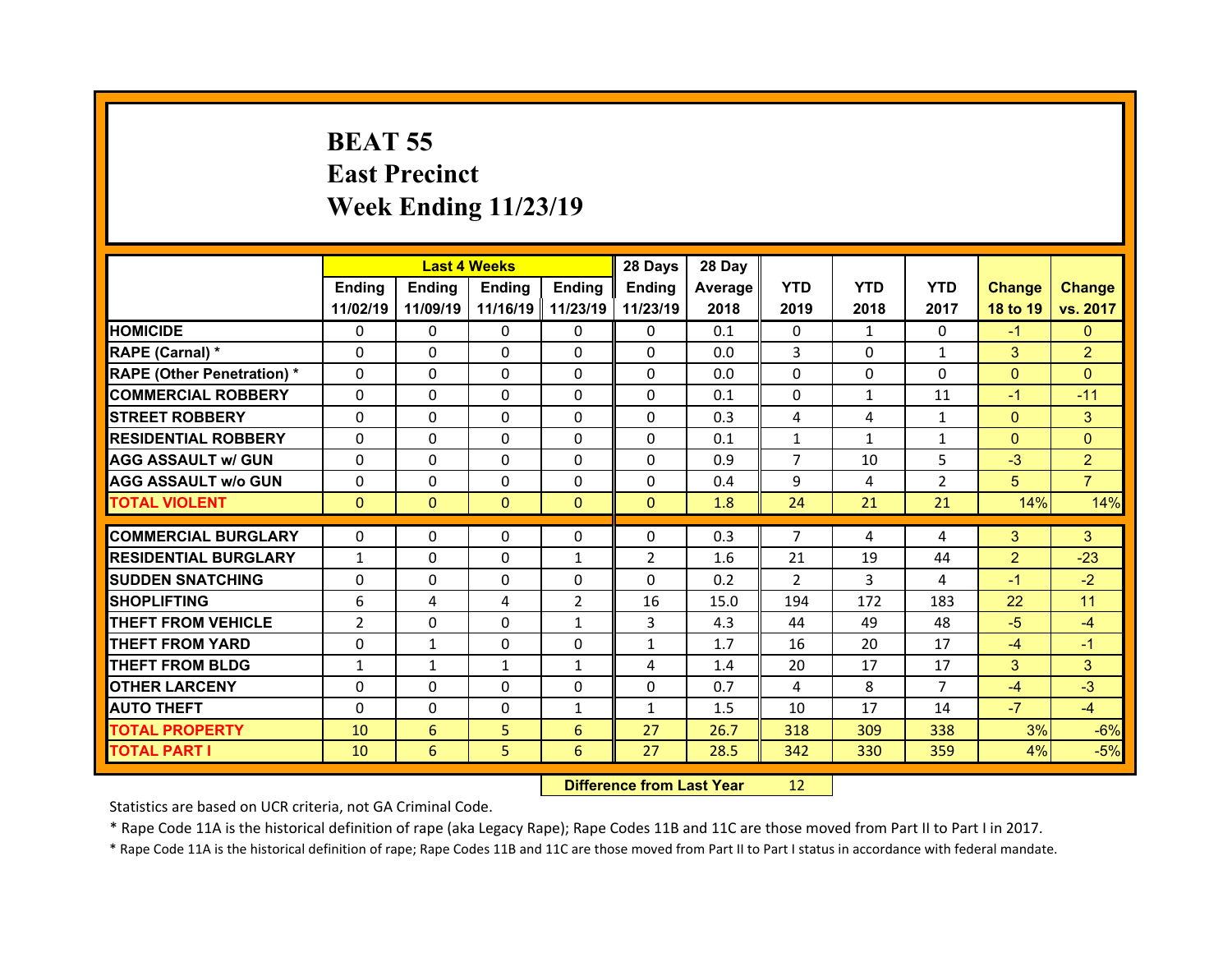## **BEAT 55 East Precinct Week Ending 11/23/19**

|                                   |                | <b>Last 4 Weeks</b> |               |                | 28 Days        | 28 Day  |                |              |                |                |                |
|-----------------------------------|----------------|---------------------|---------------|----------------|----------------|---------|----------------|--------------|----------------|----------------|----------------|
|                                   | Ending         | <b>Ending</b>       | <b>Ending</b> | Ending         | Ending         | Average | <b>YTD</b>     | <b>YTD</b>   | <b>YTD</b>     | <b>Change</b>  | <b>Change</b>  |
|                                   | 11/02/19       | 11/09/19            | 11/16/19      | 11/23/19       | 11/23/19       | 2018    | 2019           | 2018         | 2017           | 18 to 19       | vs. 2017       |
| <b>HOMICIDE</b>                   | $\Omega$       | $\Omega$            | $\Omega$      | $\Omega$       | $\Omega$       | 0.1     | $\Omega$       | $\mathbf{1}$ | $\Omega$       | $-1$           | $\Omega$       |
| RAPE (Carnal) *                   | $\Omega$       | $\Omega$            | $\Omega$      | $\Omega$       | $\Omega$       | 0.0     | 3              | $\Omega$     | $\mathbf{1}$   | 3              | $\overline{2}$ |
| <b>RAPE (Other Penetration) *</b> | $\Omega$       | $\Omega$            | $\mathbf{0}$  | $\Omega$       | $\Omega$       | 0.0     | $\Omega$       | $\Omega$     | $\Omega$       | $\overline{0}$ | $\Omega$       |
| <b>COMMERCIAL ROBBERY</b>         | $\Omega$       | $\Omega$            | $\mathbf{0}$  | $\Omega$       | $\Omega$       | 0.1     | $\Omega$       | $\mathbf{1}$ | 11             | $-1$           | $-11$          |
| <b>STREET ROBBERY</b>             | $\Omega$       | $\Omega$            | $\Omega$      | $\Omega$       | 0              | 0.3     | 4              | 4            | $\mathbf{1}$   | $\overline{0}$ | 3              |
| <b>RESIDENTIAL ROBBERY</b>        | $\Omega$       | $\Omega$            | $\mathbf{0}$  | $\Omega$       | $\Omega$       | 0.1     | $\mathbf{1}$   | $\mathbf{1}$ | $\mathbf{1}$   | $\overline{0}$ | $\Omega$       |
| <b>AGG ASSAULT w/ GUN</b>         | $\Omega$       | 0                   | $\Omega$      | $\Omega$       | $\Omega$       | 0.9     | $\overline{7}$ | 10           | 5              | $-3$           | $\overline{2}$ |
| <b>AGG ASSAULT w/o GUN</b>        | $\Omega$       | $\Omega$            | $\mathbf{0}$  | $\Omega$       | $\Omega$       | 0.4     | 9              | 4            | $\overline{2}$ | 5              | $\overline{7}$ |
| <b>TOTAL VIOLENT</b>              | $\mathbf{0}$   | $\mathbf{0}$        | $\mathbf{0}$  | $\Omega$       | $\Omega$       | 1.8     | 24             | 21           | 21             | 14%            | 14%            |
| <b>COMMERCIAL BURGLARY</b>        | 0              |                     |               |                |                |         | $\overline{7}$ |              |                |                |                |
| <b>RESIDENTIAL BURGLARY</b>       |                | 0                   | 0             | $\mathbf{0}$   | 0              | 0.3     |                | 4            | 4              | 3              | 3              |
|                                   | $\mathbf{1}$   | $\Omega$            | $\Omega$      | 1              | $\overline{2}$ | 1.6     | 21             | 19           | 44             | $\overline{2}$ | $-23$          |
|                                   |                |                     |               |                |                |         |                |              |                |                |                |
| <b>SUDDEN SNATCHING</b>           | 0              | 0                   | 0             | $\mathbf{0}$   | 0              | 0.2     | 2              | 3            | 4              | $-1$           | $-2$           |
| <b>SHOPLIFTING</b>                | 6              | 4                   | 4             | $\overline{2}$ | 16             | 15.0    | 194            | 172          | 183            | 22             | 11             |
| <b>THEFT FROM VEHICLE</b>         | $\overline{2}$ | $\Omega$            | $\mathbf{0}$  | $\mathbf{1}$   | 3              | 4.3     | 44             | 49           | 48             | $-5$           | $-4$           |
| <b>THEFT FROM YARD</b>            | 0              | $\mathbf{1}$        | 0             | $\Omega$       | $\mathbf{1}$   | 1.7     | 16             | 20           | 17             | $-4$           | $-1$           |
| <b>THEFT FROM BLDG</b>            | $\mathbf{1}$   | $\mathbf{1}$        | $\mathbf{1}$  | $\mathbf{1}$   | 4              | 1.4     | 20             | 17           | 17             | 3              | 3              |
| <b>OTHER LARCENY</b>              | 0              | 0                   | $\Omega$      | $\Omega$       | $\Omega$       | 0.7     | 4              | 8            | $\overline{7}$ | $-4$           | $-3$           |
| <b>AUTO THEFT</b>                 | $\Omega$       | 0                   | $\mathbf{0}$  | $\mathbf{1}$   | $\mathbf{1}$   | 1.5     | 10             | 17           | 14             | $-7$           | $-4$           |
| <b>TOTAL PROPERTY</b>             | 10             | 6                   | 5             | 6              | 27             | 26.7    | 318            | 309          | 338            | 3%             | $-6%$          |
| <b>TOTAL PART I</b>               | 10             | 6                   | 5             | 6              | 27             | 28.5    | 342            | 330          | 359            | 4%             | $-5%$          |

 **Difference from Last Year**r 12

Statistics are based on UCR criteria, not GA Criminal Code.

\* Rape Code 11A is the historical definition of rape (aka Legacy Rape); Rape Codes 11B and 11C are those moved from Part II to Part I in 2017.